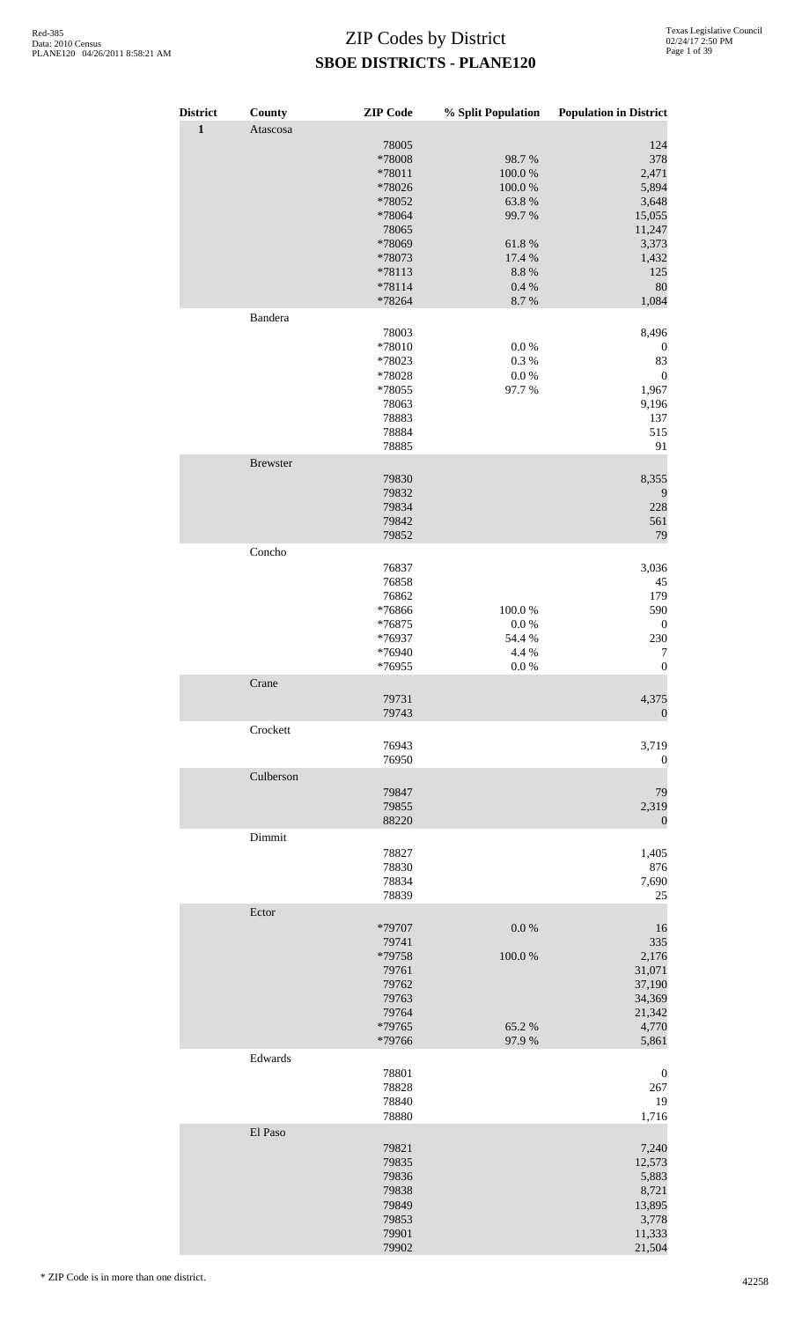| <b>District</b><br>$\mathbf{1}$ | County<br>Atascosa | <b>ZIP</b> Code                                                                                                    | % Split Population                                                                     | <b>Population in District</b>                                                                     |
|---------------------------------|--------------------|--------------------------------------------------------------------------------------------------------------------|----------------------------------------------------------------------------------------|---------------------------------------------------------------------------------------------------|
|                                 |                    | 78005<br>*78008<br>*78011<br>*78026<br>*78052<br>*78064<br>78065<br>*78069<br>*78073<br>*78113<br>*78114<br>*78264 | 98.7%<br>100.0%<br>100.0%<br>63.8%<br>99.7%<br>61.8%<br>17.4 %<br>8.8%<br>0.4%<br>8.7% | 124<br>378<br>2,471<br>5,894<br>3,648<br>15,055<br>11,247<br>3,373<br>1,432<br>125<br>80<br>1,084 |
|                                 | Bandera            |                                                                                                                    |                                                                                        |                                                                                                   |
|                                 |                    | 78003<br>*78010<br>*78023<br>*78028<br>*78055<br>78063<br>78883<br>78884<br>78885                                  | $0.0\ \%$<br>0.3%<br>$0.0\ \%$<br>97.7%                                                | 8,496<br>$\boldsymbol{0}$<br>83<br>$\boldsymbol{0}$<br>1,967<br>9,196<br>137<br>515<br>91         |
|                                 | <b>Brewster</b>    |                                                                                                                    |                                                                                        |                                                                                                   |
|                                 |                    | 79830<br>79832<br>79834<br>79842<br>79852                                                                          |                                                                                        | 8,355<br>9<br>228<br>561<br>79                                                                    |
|                                 | Concho             | 76837<br>76858<br>76862<br>*76866<br>*76875<br>*76937<br>*76940                                                    | 100.0%<br>$0.0\ \%$<br>54.4 %<br>4.4 %                                                 | 3,036<br>45<br>179<br>590<br>$\boldsymbol{0}$<br>230<br>7                                         |
|                                 | Crane              | *76955                                                                                                             | 0.0 %                                                                                  | $\boldsymbol{0}$                                                                                  |
|                                 |                    | 79731<br>79743                                                                                                     |                                                                                        | 4,375<br>$\mathbf{0}$                                                                             |
|                                 | Crockett           | 76943<br>76950                                                                                                     |                                                                                        | 3,719<br>$\boldsymbol{0}$                                                                         |
|                                 | Culberson          |                                                                                                                    |                                                                                        |                                                                                                   |
|                                 |                    | 79847<br>79855<br>88220                                                                                            |                                                                                        | 79<br>2,319<br>$\mathbf{0}$                                                                       |
|                                 | Dimmit             | 78827<br>78830<br>78834<br>78839                                                                                   |                                                                                        | 1,405<br>876<br>7,690<br>25                                                                       |
|                                 | Ector              |                                                                                                                    |                                                                                        |                                                                                                   |
|                                 |                    | *79707<br>79741<br>*79758<br>79761<br>79762<br>79763<br>79764<br>*79765<br>*79766                                  | $0.0\ \%$<br>100.0%<br>65.2%<br>97.9%                                                  | 16<br>335<br>2,176<br>31,071<br>37,190<br>34,369<br>21,342<br>4,770<br>5,861                      |
|                                 | Edwards            |                                                                                                                    |                                                                                        |                                                                                                   |
|                                 |                    | 78801<br>78828<br>78840<br>78880                                                                                   |                                                                                        | $\boldsymbol{0}$<br>267<br>19<br>1,716                                                            |
|                                 | El Paso            | 79821<br>79835<br>79836<br>79838<br>79849<br>79853<br>79901<br>79902                                               |                                                                                        | 7,240<br>12,573<br>5,883<br>8,721<br>13,895<br>3,778<br>11,333<br>21,504                          |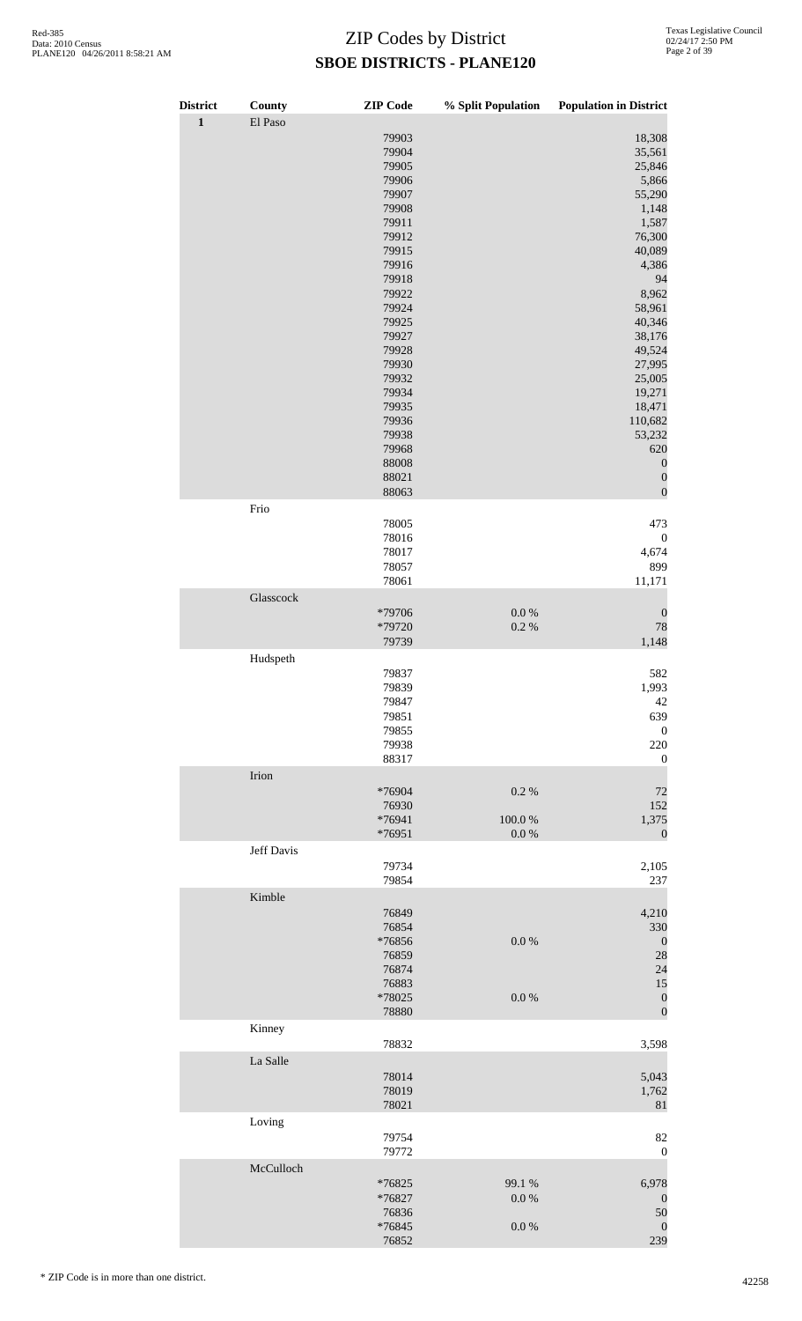| <b>District</b><br>$\mathbf 1$ | County<br>El Paso | <b>ZIP</b> Code                                                                                                                                                                                                                        | % Split Population           | <b>Population in District</b>                                                                                                                                                                                                                                                       |
|--------------------------------|-------------------|----------------------------------------------------------------------------------------------------------------------------------------------------------------------------------------------------------------------------------------|------------------------------|-------------------------------------------------------------------------------------------------------------------------------------------------------------------------------------------------------------------------------------------------------------------------------------|
|                                |                   | 79903<br>79904<br>79905<br>79906<br>79907<br>79908<br>79911<br>79912<br>79915<br>79916<br>79918<br>79922<br>79924<br>79925<br>79927<br>79928<br>79930<br>79932<br>79934<br>79935<br>79936<br>79938<br>79968<br>88008<br>88021<br>88063 |                              | 18,308<br>35,561<br>25,846<br>5,866<br>55,290<br>1,148<br>1,587<br>76,300<br>40,089<br>4,386<br>94<br>8,962<br>58,961<br>40,346<br>38,176<br>49,524<br>27,995<br>25,005<br>19,271<br>18,471<br>110,682<br>53,232<br>620<br>$\boldsymbol{0}$<br>$\boldsymbol{0}$<br>$\boldsymbol{0}$ |
|                                | Frio              |                                                                                                                                                                                                                                        |                              |                                                                                                                                                                                                                                                                                     |
|                                |                   | 78005<br>78016<br>78017<br>78057<br>78061                                                                                                                                                                                              |                              | 473<br>$\boldsymbol{0}$<br>4,674<br>899<br>11,171                                                                                                                                                                                                                                   |
|                                | Glasscock         | *79706<br>*79720<br>79739                                                                                                                                                                                                              | $0.0\ \%$<br>0.2 %           | $\boldsymbol{0}$<br>78<br>1,148                                                                                                                                                                                                                                                     |
|                                | Hudspeth          | 79837<br>79839<br>79847<br>79851<br>79855<br>79938<br>88317                                                                                                                                                                            |                              | 582<br>1,993<br>42<br>639<br>$\boldsymbol{0}$<br>220<br>$\boldsymbol{0}$                                                                                                                                                                                                            |
|                                | Irion             |                                                                                                                                                                                                                                        |                              |                                                                                                                                                                                                                                                                                     |
|                                |                   | *76904<br>76930<br>*76941<br>*76951                                                                                                                                                                                                    | 0.2%<br>100.0%<br>$0.0\ \%$  | 72<br>152<br>1,375<br>$\mathbf{0}$                                                                                                                                                                                                                                                  |
|                                | Jeff Davis        | 79734<br>79854                                                                                                                                                                                                                         |                              | 2,105<br>237                                                                                                                                                                                                                                                                        |
|                                | Kimble            | 76849<br>76854<br>*76856<br>76859<br>76874<br>76883<br>*78025<br>78880                                                                                                                                                                 | $0.0\ \%$<br>$0.0\ \%$       | 4,210<br>330<br>$\boldsymbol{0}$<br>28<br>24<br>15<br>$\boldsymbol{0}$<br>$\boldsymbol{0}$                                                                                                                                                                                          |
|                                | Kinney            | 78832                                                                                                                                                                                                                                  |                              | 3,598                                                                                                                                                                                                                                                                               |
|                                | La Salle          | 78014<br>78019<br>78021                                                                                                                                                                                                                |                              | 5,043<br>1,762<br>81                                                                                                                                                                                                                                                                |
|                                | Loving            | 79754<br>79772                                                                                                                                                                                                                         |                              | 82<br>$\boldsymbol{0}$                                                                                                                                                                                                                                                              |
|                                | McCulloch         | *76825<br>*76827<br>76836<br>$*76845$<br>76852                                                                                                                                                                                         | 99.1 %<br>0.0 %<br>$0.0\ \%$ | 6,978<br>$\boldsymbol{0}$<br>50<br>$\boldsymbol{0}$<br>239                                                                                                                                                                                                                          |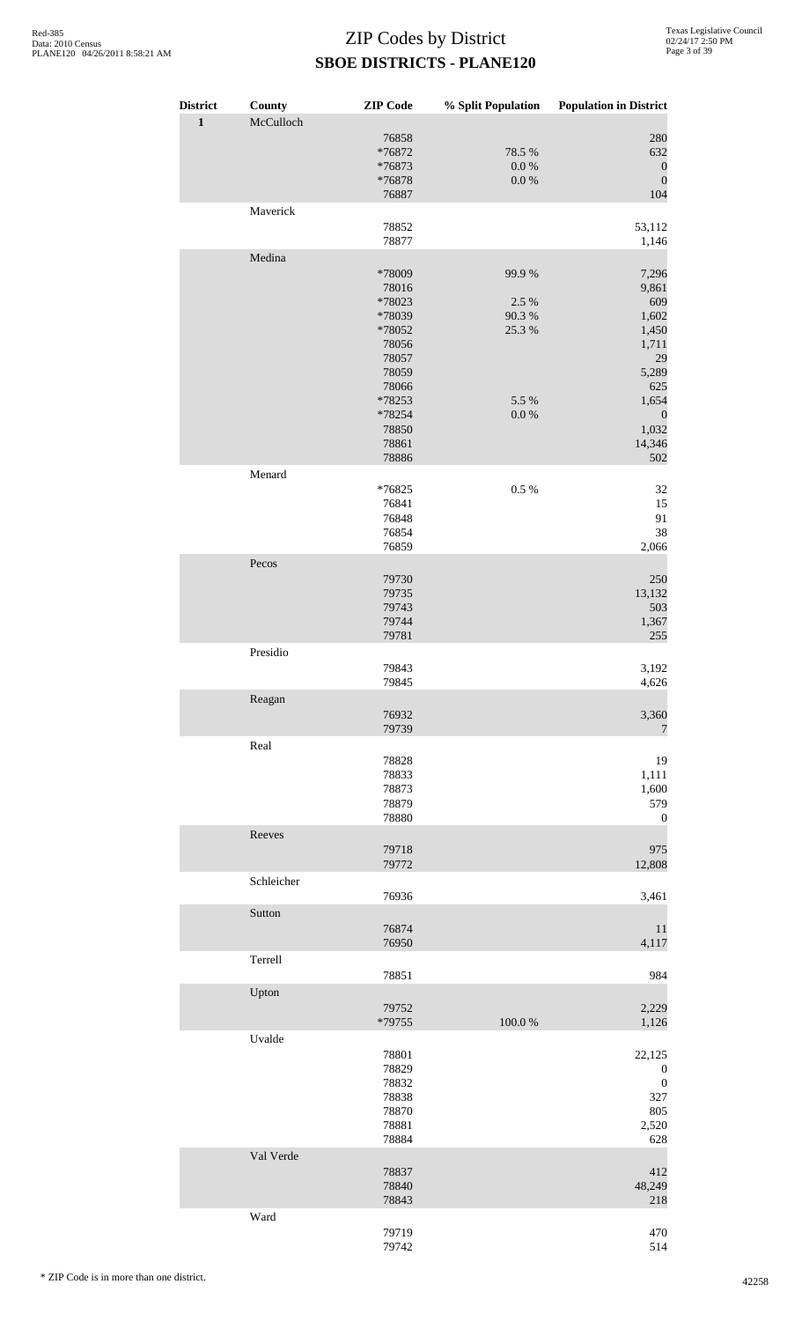| <b>District</b><br>$\mathbf{1}$ | County<br>McCulloch | <b>ZIP</b> Code                                                                                                                  |                                                          | % Split Population Population in District                                                                                     |
|---------------------------------|---------------------|----------------------------------------------------------------------------------------------------------------------------------|----------------------------------------------------------|-------------------------------------------------------------------------------------------------------------------------------|
|                                 |                     | 76858<br>*76872<br>*76873<br>*76878<br>76887                                                                                     | 78.5 %<br>$0.0\ \%$<br>$0.0\ \%$                         | 280<br>632<br>$\boldsymbol{0}$<br>$\boldsymbol{0}$<br>104                                                                     |
|                                 | Maverick            | 78852<br>78877                                                                                                                   |                                                          | 53,112<br>1,146                                                                                                               |
|                                 | Medina              | *78009<br>78016<br>*78023<br>*78039<br>*78052<br>78056<br>78057<br>78059<br>78066<br>*78253<br>*78254<br>78850<br>78861<br>78886 | 99.9%<br>2.5 %<br>90.3 %<br>25.3 %<br>5.5 %<br>$0.0\ \%$ | 7,296<br>9,861<br>609<br>1,602<br>1,450<br>1,711<br>29<br>5,289<br>625<br>1,654<br>$\boldsymbol{0}$<br>1,032<br>14,346<br>502 |
|                                 | Menard              | *76825<br>76841<br>76848<br>76854<br>76859                                                                                       | 0.5 %                                                    | 32<br>15<br>91<br>38<br>2,066                                                                                                 |
|                                 | Pecos               | 79730<br>79735<br>79743<br>79744<br>79781                                                                                        |                                                          | 250<br>13,132<br>503<br>1,367<br>255                                                                                          |
|                                 | Presidio            | 79843<br>79845                                                                                                                   |                                                          | 3,192<br>4,626                                                                                                                |
|                                 | Reagan              | 76932<br>79739                                                                                                                   |                                                          | 3,360<br>$\overline{7}$                                                                                                       |
|                                 | Real                | 78828<br>78833<br>78873<br>78879<br>78880                                                                                        |                                                          | 19<br>1,111<br>1,600<br>579<br>$\boldsymbol{0}$                                                                               |
|                                 | Reeves              | 79718<br>79772                                                                                                                   |                                                          | 975<br>12,808                                                                                                                 |
|                                 | Schleicher          | 76936                                                                                                                            |                                                          | 3,461                                                                                                                         |
|                                 | Sutton              | 76874<br>76950                                                                                                                   |                                                          | 11<br>4,117                                                                                                                   |
|                                 | Terrell             | 78851                                                                                                                            |                                                          | 984                                                                                                                           |
|                                 | Upton               | 79752<br>*79755                                                                                                                  | 100.0%                                                   | 2,229<br>1,126                                                                                                                |
|                                 | Uvalde              | 78801<br>78829<br>78832<br>78838<br>78870<br>78881<br>78884                                                                      |                                                          | 22,125<br>$\boldsymbol{0}$<br>$\boldsymbol{0}$<br>327<br>805<br>2,520<br>628                                                  |
|                                 | Val Verde           | 78837<br>78840<br>78843                                                                                                          |                                                          | 412<br>48,249<br>218                                                                                                          |
|                                 | Ward                | 79719<br>79742                                                                                                                   |                                                          | 470<br>514                                                                                                                    |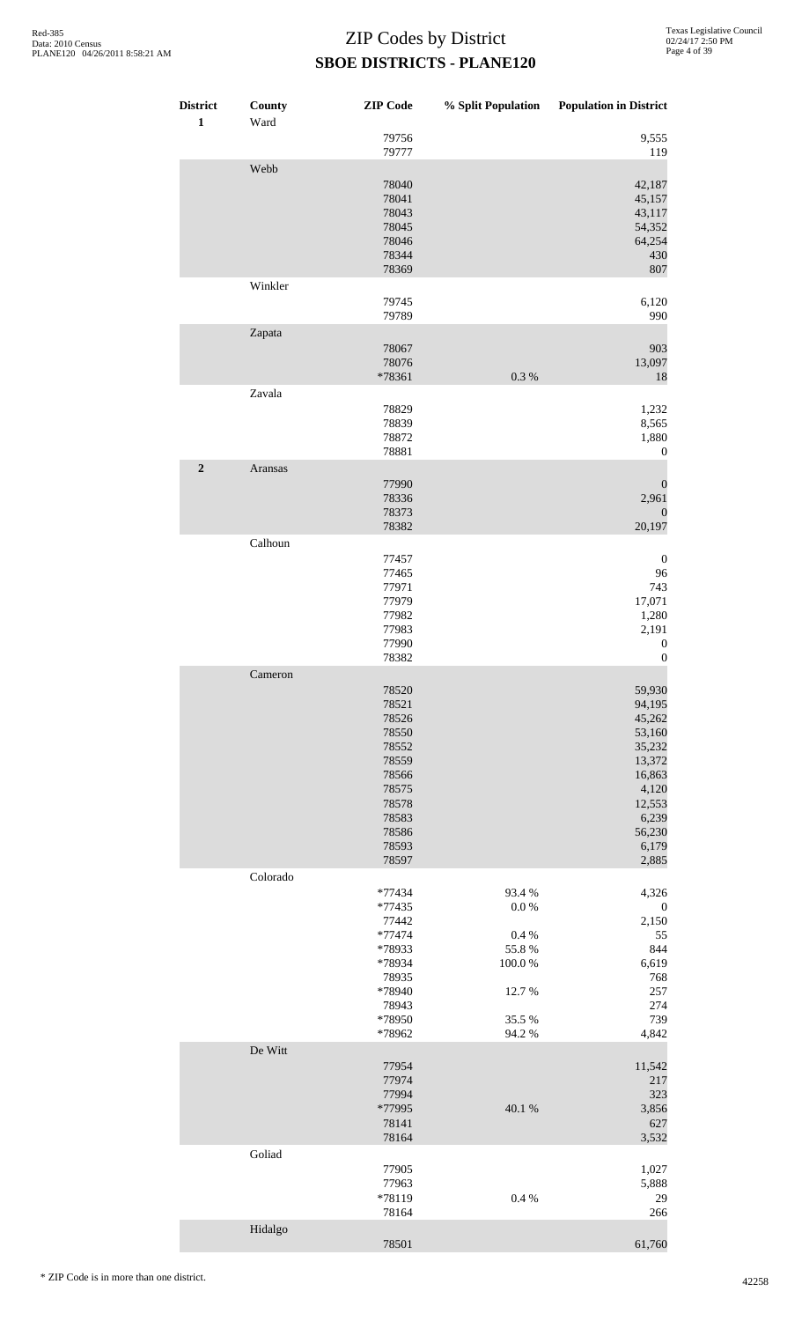| <b>District</b><br>$\mathbf{1}$ | County<br>Ward | <b>ZIP</b> Code                                                                                                   | % Split Population                                                               | <b>Population in District</b>                                                                                              |
|---------------------------------|----------------|-------------------------------------------------------------------------------------------------------------------|----------------------------------------------------------------------------------|----------------------------------------------------------------------------------------------------------------------------|
|                                 |                | 79756<br>79777                                                                                                    |                                                                                  | 9,555<br>119                                                                                                               |
|                                 | Webb           | 78040<br>78041<br>78043<br>78045<br>78046<br>78344<br>78369                                                       |                                                                                  | 42,187<br>45,157<br>43,117<br>54,352<br>64,254<br>430<br>807                                                               |
|                                 | Winkler        | 79745<br>79789                                                                                                    |                                                                                  | 6,120<br>990                                                                                                               |
|                                 | Zapata         | 78067<br>78076<br>*78361                                                                                          | 0.3 %                                                                            | 903<br>13,097<br>18                                                                                                        |
|                                 | Zavala         | 78829<br>78839<br>78872<br>78881                                                                                  |                                                                                  | 1,232<br>8,565<br>1,880<br>$\boldsymbol{0}$                                                                                |
| $\mathbf 2$                     | Aransas        | 77990<br>78336<br>78373<br>78382                                                                                  |                                                                                  | $\boldsymbol{0}$<br>2,961<br>$\boldsymbol{0}$<br>20,197                                                                    |
|                                 | Calhoun        | 77457<br>77465<br>77971<br>77979<br>77982<br>77983<br>77990<br>78382                                              |                                                                                  | $\boldsymbol{0}$<br>96<br>743<br>17,071<br>1,280<br>2,191<br>$\boldsymbol{0}$<br>$\boldsymbol{0}$                          |
|                                 | Cameron        | 78520<br>78521<br>78526<br>78550<br>78552<br>78559<br>78566<br>78575<br>78578<br>78583<br>78586<br>78593<br>78597 |                                                                                  | 59,930<br>94,195<br>45,262<br>53,160<br>35,232<br>13,372<br>16,863<br>4,120<br>12,553<br>6,239<br>56,230<br>6,179<br>2,885 |
|                                 | Colorado       | *77434<br>*77435<br>77442<br>*77474<br>*78933<br>*78934<br>78935<br>*78940<br>78943<br>*78950<br>*78962           | 93.4 %<br>0.0 %<br>$0.4~\%$<br>55.8 %<br>$100.0~\%$<br>12.7%<br>35.5 %<br>94.2 % | 4,326<br>$\boldsymbol{0}$<br>2,150<br>55<br>844<br>6,619<br>768<br>257<br>274<br>739<br>4,842                              |
|                                 | De Witt        | 77954<br>77974<br>77994<br>*77995<br>78141<br>78164                                                               | 40.1 %                                                                           | 11,542<br>217<br>323<br>3,856<br>627<br>3,532                                                                              |
|                                 | Goliad         | 77905<br>77963<br>*78119<br>78164                                                                                 | 0.4 %                                                                            | 1,027<br>5,888<br>29<br>266                                                                                                |
|                                 | Hidalgo        | 78501                                                                                                             |                                                                                  | 61,760                                                                                                                     |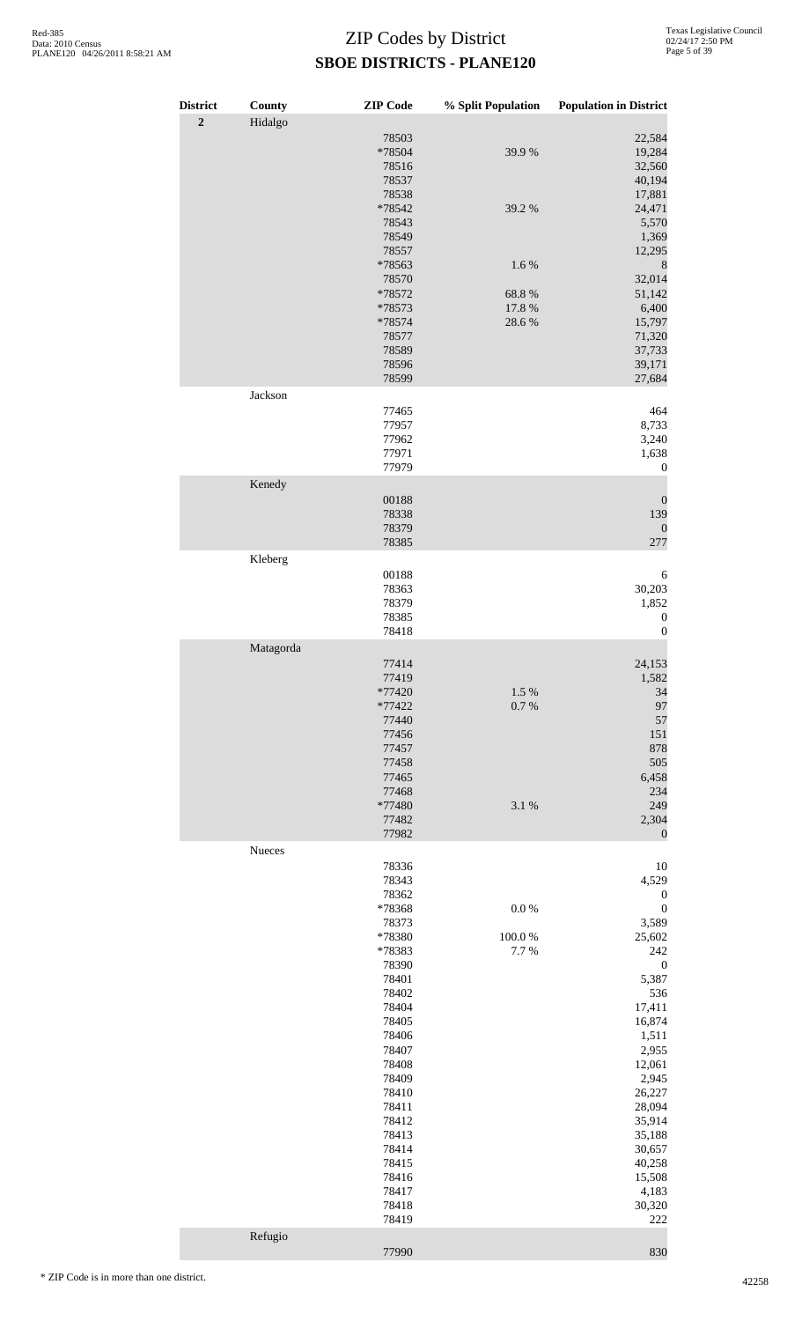| <b>District</b> | County    | <b>ZIP</b> Code                                                                                 | % Split Population           | <b>Population in District</b>                                                                        |
|-----------------|-----------|-------------------------------------------------------------------------------------------------|------------------------------|------------------------------------------------------------------------------------------------------|
| $\mathbf 2$     | Hidalgo   |                                                                                                 |                              |                                                                                                      |
|                 |           | 78503<br>*78504<br>78516<br>78537                                                               | 39.9%                        | 22,584<br>19,284<br>32,560<br>40,194                                                                 |
|                 |           | 78538<br>*78542<br>78543<br>78549                                                               | 39.2 %                       | 17,881<br>24,471<br>5,570<br>1,369                                                                   |
|                 |           | 78557<br>*78563<br>78570                                                                        | 1.6%                         | 12,295<br>$\,8\,$<br>32,014                                                                          |
|                 |           | *78572                                                                                          | 68.8%                        | 51,142                                                                                               |
|                 |           | *78573<br>*78574<br>78577<br>78589<br>78596                                                     | 17.8 %<br>28.6%              | 6,400<br>15,797<br>71,320<br>37,733<br>39,171                                                        |
|                 | Jackson   | 78599                                                                                           |                              | 27,684                                                                                               |
|                 |           | 77465<br>77957<br>77962<br>77971<br>77979                                                       |                              | 464<br>8,733<br>3,240<br>1,638<br>$\boldsymbol{0}$                                                   |
|                 | Kenedy    |                                                                                                 |                              |                                                                                                      |
|                 |           | 00188<br>78338<br>78379<br>78385                                                                |                              | $\boldsymbol{0}$<br>139<br>$\boldsymbol{0}$<br>277                                                   |
|                 | Kleberg   |                                                                                                 |                              |                                                                                                      |
|                 |           | 00188<br>78363<br>78379<br>78385<br>78418                                                       |                              | 6<br>30,203<br>1,852<br>$\boldsymbol{0}$<br>$\boldsymbol{0}$                                         |
|                 | Matagorda |                                                                                                 |                              |                                                                                                      |
|                 |           | 77414<br>77419<br>*77420<br>$*77422$<br>77440<br>77456<br>77457<br>77458<br>77465<br>77468      | 1.5 %<br>0.7 %               | 24,153<br>1,582<br>34<br>97<br>57<br>151<br>878<br>505<br>6,458<br>234                               |
|                 |           | *77480<br>77482<br>77982                                                                        | 3.1 %                        | 249<br>2,304<br>$\mathbf{0}$                                                                         |
|                 | Nueces    | 78336                                                                                           |                              | 10                                                                                                   |
|                 |           | 78343<br>78362<br>*78368<br>78373<br>*78380<br>*78383<br>78390<br>78401                         | $0.0\ \%$<br>100.0%<br>7.7 % | 4,529<br>$\boldsymbol{0}$<br>$\boldsymbol{0}$<br>3,589<br>25,602<br>242<br>$\boldsymbol{0}$<br>5,387 |
|                 |           | 78402<br>78404<br>78405<br>78406<br>78407<br>78408<br>78409<br>78410<br>78411<br>78412<br>78413 |                              | 536<br>17,411<br>16,874<br>1,511<br>2,955<br>12,061<br>2,945<br>26,227<br>28,094<br>35,914<br>35,188 |
|                 | Refugio   | 78414<br>78415<br>78416<br>78417<br>78418<br>78419                                              |                              | 30,657<br>40,258<br>15,508<br>4,183<br>30,320<br>222                                                 |
|                 |           | 77990                                                                                           |                              | 830                                                                                                  |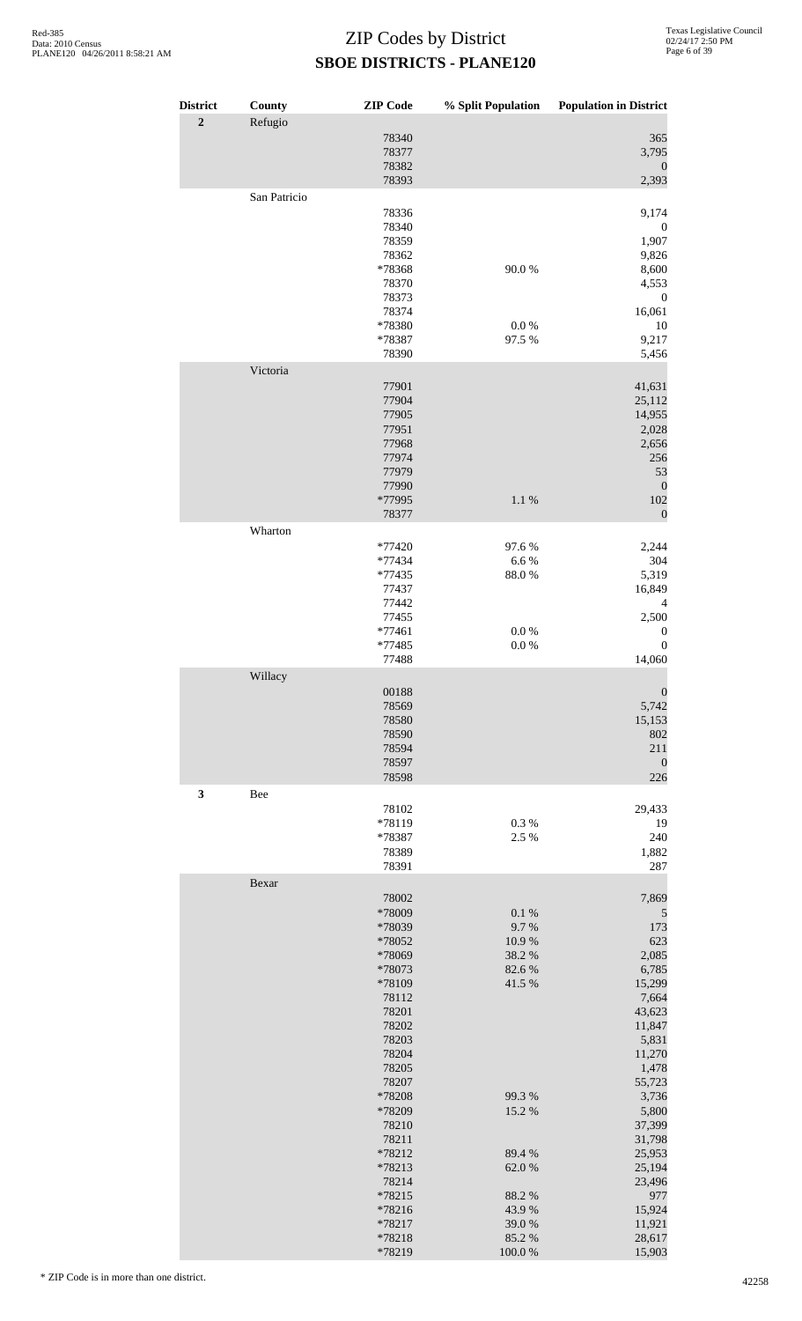| <b>District</b> | County       | <b>ZIP</b> Code  | % Split Population | <b>Population in District</b> |
|-----------------|--------------|------------------|--------------------|-------------------------------|
| $\overline{2}$  | Refugio      |                  |                    |                               |
|                 |              | 78340<br>78377   |                    | 365<br>3,795                  |
|                 |              | 78382            |                    | $\mathbf{0}$                  |
|                 |              | 78393            |                    | 2,393                         |
|                 | San Patricio |                  |                    |                               |
|                 |              | 78336<br>78340   |                    | 9,174<br>$\boldsymbol{0}$     |
|                 |              | 78359            |                    | 1,907                         |
|                 |              | 78362            |                    | 9,826                         |
|                 |              | *78368           | 90.0%              | 8,600                         |
|                 |              | 78370            |                    | 4,553                         |
|                 |              | 78373<br>78374   |                    | $\boldsymbol{0}$<br>16,061    |
|                 |              | *78380           | $0.0\ \%$          | 10                            |
|                 |              | *78387           | 97.5 %             | 9,217                         |
|                 | Victoria     | 78390            |                    | 5,456                         |
|                 |              | 77901            |                    | 41,631                        |
|                 |              | 77904            |                    | 25,112                        |
|                 |              | 77905            |                    | 14,955                        |
|                 |              | 77951            |                    | 2,028                         |
|                 |              | 77968            |                    | 2,656                         |
|                 |              | 77974<br>77979   |                    | 256<br>53                     |
|                 |              | 77990            |                    | $\boldsymbol{0}$              |
|                 |              | *77995           | 1.1%               | 102                           |
|                 | Wharton      | 78377            |                    | $\boldsymbol{0}$              |
|                 |              | *77420           | 97.6%              | 2,244                         |
|                 |              | *77434           | 6.6%               | 304                           |
|                 |              | *77435           | 88.0%              | 5,319                         |
|                 |              | 77437            |                    | 16,849                        |
|                 |              | 77442<br>77455   |                    | 4<br>2,500                    |
|                 |              | *77461           | $0.0\ \%$          | $\boldsymbol{0}$              |
|                 |              | *77485           | 0.0 %              | $\boldsymbol{0}$              |
|                 | Willacy      | 77488            |                    | 14,060                        |
|                 |              | 00188            |                    | $\boldsymbol{0}$              |
|                 |              | 78569            |                    | 5,742                         |
|                 |              | 78580            |                    | 15,153                        |
|                 |              | 78590<br>78594   |                    | 802<br>211                    |
|                 |              | 78597            |                    | $\boldsymbol{0}$              |
|                 |              | 78598            |                    | 226                           |
| $\mathbf{3}$    | Bee          | 78102            |                    | 29,433                        |
|                 |              | *78119           | 0.3%               | 19                            |
|                 |              | *78387           | 2.5 %              | 240                           |
|                 |              | 78389            |                    | 1,882                         |
|                 | Bexar        | 78391            |                    | 287                           |
|                 |              | 78002            |                    | 7,869                         |
|                 |              | *78009           | 0.1 %              | 5                             |
|                 |              | *78039           | 9.7%<br>10.9%      | 173<br>623                    |
|                 |              | *78052<br>*78069 | 38.2%              | 2,085                         |
|                 |              | *78073           | 82.6%              | 6,785                         |
|                 |              | *78109           | 41.5 %             | 15,299                        |
|                 |              | 78112<br>78201   |                    | 7,664                         |
|                 |              | 78202            |                    | 43,623<br>11,847              |
|                 |              | 78203            |                    | 5,831                         |
|                 |              | 78204            |                    | 11,270                        |
|                 |              | 78205            |                    | 1,478                         |
|                 |              | 78207<br>*78208  | 99.3 %             | 55,723<br>3,736               |
|                 |              | *78209           | 15.2 %             | 5,800                         |
|                 |              | 78210            |                    | 37,399                        |
|                 |              | 78211            |                    | 31,798                        |
|                 |              | *78212<br>*78213 | 89.4%<br>62.0%     | 25,953<br>25,194              |
|                 |              | 78214            |                    | 23,496                        |
|                 |              | *78215           | 88.2%              | 977                           |
|                 |              | *78216<br>*78217 | 43.9%<br>39.0%     | 15,924<br>11,921              |
|                 |              | *78218           | 85.2%              | 28,617                        |
|                 |              | *78219           | 100.0%             | 15,903                        |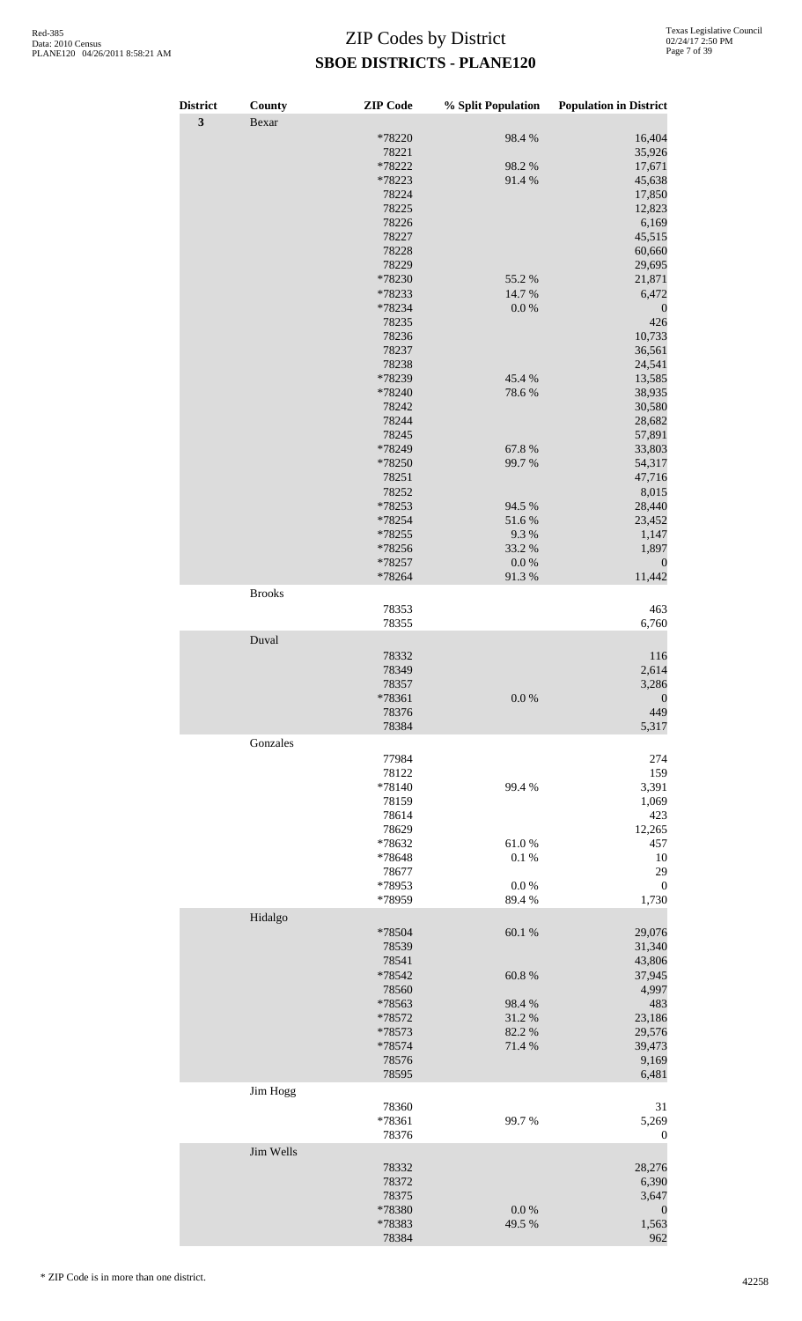| <b>District</b>         | County        | <b>ZIP</b> Code  | % Split Population  | <b>Population in District</b> |
|-------------------------|---------------|------------------|---------------------|-------------------------------|
| $\overline{\mathbf{3}}$ | Bexar         |                  |                     |                               |
|                         |               | *78220           | 98.4%               | 16,404                        |
|                         |               | 78221<br>*78222  | 98.2%               | 35,926                        |
|                         |               | *78223           | 91.4%               | 17,671<br>45,638              |
|                         |               | 78224            |                     | 17,850                        |
|                         |               | 78225            |                     | 12,823                        |
|                         |               | 78226            |                     | 6,169                         |
|                         |               | 78227<br>78228   |                     | 45,515<br>60,660              |
|                         |               | 78229            |                     | 29,695                        |
|                         |               | *78230           | 55.2 %              | 21,871                        |
|                         |               | *78233           | 14.7 %              | 6,472                         |
|                         |               | *78234           | $0.0\ \%$           | $\boldsymbol{0}$              |
|                         |               | 78235<br>78236   |                     | 426                           |
|                         |               | 78237            |                     | 10,733<br>36,561              |
|                         |               | 78238            |                     | 24,541                        |
|                         |               | *78239           | 45.4%               | 13,585                        |
|                         |               | *78240           | 78.6%               | 38,935                        |
|                         |               | 78242            |                     | 30,580                        |
|                         |               | 78244<br>78245   |                     | 28,682<br>57,891              |
|                         |               | *78249           | 67.8 %              | 33,803                        |
|                         |               | *78250           | 99.7%               | 54,317                        |
|                         |               | 78251            |                     | 47,716                        |
|                         |               | 78252            |                     | 8,015                         |
|                         |               | *78253           | 94.5 %              | 28,440                        |
|                         |               | *78254<br>*78255 | 51.6%<br>9.3%       | 23,452<br>1,147               |
|                         |               | *78256           | 33.2 %              | 1,897                         |
|                         |               | *78257           | $0.0\ \%$           | $\boldsymbol{0}$              |
|                         |               | *78264           | 91.3%               | 11,442                        |
|                         | <b>Brooks</b> |                  |                     |                               |
|                         |               | 78353            |                     | 463                           |
|                         |               | 78355            |                     | 6,760                         |
|                         | Duval         |                  |                     |                               |
|                         |               | 78332<br>78349   |                     | 116<br>2,614                  |
|                         |               | 78357            |                     | 3,286                         |
|                         |               | *78361           | $0.0\ \%$           | $\boldsymbol{0}$              |
|                         |               | 78376            |                     | 449                           |
|                         |               | 78384            |                     | 5,317                         |
|                         | Gonzales      |                  |                     |                               |
|                         |               | 77984<br>78122   |                     | 274<br>159                    |
|                         |               | *78140           | 99.4 %              | 3,391                         |
|                         |               | 78159            |                     | 1,069                         |
|                         |               | 78614            |                     | 423                           |
|                         |               | 78629            |                     | 12,265                        |
|                         |               | *78632           | 61.0%               | 457                           |
|                         |               | *78648<br>78677  | 0.1 %               | 10<br>29                      |
|                         |               | *78953           | 0.0 %               | $\boldsymbol{0}$              |
|                         |               | *78959           | 89.4%               | 1,730                         |
|                         | Hidalgo       |                  |                     |                               |
|                         |               | *78504           | 60.1%               | 29,076                        |
|                         |               | 78539            |                     | 31,340                        |
|                         |               | 78541            |                     | 43,806                        |
|                         |               | *78542<br>78560  | $60.8~\%$           | 37,945<br>4,997               |
|                         |               | *78563           | 98.4%               | 483                           |
|                         |               | *78572           | 31.2%               | 23,186                        |
|                         |               | *78573           | 82.2%               | 29,576                        |
|                         |               | *78574           | 71.4 %              | 39,473                        |
|                         |               | 78576<br>78595   |                     | 9,169<br>6,481                |
|                         | Jim Hogg      |                  |                     |                               |
|                         |               | 78360            |                     | 31                            |
|                         |               | *78361           | 99.7%               | 5,269                         |
|                         |               | 78376            |                     | $\mathbf{0}$                  |
|                         | Jim Wells     |                  |                     |                               |
|                         |               | 78332            |                     | 28,276                        |
|                         |               | 78372            |                     | 6,390                         |
|                         |               | 78375<br>*78380  |                     | 3,647                         |
|                         |               | *78383           | $0.0\ \%$<br>49.5 % | $\theta$<br>1,563             |
|                         |               | 78384            |                     | 962                           |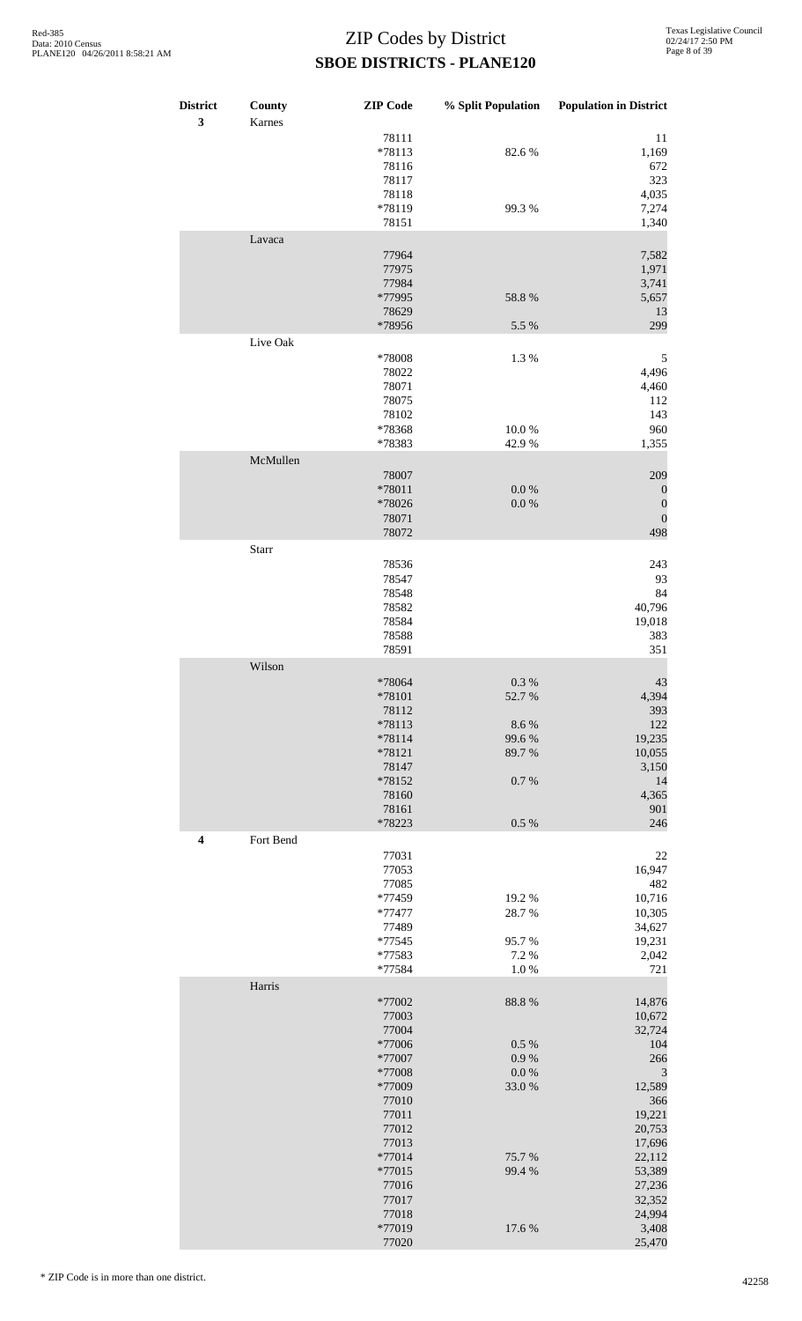| <b>District</b><br>3 | County<br>Karnes | <b>ZIP</b> Code                                                                                        | % Split Population                                      | <b>Population in District</b>                                                                             |
|----------------------|------------------|--------------------------------------------------------------------------------------------------------|---------------------------------------------------------|-----------------------------------------------------------------------------------------------------------|
|                      |                  | 78111<br>*78113<br>78116<br>78117<br>78118                                                             | 82.6%                                                   | 11<br>1,169<br>672<br>323<br>4,035                                                                        |
|                      |                  | *78119<br>78151                                                                                        | 99.3%                                                   | 7,274<br>1,340                                                                                            |
|                      | Lavaca           | 77964<br>77975<br>77984<br>*77995                                                                      | 58.8 %                                                  | 7,582<br>1,971<br>3,741<br>5,657                                                                          |
|                      |                  | 78629<br>*78956                                                                                        | 5.5 %                                                   | 13<br>299                                                                                                 |
|                      | Live Oak         | *78008<br>78022<br>78071<br>78075<br>78102                                                             | 1.3%                                                    | 5<br>4,496<br>4,460<br>112<br>143                                                                         |
|                      |                  | *78368<br>*78383                                                                                       | 10.0%<br>42.9%                                          | 960<br>1,355                                                                                              |
|                      | McMullen         | 78007<br>*78011<br>*78026<br>78071<br>78072                                                            | $0.0\ \%$<br>$0.0\ \%$                                  | 209<br>$\boldsymbol{0}$<br>$\boldsymbol{0}$<br>$\boldsymbol{0}$<br>498                                    |
|                      | Starr            |                                                                                                        |                                                         |                                                                                                           |
|                      |                  | 78536<br>78547<br>78548<br>78582<br>78584<br>78588<br>78591                                            |                                                         | 243<br>93<br>84<br>40,796<br>19,018<br>383<br>351                                                         |
|                      | Wilson           | *78064<br>*78101<br>78112<br>*78113<br>$*78114$<br>*78121<br>78147<br>*78152<br>78160<br>78161         | $0.3~\%$<br>52.7%<br>8.6%<br>99.6%<br>89.7%<br>$0.7~\%$ | 43<br>4,394<br>393<br>122<br>19,235<br>10,055<br>3,150<br>14<br>4,365<br>901                              |
| $\boldsymbol{4}$     | Fort Bend        | *78223                                                                                                 | $0.5~\%$                                                | 246                                                                                                       |
|                      |                  | 77031<br>77053<br>77085<br>*77459<br>*77477<br>77489<br>$*77545$<br>*77583<br>*77584                   | 19.2%<br>28.7%<br>95.7%<br>7.2 %<br>$1.0\ \%$           | $22\,$<br>16,947<br>482<br>10,716<br>10,305<br>34,627<br>19,231<br>2,042<br>721                           |
|                      | Harris           | *77002                                                                                                 | 88.8 %                                                  | 14,876                                                                                                    |
|                      |                  | 77003<br>77004<br>*77006<br>*77007<br>*77008<br>*77009<br>77010<br>77011<br>77012<br>77013<br>$*77014$ | 0.5 %<br>0.9 %<br>$0.0\ \%$<br>33.0%<br>75.7%           | 10,672<br>32,724<br>104<br>266<br>$\mathfrak{Z}$<br>12,589<br>366<br>19,221<br>20,753<br>17,696<br>22,112 |
|                      |                  | *77015<br>77016<br>77017<br>77018<br>*77019<br>77020                                                   | 99.4%<br>17.6 %                                         | 53,389<br>27,236<br>32,352<br>24,994<br>3,408<br>25,470                                                   |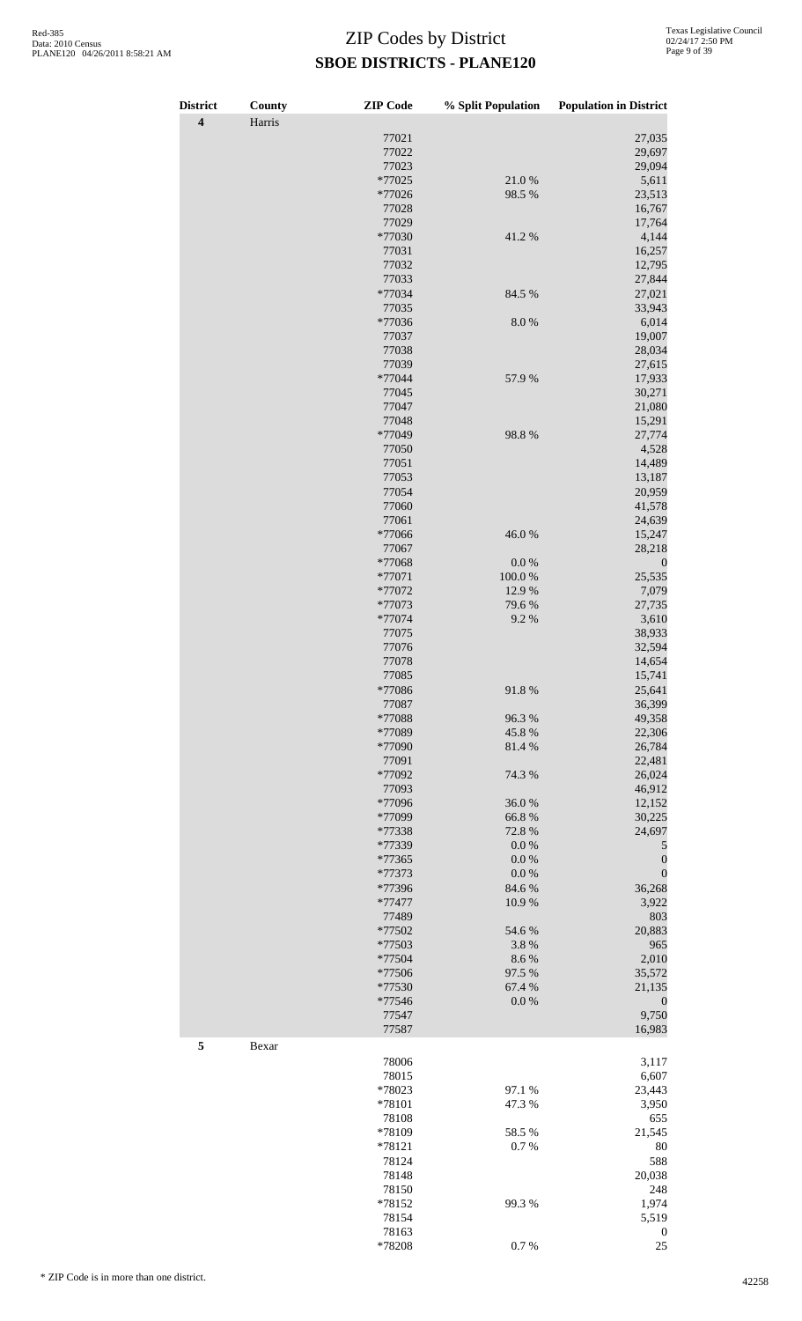| <b>District</b>         | County | <b>ZIP</b> Code  | % Split Population  | <b>Population in District</b> |
|-------------------------|--------|------------------|---------------------|-------------------------------|
| $\overline{\mathbf{4}}$ | Harris |                  |                     |                               |
|                         |        | 77021            |                     | 27,035                        |
|                         |        | 77022            |                     | 29,697                        |
|                         |        | 77023            |                     | 29,094                        |
|                         |        | *77025<br>*77026 | 21.0%<br>98.5%      | 5,611<br>23,513               |
|                         |        | 77028            |                     | 16,767                        |
|                         |        | 77029            |                     | 17,764                        |
|                         |        | *77030           | 41.2%               | 4,144                         |
|                         |        | 77031            |                     | 16,257                        |
|                         |        | 77032            |                     | 12,795                        |
|                         |        | 77033            |                     | 27,844                        |
|                         |        | *77034           | 84.5 %              | 27,021                        |
|                         |        | 77035            |                     | 33,943                        |
|                         |        | *77036           | 8.0%                | 6,014                         |
|                         |        | 77037            |                     | 19,007                        |
|                         |        | 77038            |                     | 28,034                        |
|                         |        | 77039            |                     | 27,615                        |
|                         |        | *77044           | 57.9 %              | 17,933                        |
|                         |        | 77045            |                     | 30,271                        |
|                         |        | 77047            |                     | 21,080                        |
|                         |        | 77048            |                     | 15,291                        |
|                         |        | *77049           | 98.8%               | 27,774                        |
|                         |        | 77050            |                     | 4,528                         |
|                         |        | 77051            |                     | 14,489                        |
|                         |        | 77053            |                     | 13,187                        |
|                         |        | 77054            |                     | 20,959                        |
|                         |        | 77060            |                     | 41,578                        |
|                         |        | 77061            |                     | 24,639                        |
|                         |        | *77066           | 46.0%               | 15,247                        |
|                         |        | 77067            |                     | 28,218                        |
|                         |        | *77068<br>*77071 | $0.0\ \%$<br>100.0% | $\boldsymbol{0}$<br>25,535    |
|                         |        | *77072           | 12.9 %              | 7,079                         |
|                         |        | *77073           | 79.6%               | 27,735                        |
|                         |        | *77074           | 9.2%                | 3,610                         |
|                         |        | 77075            |                     | 38,933                        |
|                         |        | 77076            |                     | 32,594                        |
|                         |        | 77078            |                     | 14,654                        |
|                         |        | 77085            |                     | 15,741                        |
|                         |        | *77086           | 91.8%               | 25,641                        |
|                         |        | 77087            |                     | 36,399                        |
|                         |        | *77088           | 96.3%               | 49,358                        |
|                         |        | *77089           | 45.8%               | 22,306                        |
|                         |        | *77090           | 81.4%               | 26,784                        |
|                         |        | 77091            |                     | 22,481                        |
|                         |        | *77092           | 74.3 %              | 26,024                        |
|                         |        | 77093            |                     | 46,912                        |
|                         |        | *77096           | 36.0%               | 12,152                        |
|                         |        | *77099           | 66.8%               | 30,225                        |
|                         |        | *77338           | 72.8 %              | 24,697                        |
|                         |        | *77339           | $0.0\ \%$           | 5                             |
|                         |        | *77365           | $0.0\ \%$           | $\boldsymbol{0}$              |
|                         |        | *77373           | 0.0 %               | $\boldsymbol{0}$              |
|                         |        | *77396           | 84.6 %              | 36,268                        |
|                         |        | $*77477$         | 10.9%               | 3,922                         |
|                         |        | 77489            |                     | 803                           |
|                         |        | *77502           | 54.6 %              | 20,883                        |
|                         |        | *77503<br>*77504 | 3.8%<br>8.6%        | 965<br>2,010                  |
|                         |        | *77506           | 97.5 %              | 35,572                        |
|                         |        | *77530           | 67.4 %              | 21,135                        |
|                         |        | *77546           | 0.0 %               | $\boldsymbol{0}$              |
|                         |        | 77547            |                     | 9,750                         |
|                         |        | 77587            |                     | 16,983                        |
| 5                       | Bexar  |                  |                     |                               |
|                         |        | 78006            |                     | 3,117                         |
|                         |        | 78015            |                     | 6,607                         |
|                         |        | *78023           | 97.1 %              | 23,443                        |
|                         |        | *78101           | 47.3 %              | 3,950                         |
|                         |        | 78108            |                     | 655                           |
|                         |        | *78109           | 58.5%               | 21,545                        |
|                         |        | *78121           | $0.7~\%$            | 80                            |
|                         |        | 78124            |                     | 588                           |
|                         |        | 78148            |                     | 20,038                        |
|                         |        | 78150            |                     | 248                           |
|                         |        | *78152           | 99.3%               | 1,974                         |
|                         |        | 78154            |                     | 5,519                         |
|                         |        | 78163            |                     | $\boldsymbol{0}$              |

\*78208 0.7 % 25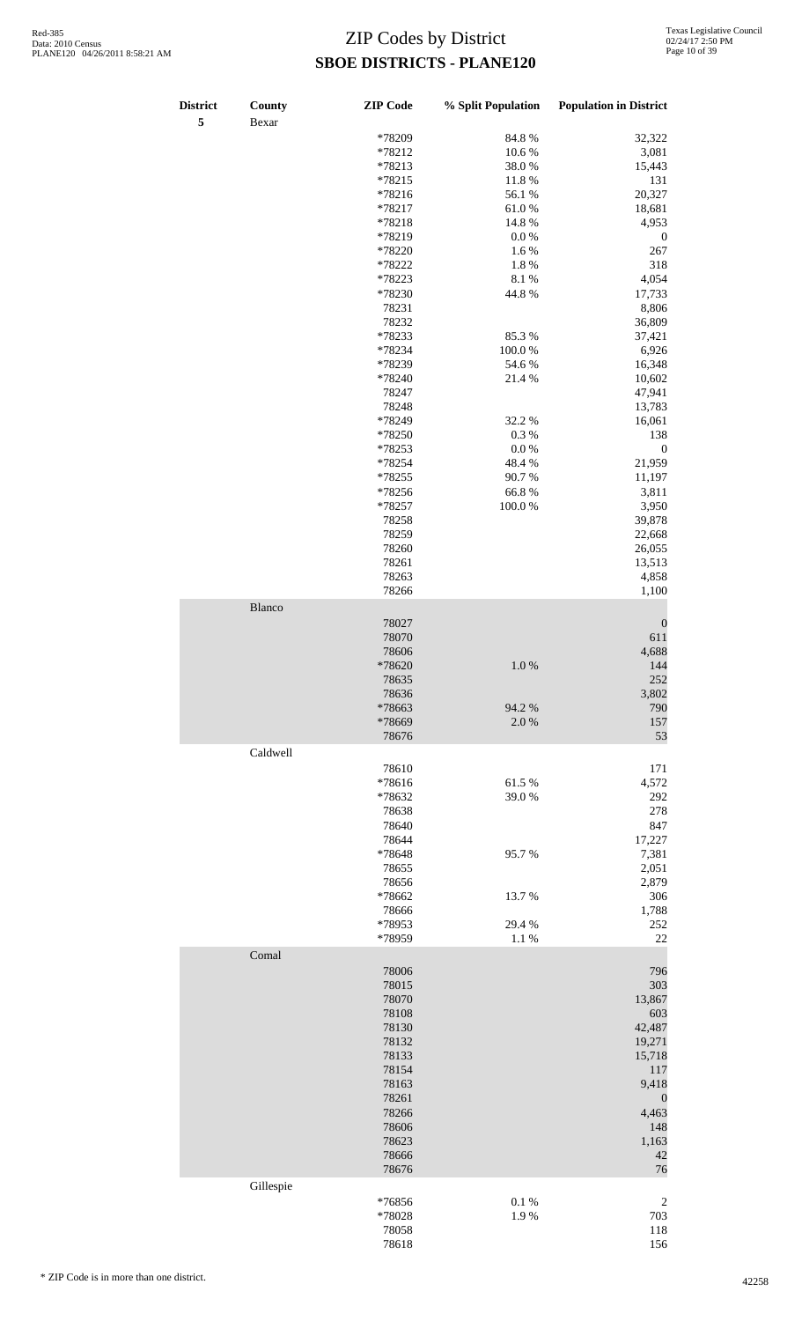| District<br>5 | County<br>Bexar | <b>ZIP</b> Code  | % Split Population | <b>Population in District</b> |
|---------------|-----------------|------------------|--------------------|-------------------------------|
|               |                 | *78209           |                    |                               |
|               |                 |                  | 84.8%              | 32,322                        |
|               |                 | *78212           | 10.6%              | 3,081                         |
|               |                 | *78213           | 38.0%              | 15,443                        |
|               |                 | *78215           | 11.8%              | 131                           |
|               |                 | $*78216$         | 56.1 %             | 20,327                        |
|               |                 | *78217           | 61.0%              | 18,681                        |
|               |                 | *78218           | 14.8 %             | 4,953                         |
|               |                 | *78219           | $0.0\ \%$          | $\boldsymbol{0}$              |
|               |                 | *78220           | 1.6%               | $267\,$                       |
|               |                 | *78222           | 1.8%               | 318                           |
|               |                 | *78223           | 8.1 %              | 4,054                         |
|               |                 | *78230           | 44.8%              | 17,733                        |
|               |                 | 78231            |                    | 8,806                         |
|               |                 | 78232            |                    | 36,809                        |
|               |                 | *78233           | 85.3%              | 37,421                        |
|               |                 | *78234           | 100.0%             | 6,926                         |
|               |                 | *78239           | 54.6 %             | 16,348                        |
|               |                 | *78240           | 21.4%              | 10,602                        |
|               |                 | 78247            |                    | 47,941                        |
|               |                 | 78248            |                    | 13,783                        |
|               |                 | *78249           | 32.2 %             | 16,061                        |
|               |                 | *78250           | 0.3%               | 138                           |
|               |                 |                  |                    |                               |
|               |                 | *78253           | $0.0\ \%$          | $\boldsymbol{0}$              |
|               |                 | *78254           | 48.4%              | 21,959                        |
|               |                 | *78255           | 90.7%              | 11,197                        |
|               |                 | *78256           | 66.8%              | 3,811                         |
|               |                 | *78257           | 100.0%             | 3,950                         |
|               |                 | 78258            |                    | 39,878                        |
|               |                 | 78259            |                    | 22,668                        |
|               |                 | 78260            |                    | 26,055                        |
|               |                 | 78261            |                    | 13,513                        |
|               |                 | 78263            |                    | 4,858                         |
|               |                 | 78266            |                    | 1,100                         |
|               | Blanco          |                  |                    |                               |
|               |                 | 78027            |                    |                               |
|               |                 |                  |                    | $\boldsymbol{0}$              |
|               |                 | 78070            |                    | 611                           |
|               |                 | 78606            |                    | 4,688                         |
|               |                 | *78620           | 1.0 %              | 144                           |
|               |                 | 78635            |                    | 252                           |
|               |                 | 78636            |                    | 3,802                         |
|               |                 | *78663           | 94.2%              | 790                           |
|               |                 | *78669           | 2.0%               | 157                           |
|               |                 | 78676            |                    | 53                            |
|               | Caldwell        |                  |                    |                               |
|               |                 | 78610            |                    | 171                           |
|               |                 | *78616           | 61.5%              | 4,572                         |
|               |                 | *78632           | 39.0%              | 292                           |
|               |                 | 78638            |                    | 278                           |
|               |                 | 78640            |                    | 847                           |
|               |                 | 78644            |                    | 17,227                        |
|               |                 | *78648           | 95.7%              | 7,381                         |
|               |                 | 78655            |                    | 2,051                         |
|               |                 | 78656            |                    | 2,879                         |
|               |                 |                  |                    |                               |
|               |                 | *78662           | 13.7%              | 306                           |
|               |                 | 78666            |                    | 1,788                         |
|               |                 | *78953<br>*78959 | 29.4 %             | 252                           |
|               |                 |                  | 1.1%               | 22                            |
|               | Comal           |                  |                    |                               |
|               |                 | 78006            |                    | 796                           |
|               |                 | 78015            |                    | 303                           |
|               |                 | 78070            |                    | 13,867                        |
|               |                 | 78108            |                    | 603                           |
|               |                 | 78130            |                    | 42,487                        |
|               |                 | 78132            |                    | 19,271                        |
|               |                 | 78133            |                    | 15,718                        |
|               |                 | 78154            |                    | 117                           |
|               |                 | 78163            |                    | 9,418                         |
|               |                 | 78261            |                    | $\boldsymbol{0}$              |
|               |                 | 78266            |                    | 4,463                         |
|               |                 | 78606            |                    | 148                           |
|               |                 |                  |                    |                               |
|               |                 | 78623            |                    | 1,163                         |
|               |                 | 78666            |                    | 42                            |
|               |                 | 78676            |                    | 76                            |
|               | Gillespie       |                  |                    |                               |
|               |                 | *76856           | 0.1 %              | $\sqrt{2}$                    |
|               |                 | *78028           | 1.9%               | 703                           |
|               |                 | 78058            |                    | 118                           |
|               |                 | 78618            |                    | 156                           |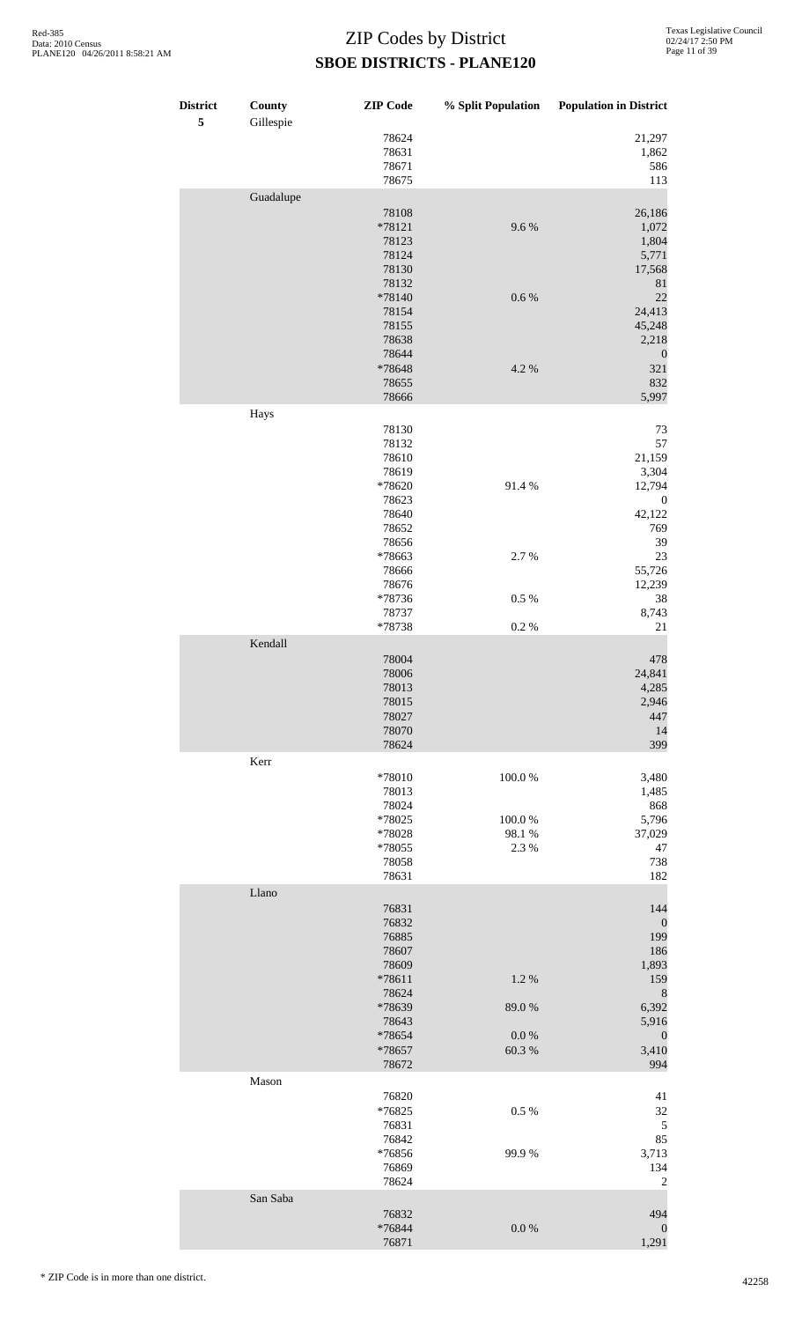| <b>District</b><br>$\sqrt{5}$ | County<br>Gillespie | <b>ZIP</b> Code | % Split Population | <b>Population in District</b> |
|-------------------------------|---------------------|-----------------|--------------------|-------------------------------|
|                               |                     | 78624           |                    | 21,297                        |
|                               |                     | 78631           |                    | 1,862                         |
|                               |                     | 78671<br>78675  |                    | 586<br>113                    |
|                               | Guadalupe           |                 |                    |                               |
|                               |                     | 78108           |                    | 26,186                        |
|                               |                     | *78121          | 9.6%               | 1,072                         |
|                               |                     | 78123<br>78124  |                    | 1,804<br>5,771                |
|                               |                     | 78130           |                    | 17,568                        |
|                               |                     | 78132           |                    | $81\,$                        |
|                               |                     | *78140          | 0.6 %              | 22                            |
|                               |                     | 78154<br>78155  |                    | 24,413<br>45,248              |
|                               |                     | 78638           |                    | 2,218                         |
|                               |                     | 78644           |                    | $\boldsymbol{0}$              |
|                               |                     | *78648          | 4.2 %              | 321                           |
|                               |                     | 78655<br>78666  |                    | 832<br>5,997                  |
|                               | Hays                |                 |                    |                               |
|                               |                     | 78130           |                    | 73                            |
|                               |                     | 78132           |                    | 57                            |
|                               |                     | 78610           |                    | 21,159                        |
|                               |                     | 78619<br>*78620 | 91.4%              | 3,304<br>12,794               |
|                               |                     | 78623           |                    | $\boldsymbol{0}$              |
|                               |                     | 78640           |                    | 42,122                        |
|                               |                     | 78652           |                    | 769                           |
|                               |                     | 78656<br>*78663 | 2.7%               | 39<br>23                      |
|                               |                     | 78666           |                    | 55,726                        |
|                               |                     | 78676           |                    | 12,239                        |
|                               |                     | *78736          | $0.5~\%$           | 38                            |
|                               |                     | 78737<br>*78738 | 0.2 %              | 8,743<br>21                   |
|                               | Kendall             |                 |                    |                               |
|                               |                     | 78004           |                    | 478                           |
|                               |                     | 78006           |                    | 24,841                        |
|                               |                     | 78013           |                    | 4,285                         |
|                               |                     | 78015<br>78027  |                    | 2,946<br>447                  |
|                               |                     | 78070           |                    | 14                            |
|                               |                     | 78624           |                    | 399                           |
|                               | Kerr                |                 |                    |                               |
|                               |                     | *78010<br>78013 | 100.0%             | 3,480<br>1,485                |
|                               |                     | 78024           |                    | 868                           |
|                               |                     | *78025          | 100.0%             | 5,796                         |
|                               |                     | *78028          | 98.1 %             | 37,029                        |
|                               |                     | *78055<br>78058 | 2.3 %              | 47<br>738                     |
|                               |                     | 78631           |                    | 182                           |
|                               | Llano               |                 |                    |                               |
|                               |                     | 76831           |                    | 144                           |
|                               |                     | 76832           |                    | $\boldsymbol{0}$<br>199       |
|                               |                     | 76885<br>78607  |                    | 186                           |
|                               |                     | 78609           |                    | 1,893                         |
|                               |                     | *78611          | 1.2%               | 159                           |
|                               |                     | 78624<br>*78639 | 89.0%              | $\,$ 8 $\,$<br>6,392          |
|                               |                     | 78643           |                    | 5,916                         |
|                               |                     | *78654          | 0.0 %              | $\boldsymbol{0}$              |
|                               |                     | *78657          | 60.3%              | 3,410<br>994                  |
|                               | Mason               | 78672           |                    |                               |
|                               |                     | 76820           |                    | 41                            |
|                               |                     | *76825          | 0.5%               | 32                            |
|                               |                     | 76831           |                    | $\sqrt{5}$                    |
|                               |                     | 76842<br>*76856 | 99.9%              | 85<br>3,713                   |
|                               |                     | 76869           |                    | 134                           |
|                               |                     | 78624           |                    | $\overline{c}$                |
|                               | San Saba            |                 |                    |                               |
|                               |                     | 76832<br>*76844 | $0.0\ \%$          | 494<br>$\boldsymbol{0}$       |
|                               |                     | 76871           |                    | 1,291                         |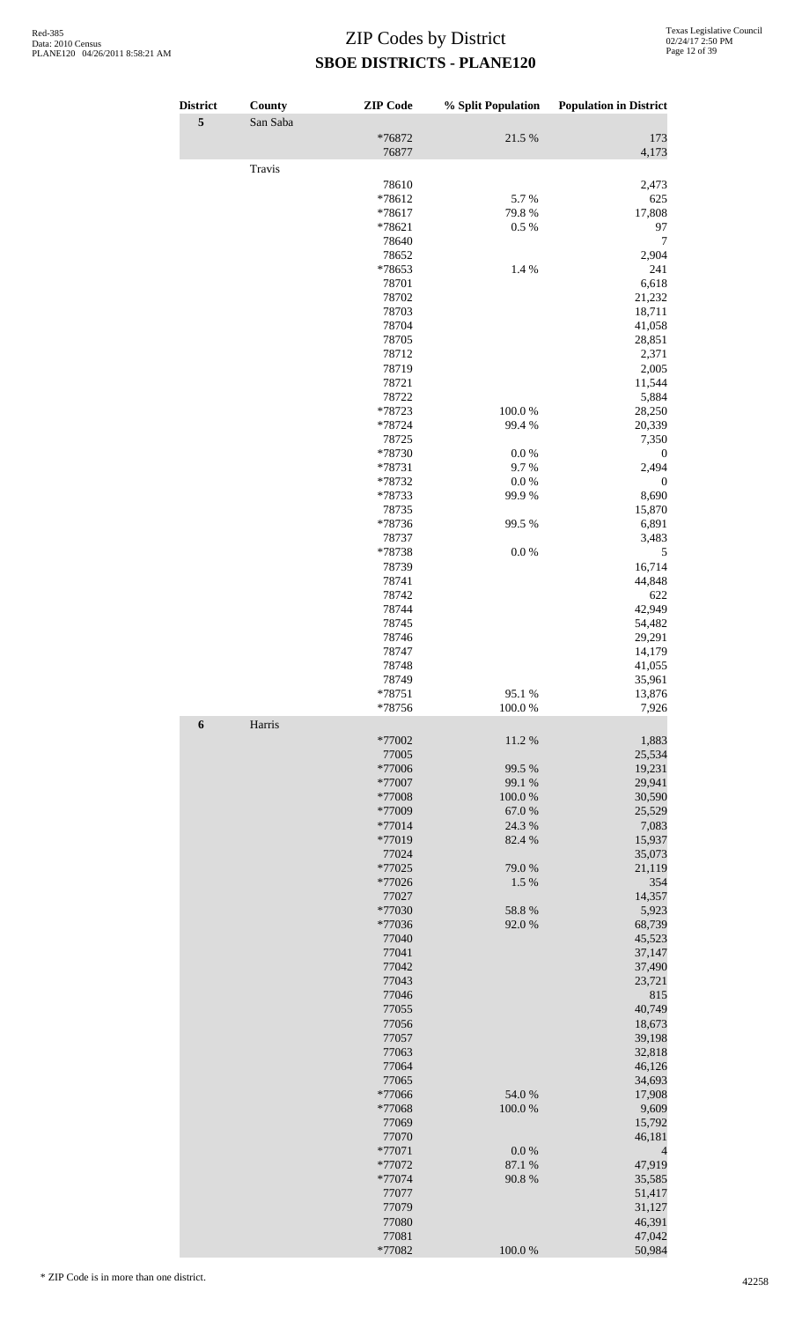| <b>District</b>  | County   | <b>ZIP</b> Code  | % Split Population | <b>Population in District</b> |
|------------------|----------|------------------|--------------------|-------------------------------|
| 5                | San Saba |                  |                    |                               |
|                  |          | *76872<br>76877  | 21.5 %             | 173<br>4,173                  |
|                  | Travis   |                  |                    |                               |
|                  |          | 78610            |                    | 2,473                         |
|                  |          | *78612           | 5.7%               | 625                           |
|                  |          | *78617<br>*78621 | 79.8%<br>0.5 %     | 17,808<br>97                  |
|                  |          | 78640            |                    | 7                             |
|                  |          | 78652            |                    | 2,904                         |
|                  |          | *78653           | 1.4 %              | 241                           |
|                  |          | 78701<br>78702   |                    | 6,618<br>21,232               |
|                  |          | 78703            |                    | 18,711                        |
|                  |          | 78704            |                    | 41,058                        |
|                  |          | 78705            |                    | 28,851                        |
|                  |          | 78712<br>78719   |                    | 2,371<br>2,005                |
|                  |          | 78721            |                    | 11,544                        |
|                  |          | 78722            |                    | 5,884                         |
|                  |          | *78723           | 100.0%             | 28,250                        |
|                  |          | *78724<br>78725  | 99.4 %             | 20,339<br>7,350               |
|                  |          | *78730           | $0.0\ \%$          | $\boldsymbol{0}$              |
|                  |          | *78731           | 9.7%               | 2,494                         |
|                  |          | *78732           | 0.0 %              | $\mathbf{0}$                  |
|                  |          | *78733<br>78735  | 99.9%              | 8,690<br>15,870               |
|                  |          | *78736           | 99.5 %             | 6,891                         |
|                  |          | 78737            |                    | 3,483                         |
|                  |          | *78738           | $0.0\ \%$          | 5                             |
|                  |          | 78739<br>78741   |                    | 16,714<br>44,848              |
|                  |          | 78742            |                    | 622                           |
|                  |          | 78744            |                    | 42,949                        |
|                  |          | 78745            |                    | 54,482                        |
|                  |          | 78746<br>78747   |                    | 29,291<br>14,179              |
|                  |          | 78748            |                    | 41,055                        |
|                  |          | 78749            |                    | 35.961                        |
|                  |          | $*78751$         | 95.1 %             | 13,876                        |
| $\boldsymbol{6}$ | Harris   | $*78756$         | 100.0%             | 7,926                         |
|                  |          | *77002           | 11.2%              | 1,883                         |
|                  |          | 77005            |                    | 25,534                        |
|                  |          | *77006           | 99.5 %             | 19,231                        |
|                  |          | *77007<br>*77008 | 99.1 %<br>100.0%   | 29,941<br>30,590              |
|                  |          | *77009           | 67.0%              | 25,529                        |
|                  |          | *77014           | 24.3 %             | 7,083                         |
|                  |          | *77019           | 82.4 %             | 15,937                        |
|                  |          | 77024<br>*77025  | 79.0%              | 35,073<br>21,119              |
|                  |          | $*77026$         | 1.5 %              | 354                           |
|                  |          | 77027            |                    | 14,357                        |
|                  |          | *77030           | 58.8%              | 5,923                         |
|                  |          | *77036<br>77040  | 92.0%              | 68,739<br>45,523              |
|                  |          | 77041            |                    | 37,147                        |
|                  |          | 77042            |                    | 37,490                        |
|                  |          | 77043<br>77046   |                    | 23,721<br>815                 |
|                  |          | 77055            |                    | 40,749                        |
|                  |          | 77056            |                    | 18,673                        |
|                  |          | 77057            |                    | 39,198                        |
|                  |          | 77063<br>77064   |                    | 32,818<br>46,126              |
|                  |          | 77065            |                    | 34,693                        |
|                  |          | *77066           | 54.0 %             | 17,908                        |
|                  |          | *77068           | 100.0%             | 9,609                         |
|                  |          | 77069<br>77070   |                    | 15,792<br>46,181              |
|                  |          | *77071           | 0.0 %              | 4                             |
|                  |          | *77072           | 87.1 %             | 47,919                        |
|                  |          | *77074           | 90.8%              | 35,585                        |
|                  |          | 77077<br>77079   |                    | 51,417<br>31,127              |
|                  |          | 77080            |                    | 46,391                        |
|                  |          | 77081            |                    | 47,042                        |
|                  |          | *77082           | 100.0%             | 50,984                        |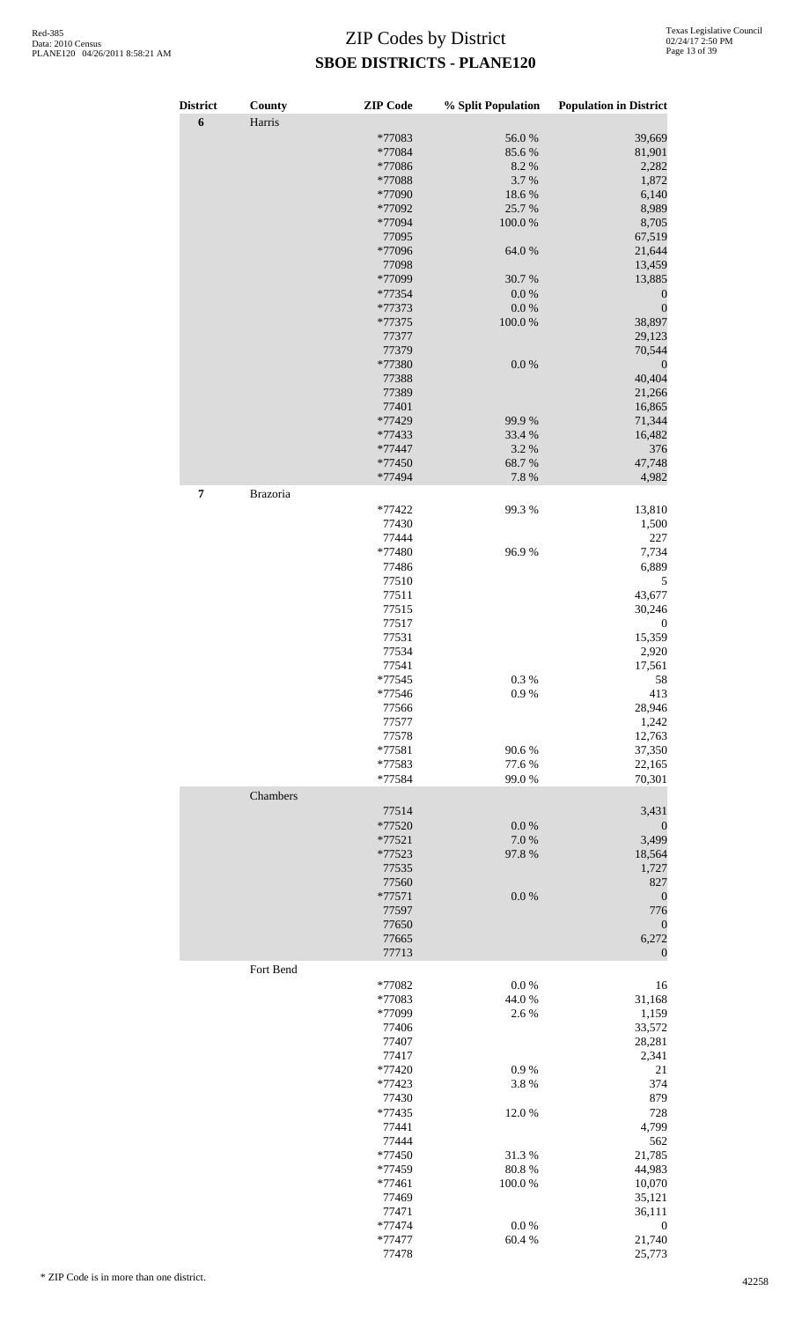| <b>District</b>  | County    | <b>ZIP Code</b>    | % Split Population    | <b>Population in District</b> |
|------------------|-----------|--------------------|-----------------------|-------------------------------|
| $\boldsymbol{6}$ | Harris    |                    |                       |                               |
|                  |           | *77083             | 56.0%                 | 39,669                        |
|                  |           | *77084             | 85.6%                 | 81,901                        |
|                  |           | *77086<br>*77088   | 8.2%<br>3.7%          | 2,282                         |
|                  |           | *77090             | 18.6%                 | 1,872<br>6,140                |
|                  |           | *77092             | 25.7%                 | 8,989                         |
|                  |           | *77094             | $100.0~\%$            | 8,705                         |
|                  |           | 77095              |                       | 67,519                        |
|                  |           | *77096             | 64.0%                 | 21,644                        |
|                  |           | 77098              |                       | 13,459                        |
|                  |           | *77099             | 30.7%                 | 13,885                        |
|                  |           | *77354             | $0.0\ \%$             | $\boldsymbol{0}$              |
|                  |           | *77373             | $0.0\ \%$             | $\boldsymbol{0}$              |
|                  |           | *77375             | 100.0%                | 38,897                        |
|                  |           | 77377              |                       | 29,123                        |
|                  |           | 77379              |                       | 70,544                        |
|                  |           | *77380<br>77388    | $0.0\ \%$             | $\boldsymbol{0}$<br>40,404    |
|                  |           | 77389              |                       | 21,266                        |
|                  |           | 77401              |                       | 16,865                        |
|                  |           | *77429             | 99.9%                 | 71,344                        |
|                  |           | *77433             | 33.4 %                | 16,482                        |
|                  |           | *77447             | 3.2%                  | 376                           |
|                  |           | *77450             | 68.7%                 | 47,748                        |
|                  |           | *77494             | 7.8 %                 | 4,982                         |
| 7                | Brazoria  |                    |                       |                               |
|                  |           | *77422             | 99.3%                 | 13,810                        |
|                  |           | 77430              |                       | 1,500                         |
|                  |           | 77444              |                       | 227                           |
|                  |           | *77480             | 96.9%                 | 7,734                         |
|                  |           | 77486              |                       | 6,889                         |
|                  |           | 77510              |                       | 5                             |
|                  |           | 77511              |                       | 43,677                        |
|                  |           | 77515              |                       | 30,246                        |
|                  |           | 77517              |                       | $\boldsymbol{0}$              |
|                  |           | 77531              |                       | 15,359                        |
|                  |           | 77534              |                       | 2,920                         |
|                  |           | 77541              |                       | 17,561                        |
|                  |           | $*77545$<br>*77546 | $0.3\ \%$<br>$0.9~\%$ | 58                            |
|                  |           | 77566              |                       | 413<br>28,946                 |
|                  |           | 77577              |                       | 1,242                         |
|                  |           | 77578              |                       | 12,763                        |
|                  |           | $*77581$           | 90.6%                 | 37,350                        |
|                  |           | *77583             | 77.6%                 | 22,165                        |
|                  |           | *77584             | 99.0%                 | 70,301                        |
|                  | Chambers  |                    |                       |                               |
|                  |           | 77514              |                       | 3,431                         |
|                  |           | *77520             | $0.0\ \%$             | $\boldsymbol{0}$              |
|                  |           | $*77521$           | 7.0%                  | 3,499                         |
|                  |           | *77523             | 97.8%                 | 18,564                        |
|                  |           | 77535              |                       | 1,727                         |
|                  |           | 77560              |                       | 827                           |
|                  |           | $*77571$           | $0.0\ \%$             | $\boldsymbol{0}$              |
|                  |           | 77597              |                       | 776                           |
|                  |           | 77650              |                       | $\boldsymbol{0}$              |
|                  |           | 77665              |                       | 6,272                         |
|                  |           | 77713              |                       | $\mathbf{0}$                  |
|                  | Fort Bend |                    |                       |                               |
|                  |           | *77082             | $0.0\ \%$             | 16                            |
|                  |           | *77083             | 44.0%                 | 31,168                        |
|                  |           | *77099             | 2.6 %                 | 1,159                         |
|                  |           | 77406<br>77407     |                       | 33,572                        |
|                  |           |                    |                       | 28,281                        |
|                  |           | 77417<br>*77420    | 0.9%                  | 2,341<br>21                   |
|                  |           | *77423             | 3.8%                  | 374                           |
|                  |           | 77430              |                       | 879                           |
|                  |           | *77435             | 12.0%                 | 728                           |
|                  |           | 77441              |                       | 4,799                         |
|                  |           | 77444              |                       | 562                           |
|                  |           | *77450             | 31.3%                 | 21,785                        |
|                  |           | *77459             | 80.8 %                | 44,983                        |
|                  |           | $*77461$           | 100.0%                | 10,070                        |
|                  |           | 77469              |                       | 35,121                        |
|                  |           | 77471              |                       | 36,111                        |
|                  |           | *77474             | $0.0\ \%$             | 0                             |
|                  |           | *77477             | 60.4%                 | 21,740                        |

77478 25,773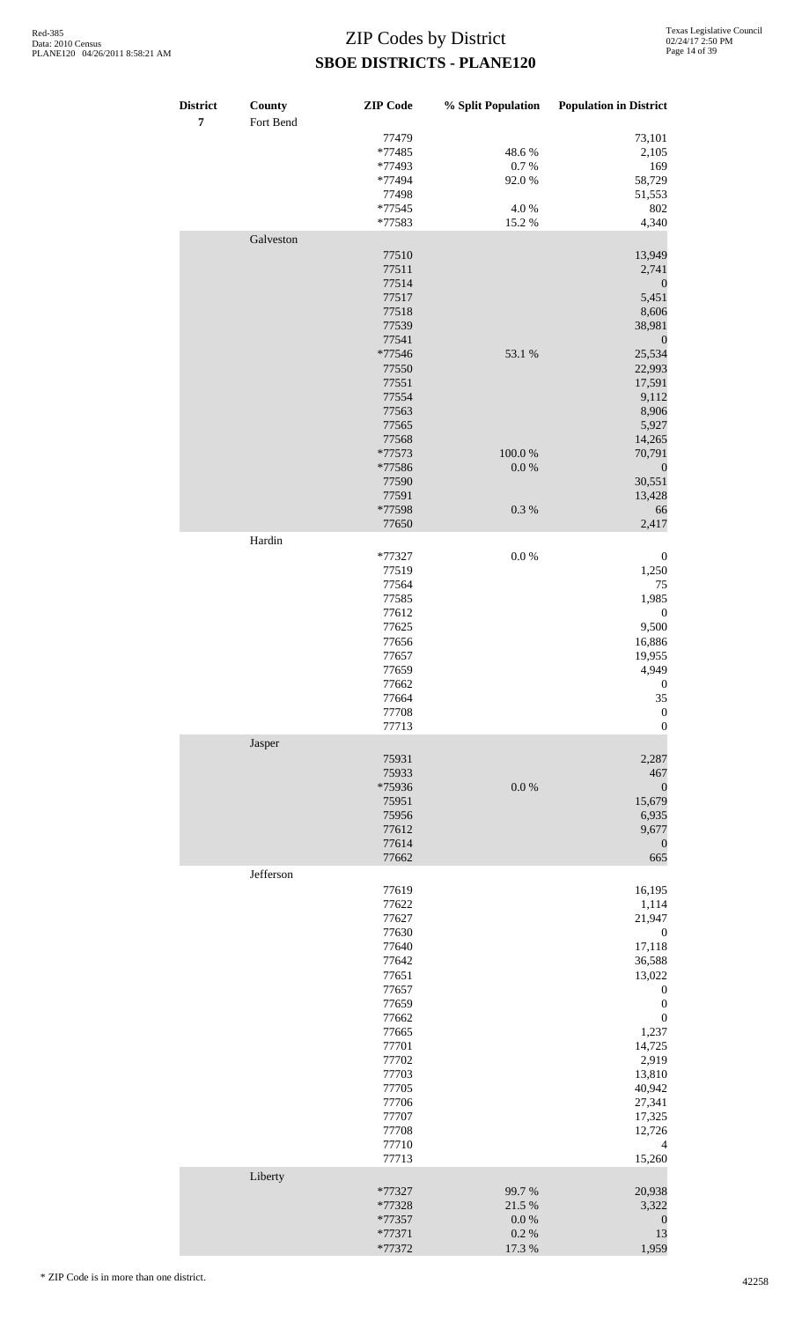| <b>District</b><br>$\overline{7}$ | County<br>Fort Bend | <b>ZIP</b> Code | % Split Population | <b>Population in District</b> |
|-----------------------------------|---------------------|-----------------|--------------------|-------------------------------|
|                                   |                     | 77479           |                    | 73,101                        |
|                                   |                     | *77485          | 48.6%              | 2,105                         |
|                                   |                     | *77493          | $0.7~\%$           | 169                           |
|                                   |                     | *77494          | 92.0%              | 58,729                        |
|                                   |                     | 77498           |                    | 51,553                        |
|                                   |                     | *77545          | 4.0%               | 802                           |
|                                   | Galveston           | *77583          | 15.2 %             | 4,340                         |
|                                   |                     | 77510           |                    | 13,949                        |
|                                   |                     | 77511           |                    | 2,741                         |
|                                   |                     | 77514           |                    | $\boldsymbol{0}$              |
|                                   |                     | 77517           |                    | 5,451                         |
|                                   |                     | 77518           |                    | 8,606                         |
|                                   |                     | 77539           |                    | 38,981                        |
|                                   |                     | 77541           |                    | $\boldsymbol{0}$              |
|                                   |                     | *77546          | 53.1 %             | 25,534                        |
|                                   |                     | 77550           |                    | 22,993                        |
|                                   |                     | 77551           |                    | 17,591                        |
|                                   |                     | 77554           |                    | 9,112                         |
|                                   |                     | 77563           |                    | 8,906                         |
|                                   |                     | 77565           |                    | 5,927                         |
|                                   |                     | 77568           |                    | 14,265                        |
|                                   |                     | *77573          | 100.0%             |                               |
|                                   |                     |                 | $0.0\ \%$          | 70,791                        |
|                                   |                     | *77586          |                    | $\boldsymbol{0}$              |
|                                   |                     | 77590           |                    | 30,551                        |
|                                   |                     | 77591           |                    | 13,428                        |
|                                   |                     | *77598          | $0.3~\%$           | 66                            |
|                                   |                     | 77650           |                    | 2,417                         |
|                                   | Hardin              |                 |                    |                               |
|                                   |                     | *77327          | $0.0\ \%$          | $\boldsymbol{0}$              |
|                                   |                     | 77519           |                    | 1,250                         |
|                                   |                     | 77564           |                    | 75                            |
|                                   |                     | 77585           |                    | 1,985                         |
|                                   |                     | 77612           |                    | $\boldsymbol{0}$              |
|                                   |                     | 77625           |                    | 9,500                         |
|                                   |                     | 77656           |                    | 16,886                        |
|                                   |                     | 77657           |                    | 19,955                        |
|                                   |                     | 77659           |                    | 4,949                         |
|                                   |                     | 77662           |                    | $\boldsymbol{0}$              |
|                                   |                     | 77664           |                    | 35                            |
|                                   |                     | 77708           |                    | $\boldsymbol{0}$              |
|                                   |                     | 77713           |                    | $\boldsymbol{0}$              |
|                                   | Jasper              |                 |                    |                               |
|                                   |                     | 75931           |                    | 2,287                         |
|                                   |                     | 75933           |                    | 467                           |
|                                   |                     | *75936          | $0.0\ \%$          | $\boldsymbol{0}$              |
|                                   |                     | 75951           |                    |                               |
|                                   |                     | 75956           |                    | 15,679<br>6,935               |
|                                   |                     | 77612           |                    |                               |
|                                   |                     |                 |                    | 9,677                         |
|                                   |                     | 77614<br>77662  |                    | $\boldsymbol{0}$              |
|                                   |                     |                 |                    | 665                           |
|                                   | Jefferson           |                 |                    |                               |
|                                   |                     | 77619           |                    | 16,195                        |
|                                   |                     | 77622           |                    | 1,114                         |
|                                   |                     | 77627           |                    | 21,947                        |
|                                   |                     | 77630           |                    | $\boldsymbol{0}$              |
|                                   |                     | 77640           |                    | 17,118                        |
|                                   |                     | 77642           |                    | 36,588                        |
|                                   |                     | 77651           |                    | 13,022                        |
|                                   |                     | 77657           |                    | $\boldsymbol{0}$              |
|                                   |                     | 77659           |                    | $\boldsymbol{0}$              |
|                                   |                     | 77662           |                    | $\boldsymbol{0}$              |
|                                   |                     | 77665           |                    | 1,237                         |
|                                   |                     | 77701           |                    | 14,725                        |
|                                   |                     | 77702           |                    | 2,919                         |
|                                   |                     | 77703           |                    | 13,810                        |
|                                   |                     | 77705           |                    | 40,942                        |
|                                   |                     | 77706           |                    | 27,341                        |
|                                   |                     | 77707           |                    | 17,325                        |
|                                   |                     | 77708           |                    | 12,726                        |
|                                   |                     | 77710           |                    | 4                             |
|                                   |                     | 77713           |                    | 15,260                        |
|                                   | Liberty             | *77327          | 99.7%              | 20,938                        |
|                                   |                     | *77328          | 21.5 %             | 3,322                         |
|                                   |                     | *77357          | $0.0\ \%$          | $\boldsymbol{0}$              |
|                                   |                     | *77371          | $0.2~\%$           | 13                            |
|                                   |                     | *77372          | 17.3 %             | 1,959                         |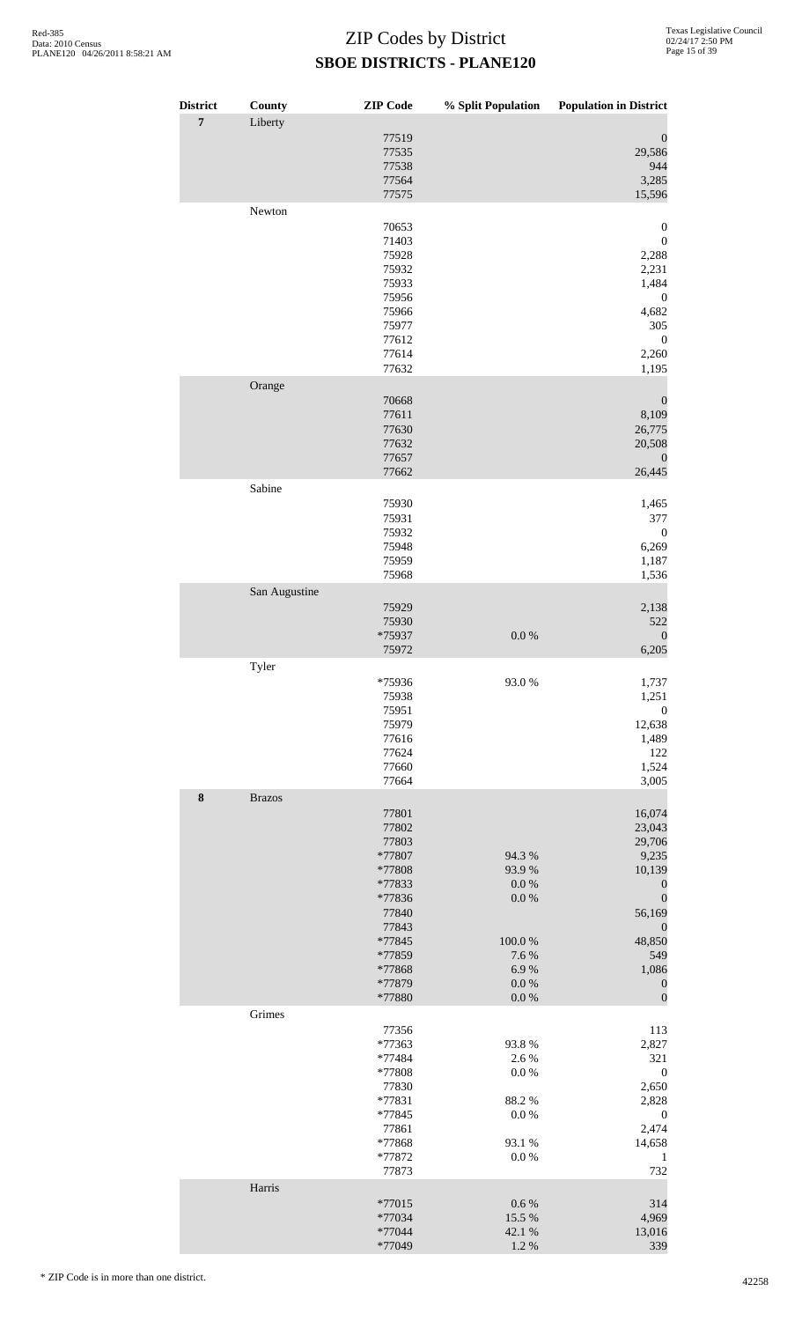| <b>District</b> | County        | <b>ZIP</b> Code  | $\%$ Split Population  | <b>Population in District</b>        |
|-----------------|---------------|------------------|------------------------|--------------------------------------|
| $\overline{7}$  | Liberty       | 77519            |                        | $\boldsymbol{0}$                     |
|                 |               | 77535            |                        | 29,586                               |
|                 |               | 77538            |                        | 944                                  |
|                 |               | 77564<br>77575   |                        | 3,285<br>15,596                      |
|                 | Newton        |                  |                        |                                      |
|                 |               | 70653            |                        | $\boldsymbol{0}$                     |
|                 |               | 71403<br>75928   |                        | $\boldsymbol{0}$<br>2,288            |
|                 |               | 75932            |                        | 2,231                                |
|                 |               | 75933            |                        | 1,484                                |
|                 |               | 75956            |                        | $\boldsymbol{0}$                     |
|                 |               | 75966<br>75977   |                        | 4,682<br>305                         |
|                 |               | 77612            |                        | $\boldsymbol{0}$                     |
|                 |               | 77614            |                        | 2,260                                |
|                 |               | 77632            |                        | 1,195                                |
|                 | Orange        | 70668            |                        | $\boldsymbol{0}$                     |
|                 |               | 77611            |                        | 8,109                                |
|                 |               | 77630            |                        | 26,775                               |
|                 |               | 77632<br>77657   |                        | 20,508<br>$\mathbf{0}$               |
|                 |               | 77662            |                        | 26,445                               |
|                 | Sabine        |                  |                        |                                      |
|                 |               | 75930            |                        | 1,465                                |
|                 |               | 75931            |                        | 377                                  |
|                 |               | 75932<br>75948   |                        | $\boldsymbol{0}$<br>6,269            |
|                 |               | 75959            |                        | 1,187                                |
|                 |               | 75968            |                        | 1,536                                |
|                 | San Augustine | 75929            |                        |                                      |
|                 |               | 75930            |                        | 2,138<br>522                         |
|                 |               | *75937           | $0.0\ \%$              | $\boldsymbol{0}$                     |
|                 |               | 75972            |                        | 6,205                                |
|                 | Tyler         | *75936           | 93.0%                  | 1,737                                |
|                 |               | 75938            |                        | 1,251                                |
|                 |               | 75951            |                        | $\boldsymbol{0}$                     |
|                 |               | 75979<br>77616   |                        | 12,638                               |
|                 |               | 77624            |                        | 1,489<br>122                         |
|                 |               | 77660            |                        | 1,524                                |
|                 |               | 77664            |                        | 3,005                                |
| $\bf 8$         | <b>Brazos</b> | 77801            |                        | 16,074                               |
|                 |               | 77802            |                        | 23,043                               |
|                 |               | 77803            |                        | 29,706                               |
|                 |               | *77807<br>*77808 | 94.3 %<br>93.9%        | 9,235<br>10,139                      |
|                 |               | *77833           | $0.0\ \%$              | $\boldsymbol{0}$                     |
|                 |               | *77836           | $0.0\ \%$              | $\boldsymbol{0}$                     |
|                 |               | 77840            |                        | 56,169                               |
|                 |               | 77843<br>*77845  | $100.0~\%$             | $\boldsymbol{0}$<br>48,850           |
|                 |               | *77859           | 7.6%                   | 549                                  |
|                 |               | *77868           | 6.9%                   | 1,086                                |
|                 |               | *77879<br>*77880 | $0.0\ \%$<br>$0.0\ \%$ | $\boldsymbol{0}$<br>$\boldsymbol{0}$ |
|                 | Grimes        |                  |                        |                                      |
|                 |               | 77356            |                        | 113                                  |
|                 |               | *77363<br>*77484 | 93.8%<br>2.6 %         | 2,827<br>321                         |
|                 |               | *77808           | $0.0\ \%$              | $\boldsymbol{0}$                     |
|                 |               | 77830            |                        | 2,650                                |
|                 |               | *77831<br>*77845 | 88.2%<br>$0.0\ \%$     | 2,828                                |
|                 |               | 77861            |                        | $\boldsymbol{0}$<br>2,474            |
|                 |               | *77868           | 93.1 %                 | 14,658                               |
|                 |               | *77872           | $0.0\ \%$              | $\mathbf{1}$<br>732                  |
|                 | Harris        | 77873            |                        |                                      |
|                 |               | *77015           | $0.6\ \%$              | 314                                  |
|                 |               | *77034           | 15.5 %                 | 4,969                                |
|                 |               | *77044<br>*77049 | 42.1 %<br>1.2 %        | 13,016<br>339                        |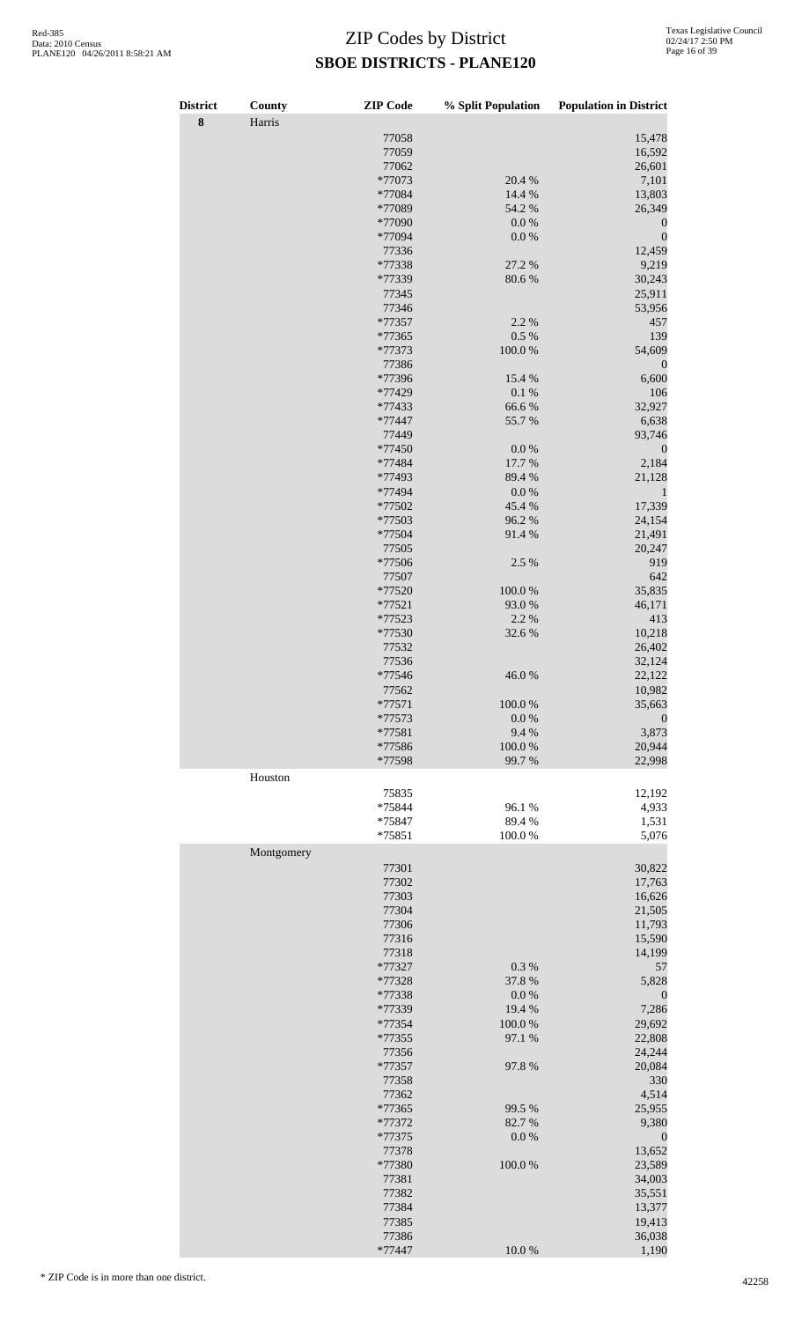| <b>District</b> | County     | <b>ZIP</b> Code  | % Split Population  | <b>Population in District</b> |
|-----------------|------------|------------------|---------------------|-------------------------------|
| $\bf{8}$        | Harris     |                  |                     |                               |
|                 |            | 77058            |                     | 15,478                        |
|                 |            | 77059<br>77062   |                     | 16,592<br>26,601              |
|                 |            | *77073           | 20.4 %              | 7,101                         |
|                 |            | *77084           | 14.4 %              | 13,803                        |
|                 |            | *77089           | 54.2 %              | 26,349                        |
|                 |            | *77090           | $0.0\ \%$           | $\theta$                      |
|                 |            | *77094           | 0.0 %               | $\boldsymbol{0}$              |
|                 |            | 77336            |                     | 12,459                        |
|                 |            | *77338           | 27.2 %              | 9,219                         |
|                 |            | *77339           | 80.6%               | 30,243                        |
|                 |            | 77345            |                     | 25,911                        |
|                 |            | 77346            |                     | 53,956                        |
|                 |            | *77357<br>*77365 | 2.2 %<br>$0.5\ \%$  | 457<br>139                    |
|                 |            | *77373           | $100.0~\%$          | 54,609                        |
|                 |            | 77386            |                     | $\theta$                      |
|                 |            | *77396           | 15.4 %              | 6,600                         |
|                 |            | *77429           | $0.1~\%$            | 106                           |
|                 |            | *77433           | 66.6%               | 32,927                        |
|                 |            | *77447           | 55.7%               | 6,638                         |
|                 |            | 77449            |                     | 93,746                        |
|                 |            | *77450           | $0.0\ \%$           | $\boldsymbol{0}$              |
|                 |            | *77484           | 17.7 %              | 2,184                         |
|                 |            | *77493           | 89.4%               | 21,128                        |
|                 |            | *77494<br>*77502 | $0.0\ \%$<br>45.4 % | 1<br>17,339                   |
|                 |            | *77503           | 96.2%               | 24,154                        |
|                 |            | *77504           | 91.4%               | 21,491                        |
|                 |            | 77505            |                     | 20,247                        |
|                 |            | *77506           | 2.5 %               | 919                           |
|                 |            | 77507            |                     | 642                           |
|                 |            | *77520           | 100.0%              | 35,835                        |
|                 |            | $*77521$         | 93.0%               | 46,171                        |
|                 |            | *77523           | 2.2 %               | 413                           |
|                 |            | *77530           | 32.6%               | 10,218                        |
|                 |            | 77532            |                     | 26,402                        |
|                 |            | 77536<br>*77546  |                     | 32,124                        |
|                 |            | 77562            | 46.0%               | 22,122<br>10,982              |
|                 |            | $*77571$         | 100.0%              | 35,663                        |
|                 |            | *77573           | $0.0\ \%$           | $\boldsymbol{0}$              |
|                 |            | *77581           | 9.4%                | 3,873                         |
|                 |            | *77586           | $100.0~\%$          | 20,944                        |
|                 |            | *77598           | 99.7%               | 22,998                        |
|                 | Houston    |                  |                     |                               |
|                 |            | 75835            |                     | 12,192                        |
|                 |            | *75844           | 96.1%               | 4,933                         |
|                 |            | *75847           | 89.4%               | 1,531                         |
|                 |            | *75851           | 100.0%              | 5,076                         |
|                 | Montgomery |                  |                     |                               |
|                 |            | 77301            |                     | 30,822                        |
|                 |            | 77302            |                     | 17,763                        |
|                 |            | 77303            |                     | 16,626                        |
|                 |            | 77304            |                     | 21,505                        |
|                 |            | 77306<br>77316   |                     | 11,793<br>15,590              |
|                 |            | 77318            |                     | 14,199                        |
|                 |            | *77327           | 0.3 %               | 57                            |
|                 |            | *77328           | 37.8%               | 5,828                         |
|                 |            | *77338           | $0.0\ \%$           | $\boldsymbol{0}$              |
|                 |            | *77339           | 19.4 %              | 7,286                         |
|                 |            | *77354           | 100.0%              | 29,692                        |
|                 |            | *77355           | 97.1 %              | 22,808                        |
|                 |            | 77356            |                     | 24,244                        |
|                 |            | *77357           | 97.8%               | 20,084                        |
|                 |            | 77358            |                     | 330                           |
|                 |            | 77362<br>*77365  | 99.5 %              | 4,514<br>25,955               |
|                 |            | *77372           | 82.7%               | 9,380                         |
|                 |            | *77375           | $0.0\ \%$           | $\boldsymbol{0}$              |
|                 |            | 77378            |                     | 13,652                        |
|                 |            | *77380           | 100.0%              | 23,589                        |
|                 |            | 77381            |                     | 34,003                        |
|                 |            | 77382            |                     | 35,551                        |
|                 |            | 77384            |                     | 13,377                        |
|                 |            | 77385            |                     | 19,413                        |
|                 |            | 77386            |                     | 36,038                        |
|                 |            | $*77447$         | $10.0~\%$           | 1,190                         |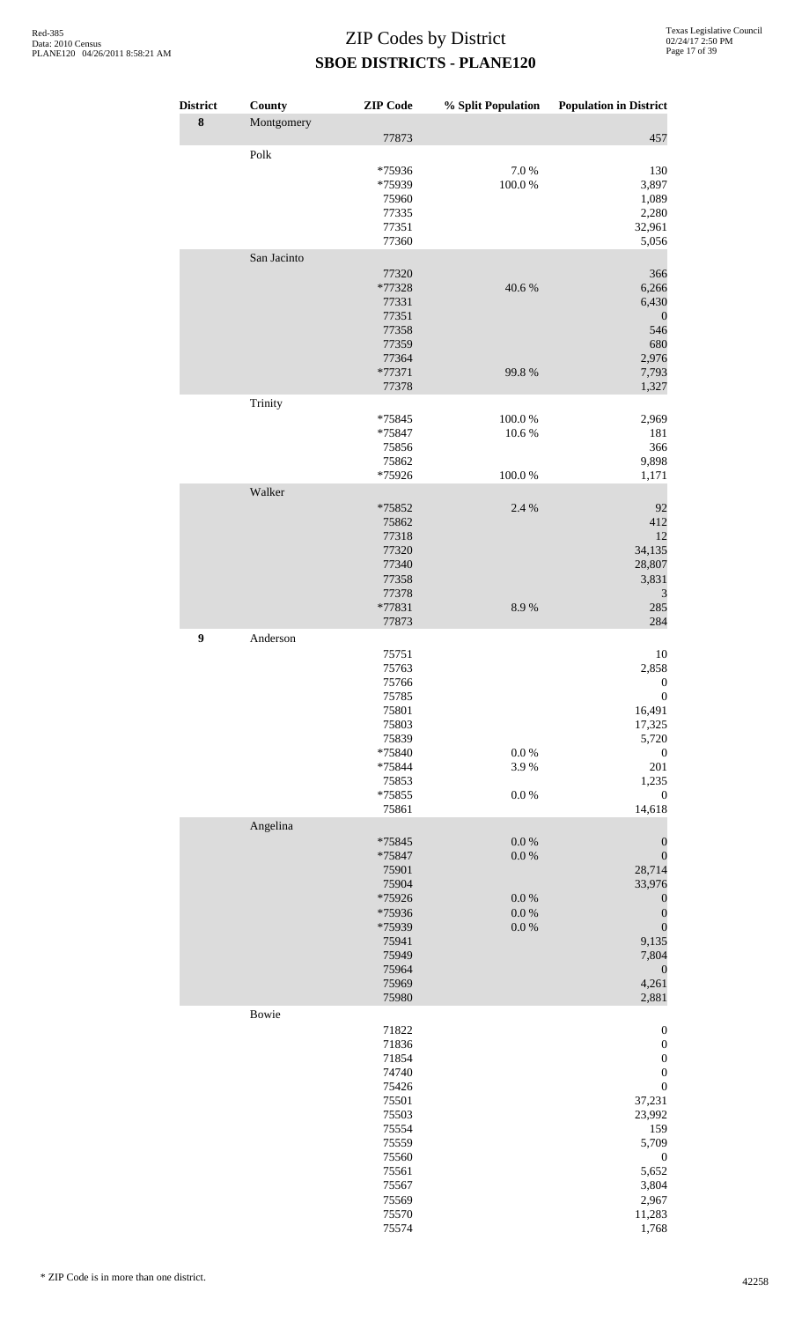| District<br>$\bf 8$ | County<br>Montgomery | <b>ZIP</b> Code                                                                                                                     |                                                               | % Split Population Population in District                                                                                                                                                              |
|---------------------|----------------------|-------------------------------------------------------------------------------------------------------------------------------------|---------------------------------------------------------------|--------------------------------------------------------------------------------------------------------------------------------------------------------------------------------------------------------|
|                     | Polk                 | 77873<br>*75936<br>*75939<br>75960<br>77335<br>77351<br>77360                                                                       | 7.0%<br>100.0%                                                | 457<br>130<br>3,897<br>1,089<br>2,280<br>32,961<br>5,056                                                                                                                                               |
|                     | San Jacinto          | 77320<br>*77328<br>77331<br>77351<br>77358<br>77359<br>77364<br>*77371<br>77378                                                     | 40.6%<br>99.8%                                                | 366<br>6,266<br>6,430<br>$\boldsymbol{0}$<br>546<br>680<br>2,976<br>7,793<br>1,327                                                                                                                     |
|                     | Trinity              | *75845<br>*75847<br>75856<br>75862<br>*75926                                                                                        | 100.0%<br>10.6%<br>100.0%                                     | 2,969<br>181<br>366<br>9,898<br>1,171                                                                                                                                                                  |
|                     | Walker               | *75852<br>75862<br>77318<br>77320<br>77340<br>77358<br>77378<br>*77831<br>77873                                                     | 2.4 %<br>8.9%                                                 | 92<br>412<br>12<br>34,135<br>28,807<br>3,831<br>$\mathfrak{Z}$<br>285<br>284                                                                                                                           |
| 9                   | Anderson             | 75751<br>75763<br>75766<br>75785<br>75801<br>75803<br>75839<br>*75840<br>*75844<br>75853<br>*75855<br>75861                         | $0.0\ \%$<br>3.9%<br>$0.0\ \%$                                | 10<br>2,858<br>$\boldsymbol{0}$<br>$\boldsymbol{0}$<br>16,491<br>17,325<br>5,720<br>$\boldsymbol{0}$<br>201<br>1,235<br>$\boldsymbol{0}$<br>14,618                                                     |
|                     | Angelina             | *75845<br>*75847<br>75901<br>75904<br>*75926<br>*75936<br>*75939<br>75941<br>75949<br>75964<br>75969<br>75980                       | $0.0\ \%$<br>$0.0\ \%$<br>$0.0\ \%$<br>$0.0\ \%$<br>$0.0\ \%$ | $\boldsymbol{0}$<br>$\boldsymbol{0}$<br>28,714<br>33,976<br>$\boldsymbol{0}$<br>$\boldsymbol{0}$<br>$\boldsymbol{0}$<br>9,135<br>7,804<br>$\boldsymbol{0}$<br>4,261<br>2,881                           |
|                     | Bowie                | 71822<br>71836<br>71854<br>74740<br>75426<br>75501<br>75503<br>75554<br>75559<br>75560<br>75561<br>75567<br>75569<br>75570<br>75574 |                                                               | $\boldsymbol{0}$<br>$\boldsymbol{0}$<br>$\boldsymbol{0}$<br>$\boldsymbol{0}$<br>$\boldsymbol{0}$<br>37,231<br>23,992<br>159<br>5,709<br>$\boldsymbol{0}$<br>5,652<br>3,804<br>2,967<br>11,283<br>1,768 |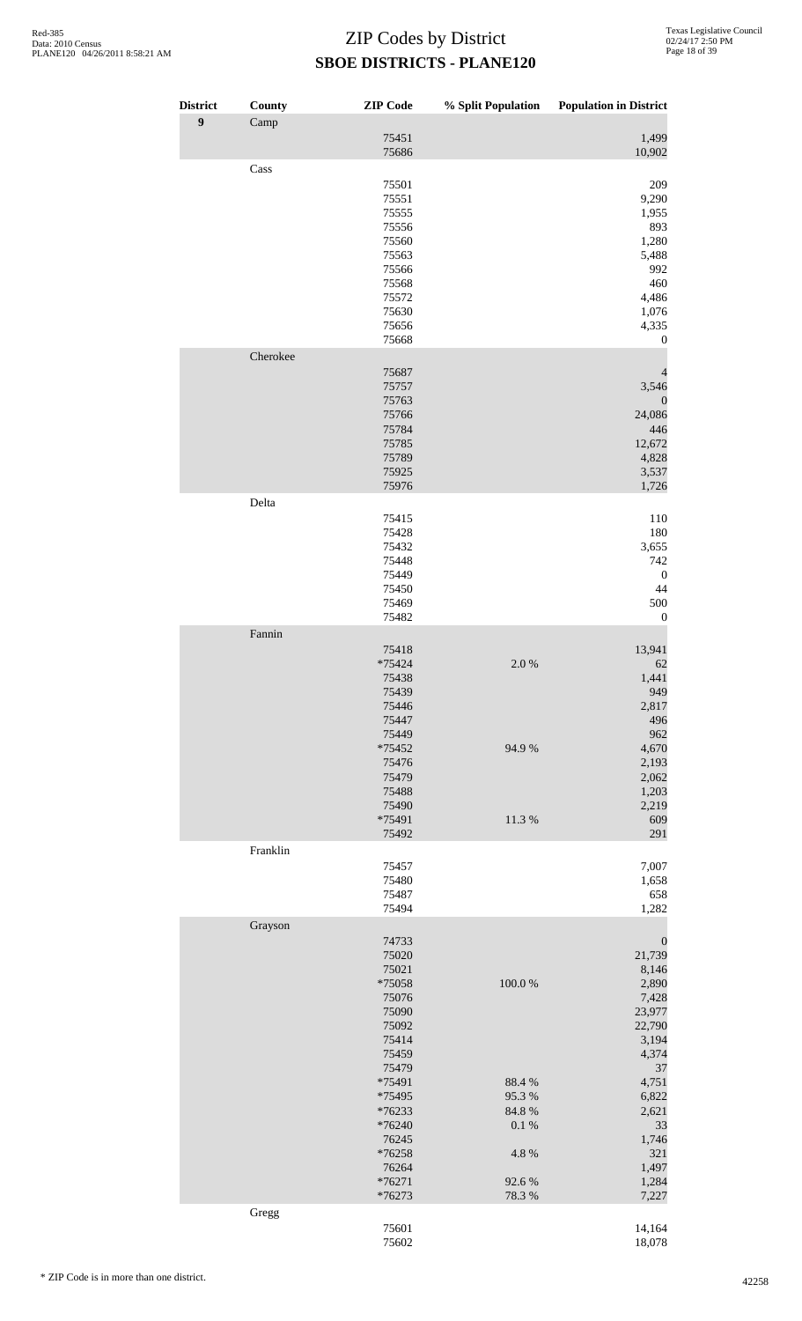| <b>District</b> | County   | <b>ZIP</b> Code                                                                                                                                                                            | % Split Population                                                    | <b>Population in District</b>                                                                                                                                                          |
|-----------------|----------|--------------------------------------------------------------------------------------------------------------------------------------------------------------------------------------------|-----------------------------------------------------------------------|----------------------------------------------------------------------------------------------------------------------------------------------------------------------------------------|
| $\overline{9}$  | Camp     | 75451                                                                                                                                                                                      |                                                                       | 1,499                                                                                                                                                                                  |
|                 |          | 75686                                                                                                                                                                                      |                                                                       | 10,902                                                                                                                                                                                 |
|                 | Cass     | 75501<br>75551<br>75555<br>75556<br>75560<br>75563<br>75566<br>75568<br>75572<br>75630<br>75656<br>75668                                                                                   |                                                                       | 209<br>9,290<br>1,955<br>893<br>1,280<br>5,488<br>992<br>460<br>4,486<br>1,076<br>4,335<br>$\mathbf{0}$                                                                                |
|                 | Cherokee | 75687<br>75757<br>75763<br>75766<br>75784<br>75785<br>75789<br>75925<br>75976                                                                                                              |                                                                       | 3,546<br>$\boldsymbol{0}$<br>24,086<br>446<br>12,672<br>4,828<br>3,537<br>1,726                                                                                                        |
|                 | Delta    | 75415<br>75428<br>75432<br>75448<br>75449<br>75450<br>75469<br>75482                                                                                                                       |                                                                       | 110<br>180<br>3,655<br>742<br>$\mathbf{0}$<br>44<br>500<br>$\boldsymbol{0}$                                                                                                            |
|                 | Fannin   | 75418<br>*75424<br>75438<br>75439<br>75446<br>75447<br>75449<br>*75452<br>75476<br>75479<br>75488<br>75490<br>*75491<br>75492                                                              | 2.0%<br>94.9%<br>11.3%                                                | 13,941<br>62<br>1,441<br>949<br>2,817<br>496<br>962<br>4,670<br>2,193<br>2,062<br>1,203<br>2,219<br>609<br>291                                                                         |
|                 | Franklin | 75457<br>75480<br>75487                                                                                                                                                                    |                                                                       | 7,007<br>1,658<br>658                                                                                                                                                                  |
|                 | Grayson  | 75494<br>74733<br>75020<br>75021<br>*75058<br>75076<br>75090<br>75092<br>75414<br>75459<br>75479<br>*75491<br>*75495<br>*76233<br>*76240<br>76245<br>*76258<br>76264<br>$*76271$<br>*76273 | 100.0%<br>88.4%<br>95.3%<br>84.8%<br>0.1 %<br>4.8%<br>92.6%<br>78.3 % | 1,282<br>$\boldsymbol{0}$<br>21,739<br>8,146<br>2,890<br>7,428<br>23,977<br>22,790<br>3,194<br>4,374<br>37<br>4,751<br>6,822<br>2,621<br>33<br>1,746<br>321<br>1,497<br>1,284<br>7,227 |
|                 | Gregg    | 75601<br>75602                                                                                                                                                                             |                                                                       | 14,164<br>18,078                                                                                                                                                                       |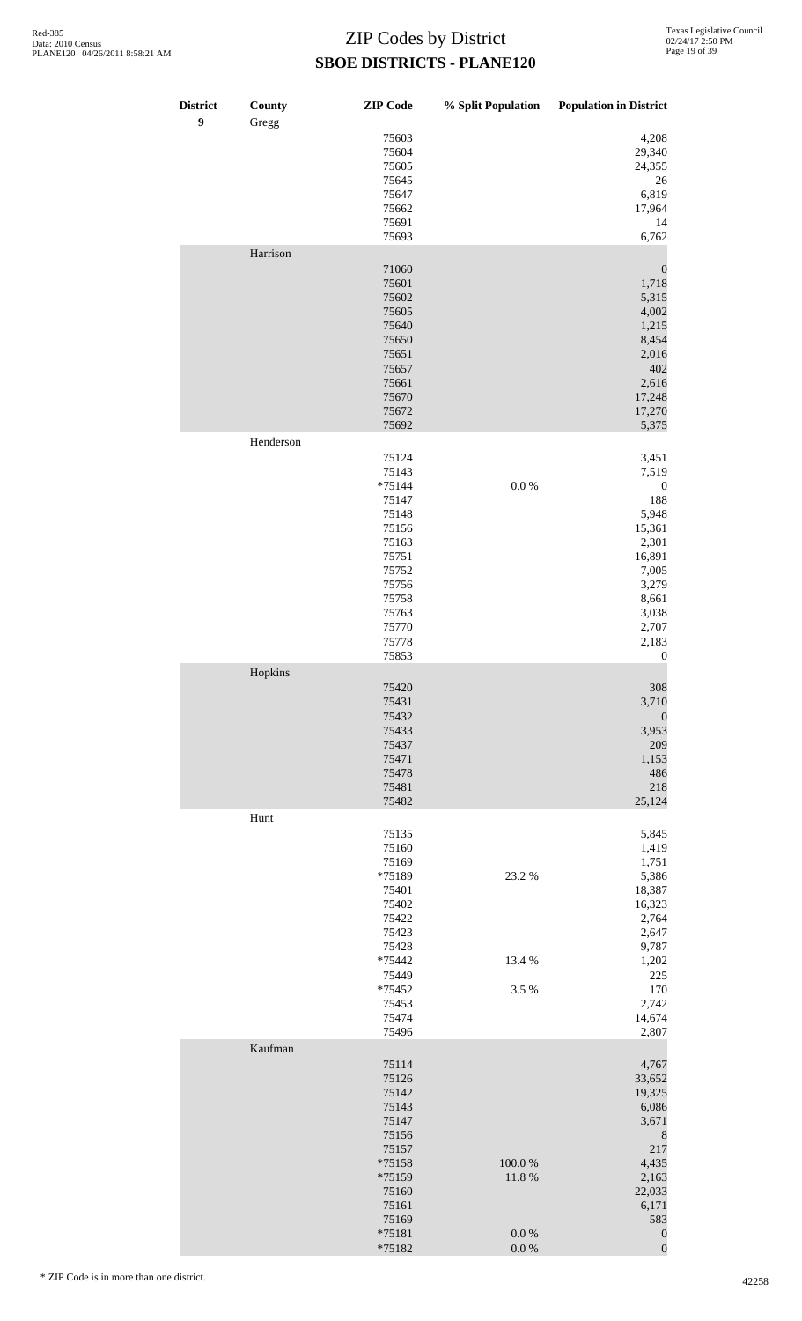| <b>District</b><br>$\boldsymbol{9}$ | County<br>Gregg | <b>ZIP</b> Code    | % Split Population     | <b>Population in District</b>        |
|-------------------------------------|-----------------|--------------------|------------------------|--------------------------------------|
|                                     |                 | 75603<br>75604     |                        | 4,208<br>29,340                      |
|                                     |                 | 75605<br>75645     |                        | 24,355<br>26                         |
|                                     |                 | 75647              |                        | 6,819                                |
|                                     |                 | 75662<br>75691     |                        | 17,964<br>14                         |
|                                     | Harrison        | 75693              |                        | 6,762                                |
|                                     |                 | 71060              |                        | $\boldsymbol{0}$                     |
|                                     |                 | 75601<br>75602     |                        | 1,718<br>5,315                       |
|                                     |                 | 75605<br>75640     |                        | 4,002<br>1,215                       |
|                                     |                 | 75650              |                        | 8,454                                |
|                                     |                 | 75651<br>75657     |                        | 2,016<br>402                         |
|                                     |                 | 75661<br>75670     |                        | 2,616<br>17,248                      |
|                                     |                 | 75672<br>75692     |                        | 17,270<br>5,375                      |
|                                     | Henderson       |                    |                        |                                      |
|                                     |                 | 75124<br>75143     |                        | 3,451<br>7,519                       |
|                                     |                 | $*75144$<br>75147  | $0.0\ \%$              | $\boldsymbol{0}$<br>188              |
|                                     |                 | 75148              |                        | 5,948                                |
|                                     |                 | 75156<br>75163     |                        | 15,361<br>2,301                      |
|                                     |                 | 75751<br>75752     |                        | 16,891<br>7,005                      |
|                                     |                 | 75756<br>75758     |                        | 3,279<br>8,661                       |
|                                     |                 | 75763              |                        | 3,038                                |
|                                     |                 | 75770<br>75778     |                        | 2,707<br>2,183                       |
|                                     | Hopkins         | 75853              |                        | $\boldsymbol{0}$                     |
|                                     |                 | 75420<br>75431     |                        | 308<br>3,710                         |
|                                     |                 | 75432              |                        | $\boldsymbol{0}$                     |
|                                     |                 | 75433<br>75437     |                        | 3,953<br>209                         |
|                                     |                 | 75471<br>75478     |                        | 1,153<br>486                         |
|                                     |                 | 75481<br>75482     |                        | 218<br>25,124                        |
|                                     | Hunt            |                    |                        |                                      |
|                                     |                 | 75135<br>75160     |                        | 5,845<br>1,419                       |
|                                     |                 | 75169<br>*75189    | 23.2 %                 | 1,751<br>5,386                       |
|                                     |                 | 75401<br>75402     |                        | 18,387<br>16,323                     |
|                                     |                 | 75422              |                        | 2,764                                |
|                                     |                 | 75423<br>75428     |                        | 2,647<br>9,787                       |
|                                     |                 | *75442<br>75449    | 13.4 %                 | 1,202<br>225                         |
|                                     |                 | *75452<br>75453    | 3.5 %                  | 170<br>2,742                         |
|                                     |                 | 75474              |                        | 14,674                               |
|                                     | Kaufman         | 75496              |                        | 2,807                                |
|                                     |                 | 75114<br>75126     |                        | 4,767<br>33,652                      |
|                                     |                 | 75142<br>75143     |                        | 19,325<br>6,086                      |
|                                     |                 | 75147              |                        | 3,671                                |
|                                     |                 | 75156<br>75157     |                        | $\,$ 8 $\,$<br>217                   |
|                                     |                 | *75158<br>*75159   | 100.0%<br>11.8 %       | 4,435<br>2,163                       |
|                                     |                 | 75160              |                        | 22,033                               |
|                                     |                 | 75161<br>75169     |                        | 6,171<br>583                         |
|                                     |                 | $*75181$<br>*75182 | $0.0\ \%$<br>$0.0\ \%$ | $\boldsymbol{0}$<br>$\boldsymbol{0}$ |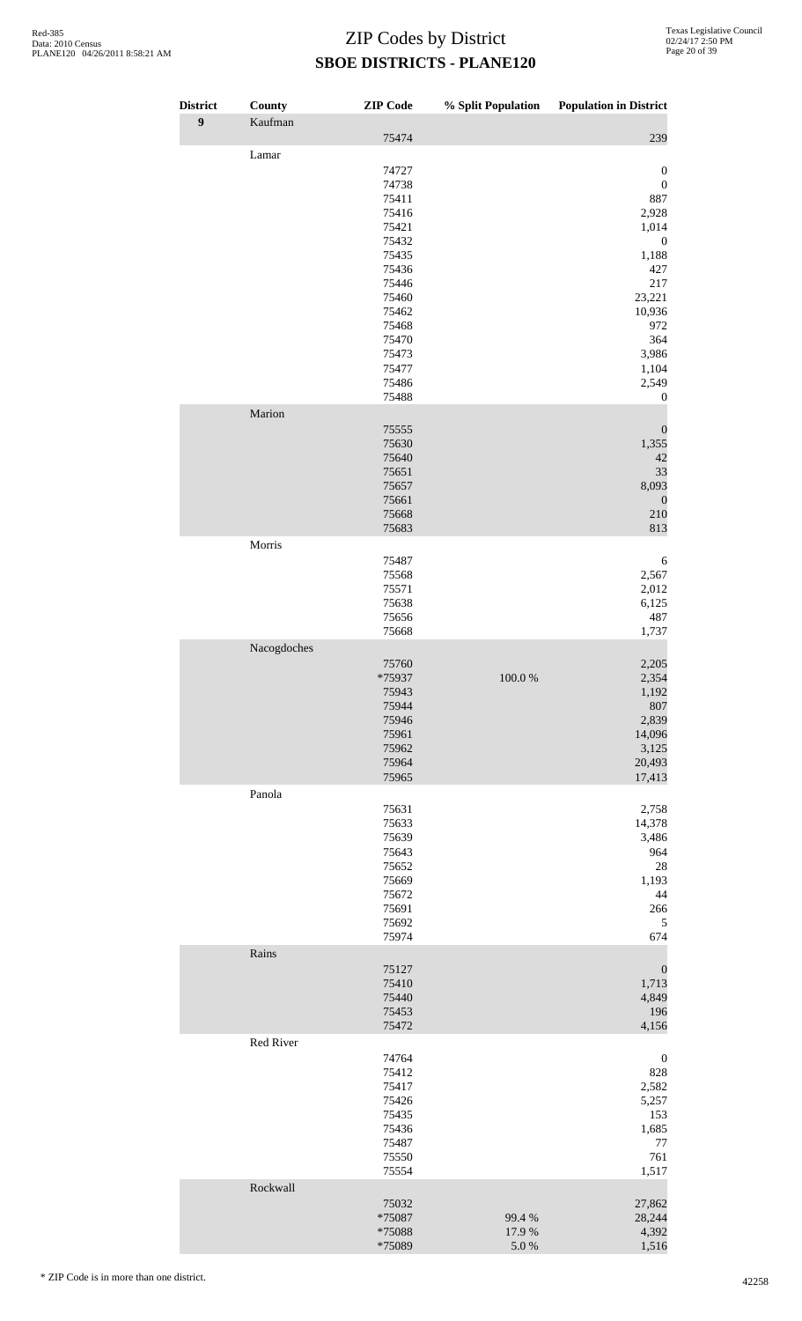| <b>District</b>  | County      | <b>ZIP</b> Code  | % Split Population | <b>Population in District</b>        |
|------------------|-------------|------------------|--------------------|--------------------------------------|
| $\boldsymbol{9}$ | Kaufman     | 75474            |                    | 239                                  |
|                  | Lamar       | 74727            |                    | $\boldsymbol{0}$<br>$\boldsymbol{0}$ |
|                  |             | 74738<br>75411   |                    | 887                                  |
|                  |             | 75416            |                    | 2,928                                |
|                  |             | 75421            |                    | 1,014                                |
|                  |             | 75432            |                    | $\boldsymbol{0}$                     |
|                  |             | 75435            |                    | 1,188                                |
|                  |             | 75436            |                    | 427                                  |
|                  |             | 75446            |                    | 217                                  |
|                  |             | 75460<br>75462   |                    | 23,221                               |
|                  |             | 75468            |                    | 10,936<br>972                        |
|                  |             | 75470            |                    | 364                                  |
|                  |             | 75473            |                    | 3,986                                |
|                  |             | 75477            |                    | 1,104                                |
|                  |             | 75486<br>75488   |                    | 2,549<br>$\boldsymbol{0}$            |
|                  | Marion      |                  |                    |                                      |
|                  |             | 75555            |                    | $\boldsymbol{0}$                     |
|                  |             | 75630            |                    | 1,355                                |
|                  |             | 75640            |                    | 42                                   |
|                  |             | 75651<br>75657   |                    | 33<br>8,093                          |
|                  |             | 75661            |                    | $\mathbf{0}$                         |
|                  |             | 75668            |                    | 210                                  |
|                  |             | 75683            |                    | 813                                  |
|                  | Morris      |                  |                    |                                      |
|                  |             | 75487            |                    | 6                                    |
|                  |             | 75568<br>75571   |                    | 2,567<br>2,012                       |
|                  |             | 75638            |                    | 6,125                                |
|                  |             | 75656            |                    | 487                                  |
|                  |             | 75668            |                    | 1,737                                |
|                  | Nacogdoches | 75760            |                    | 2,205                                |
|                  |             | *75937           | 100.0%             | 2,354                                |
|                  |             | 75943            |                    | 1,192                                |
|                  |             | 75944            |                    | 807                                  |
|                  |             | 75946            |                    | 2,839                                |
|                  |             | 75961            |                    | 14,096                               |
|                  |             | 75962            |                    | 3,125                                |
|                  |             | 75964<br>75965   |                    | 20,493<br>17,413                     |
|                  | Panola      |                  |                    |                                      |
|                  |             | 75631            |                    | 2,758                                |
|                  |             | 75633            |                    | 14,378                               |
|                  |             | 75639<br>75643   |                    | 3,486<br>964                         |
|                  |             | 75652            |                    | 28                                   |
|                  |             | 75669            |                    | 1,193                                |
|                  |             | 75672            |                    | 44                                   |
|                  |             | 75691            |                    | 266                                  |
|                  |             | 75692<br>75974   |                    | 5<br>674                             |
|                  | Rains       |                  |                    |                                      |
|                  |             | 75127            |                    | $\boldsymbol{0}$                     |
|                  |             | 75410            |                    | 1,713                                |
|                  |             | 75440            |                    | 4,849                                |
|                  |             | 75453<br>75472   |                    | 196<br>4,156                         |
|                  | Red River   |                  |                    |                                      |
|                  |             | 74764            |                    | $\boldsymbol{0}$                     |
|                  |             | 75412<br>75417   |                    | 828<br>2,582                         |
|                  |             | 75426            |                    | 5,257                                |
|                  |             | 75435            |                    | 153                                  |
|                  |             | 75436            |                    | 1,685                                |
|                  |             | 75487            |                    | 77                                   |
|                  |             | 75550<br>75554   |                    | 761<br>1,517                         |
|                  | Rockwall    |                  |                    |                                      |
|                  |             | 75032            |                    | 27,862                               |
|                  |             | *75087           | 99.4%              | 28,244                               |
|                  |             | *75088<br>*75089 | 17.9%<br>$5.0\ \%$ | 4,392<br>1,516                       |
|                  |             |                  |                    |                                      |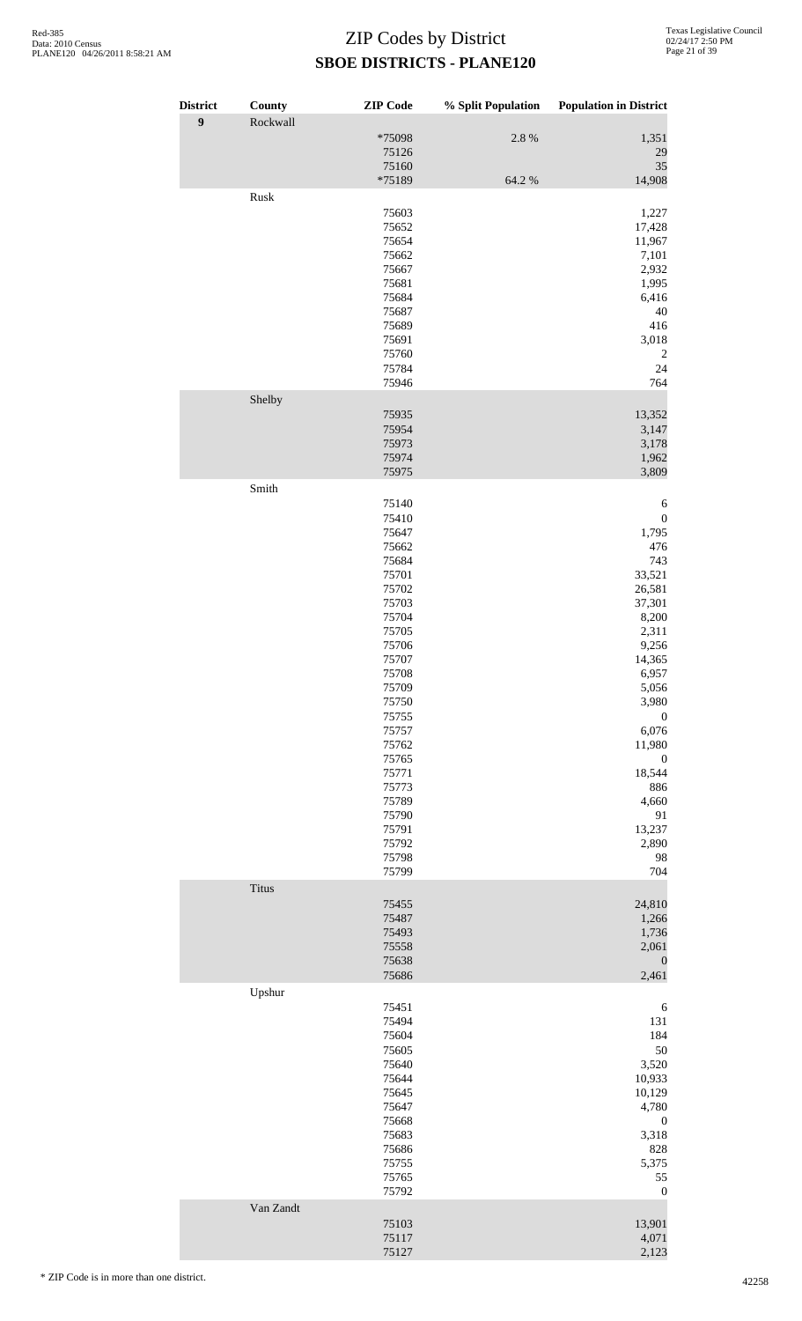| <b>District</b><br>$\boldsymbol{9}$ | County<br>Rockwall | <b>ZIP</b> Code          | % Split Population | <b>Population in District</b> |
|-------------------------------------|--------------------|--------------------------|--------------------|-------------------------------|
|                                     |                    | *75098<br>75126<br>75160 | 2.8 %              | 1,351<br>29<br>35             |
|                                     |                    | *75189                   | 64.2 %             | 14,908                        |
|                                     | Rusk               | 75603                    |                    | 1,227                         |
|                                     |                    | 75652                    |                    | 17,428                        |
|                                     |                    | 75654                    |                    | 11,967                        |
|                                     |                    | 75662                    |                    | 7,101                         |
|                                     |                    | 75667<br>75681           |                    | 2,932<br>1,995                |
|                                     |                    | 75684                    |                    | 6,416                         |
|                                     |                    | 75687                    |                    | 40                            |
|                                     |                    | 75689<br>75691           |                    | 416<br>3,018                  |
|                                     |                    | 75760                    |                    | 2                             |
|                                     |                    | 75784                    |                    | 24                            |
|                                     |                    | 75946                    |                    | 764                           |
|                                     | Shelby             | 75935                    |                    | 13,352                        |
|                                     |                    | 75954                    |                    | 3,147                         |
|                                     |                    | 75973                    |                    | 3,178                         |
|                                     |                    | 75974                    |                    | 1,962                         |
|                                     | Smith              | 75975                    |                    | 3,809                         |
|                                     |                    | 75140                    |                    | 6                             |
|                                     |                    | 75410                    |                    | $\boldsymbol{0}$              |
|                                     |                    | 75647                    |                    | 1,795                         |
|                                     |                    | 75662<br>75684           |                    | 476<br>743                    |
|                                     |                    | 75701                    |                    | 33,521                        |
|                                     |                    | 75702                    |                    | 26,581                        |
|                                     |                    | 75703                    |                    | 37,301                        |
|                                     |                    | 75704<br>75705           |                    | 8,200<br>2,311                |
|                                     |                    | 75706                    |                    | 9,256                         |
|                                     |                    | 75707                    |                    | 14,365                        |
|                                     |                    | 75708<br>75709           |                    | 6,957<br>5,056                |
|                                     |                    | 75750                    |                    | 3,980                         |
|                                     |                    | 75755                    |                    | $\boldsymbol{0}$              |
|                                     |                    | 75757                    |                    | 6,076                         |
|                                     |                    | 75762<br>75765           |                    | 11,980<br>$\boldsymbol{0}$    |
|                                     |                    | 75771                    |                    | 18,544                        |
|                                     |                    | 75773                    |                    | 886                           |
|                                     |                    | 75789                    |                    | 4,660                         |
|                                     |                    | 75790<br>75791           |                    | 91<br>13,237                  |
|                                     |                    | 75792                    |                    | 2,890                         |
|                                     |                    | 75798                    |                    | 98                            |
|                                     |                    | 75799                    |                    | 704                           |
|                                     | <b>Titus</b>       | 75455                    |                    | 24,810                        |
|                                     |                    | 75487                    |                    | 1,266                         |
|                                     |                    | 75493                    |                    | 1,736                         |
|                                     |                    | 75558<br>75638           |                    | 2,061<br>$\boldsymbol{0}$     |
|                                     |                    | 75686                    |                    | 2,461                         |
|                                     | Upshur             |                          |                    |                               |
|                                     |                    | 75451                    |                    | 6                             |
|                                     |                    | 75494<br>75604           |                    | 131<br>184                    |
|                                     |                    | 75605                    |                    | 50                            |
|                                     |                    | 75640                    |                    | 3,520                         |
|                                     |                    | 75644<br>75645           |                    | 10,933<br>10,129              |
|                                     |                    | 75647                    |                    | 4,780                         |
|                                     |                    | 75668                    |                    | $\boldsymbol{0}$              |
|                                     |                    | 75683                    |                    | 3,318                         |
|                                     |                    | 75686<br>75755           |                    | 828<br>5,375                  |
|                                     |                    | 75765                    |                    | 55                            |
|                                     |                    | 75792                    |                    | $\boldsymbol{0}$              |
|                                     | Van Zandt          |                          |                    |                               |
|                                     |                    | 75103<br>75117           |                    | 13,901<br>4,071               |
|                                     |                    | 75127                    |                    | 2,123                         |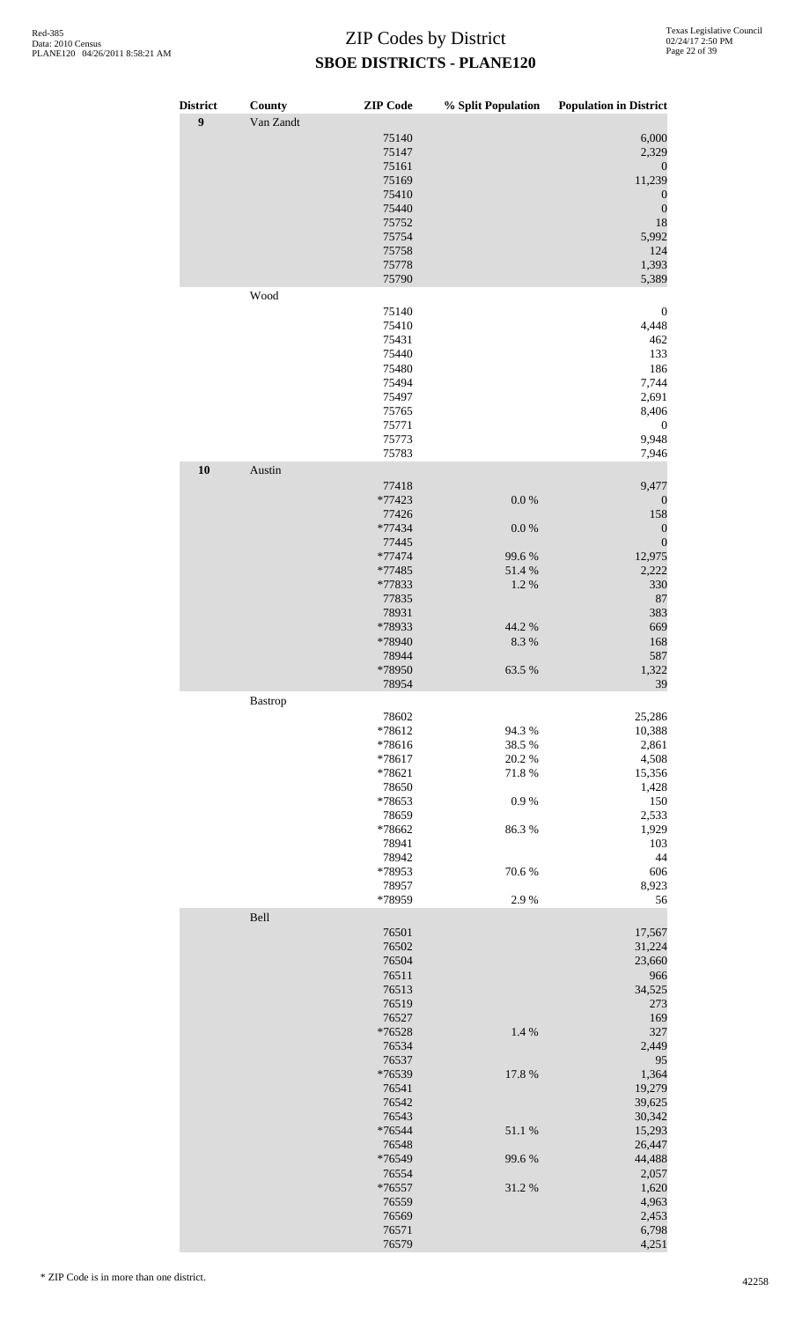| <b>District</b><br>$\boldsymbol{9}$ | County<br>Van Zandt | <b>ZIP</b> Code | % Split Population | <b>Population in District</b> |
|-------------------------------------|---------------------|-----------------|--------------------|-------------------------------|
|                                     |                     | 75140           |                    | 6,000                         |
|                                     |                     | 75147           |                    | 2,329                         |
|                                     |                     | 75161<br>75169  |                    | $\boldsymbol{0}$<br>11,239    |
|                                     |                     | 75410           |                    | $\boldsymbol{0}$              |
|                                     |                     | 75440           |                    | $\boldsymbol{0}$              |
|                                     |                     | 75752           |                    | 18                            |
|                                     |                     | 75754<br>75758  |                    | 5,992<br>124                  |
|                                     |                     | 75778           |                    | 1,393                         |
|                                     |                     | 75790           |                    | 5,389                         |
|                                     | Wood                |                 |                    |                               |
|                                     |                     | 75140<br>75410  |                    | $\boldsymbol{0}$<br>4,448     |
|                                     |                     | 75431           |                    | 462                           |
|                                     |                     | 75440           |                    | 133                           |
|                                     |                     | 75480<br>75494  |                    | 186<br>7,744                  |
|                                     |                     | 75497           |                    | 2,691                         |
|                                     |                     | 75765           |                    | 8,406                         |
|                                     |                     | 75771           |                    | $\boldsymbol{0}$              |
|                                     |                     | 75773<br>75783  |                    | 9,948<br>7,946                |
| 10                                  | Austin              |                 |                    |                               |
|                                     |                     | 77418           |                    | 9,477                         |
|                                     |                     | *77423          | $0.0\ \%$          | $\boldsymbol{0}$              |
|                                     |                     | 77426<br>*77434 | $0.0\ \%$          | 158<br>$\boldsymbol{0}$       |
|                                     |                     | 77445           |                    | $\boldsymbol{0}$              |
|                                     |                     | $*77474$        | 99.6%              | 12,975                        |
|                                     |                     | *77485          | 51.4 %             | 2,222                         |
|                                     |                     | *77833<br>77835 | 1.2 %              | 330<br>87                     |
|                                     |                     | 78931           |                    | 383                           |
|                                     |                     | *78933          | 44.2 %             | 669                           |
|                                     |                     | *78940<br>78944 | 8.3%               | 168<br>587                    |
|                                     |                     | *78950          | 63.5 %             | 1,322                         |
|                                     |                     | 78954           |                    | 39                            |
|                                     | Bastrop             |                 |                    |                               |
|                                     |                     | 78602<br>*78612 | 94.3 %             | 25,286<br>10,388              |
|                                     |                     | *78616          | 38.5 %             | 2,861                         |
|                                     |                     | *78617          | 20.2 %             | 4,508                         |
|                                     |                     | *78621<br>78650 | 71.8%              | 15,356<br>1,428               |
|                                     |                     | *78653          | 0.9%               | 150                           |
|                                     |                     | 78659           |                    | 2,533                         |
|                                     |                     | *78662<br>78941 | 86.3%              | 1,929<br>103                  |
|                                     |                     | 78942           |                    | 44                            |
|                                     |                     | *78953          | 70.6%              | 606                           |
|                                     |                     | 78957           |                    | 8,923                         |
|                                     | Bell                | *78959          | 2.9%               | 56                            |
|                                     |                     | 76501           |                    | 17,567                        |
|                                     |                     | 76502           |                    | 31,224                        |
|                                     |                     | 76504           |                    | 23,660                        |
|                                     |                     | 76511<br>76513  |                    | 966<br>34,525                 |
|                                     |                     | 76519           |                    | 273                           |
|                                     |                     | 76527           |                    | 169                           |
|                                     |                     | *76528<br>76534 | 1.4 %              | 327<br>2,449                  |
|                                     |                     | 76537           |                    | 95                            |
|                                     |                     | *76539          | 17.8 %             | 1,364                         |
|                                     |                     | 76541<br>76542  |                    | 19,279<br>39,625              |
|                                     |                     | 76543           |                    | 30,342                        |
|                                     |                     | *76544          | 51.1%              | 15,293                        |
|                                     |                     | 76548           |                    | 26,447                        |
|                                     |                     | *76549<br>76554 | 99.6%              | 44,488<br>2,057               |
|                                     |                     | *76557          | 31.2%              | 1,620                         |
|                                     |                     | 76559           |                    | 4,963                         |
|                                     |                     | 76569<br>76571  |                    | 2,453<br>6,798                |
|                                     |                     | 76579           |                    | 4,251                         |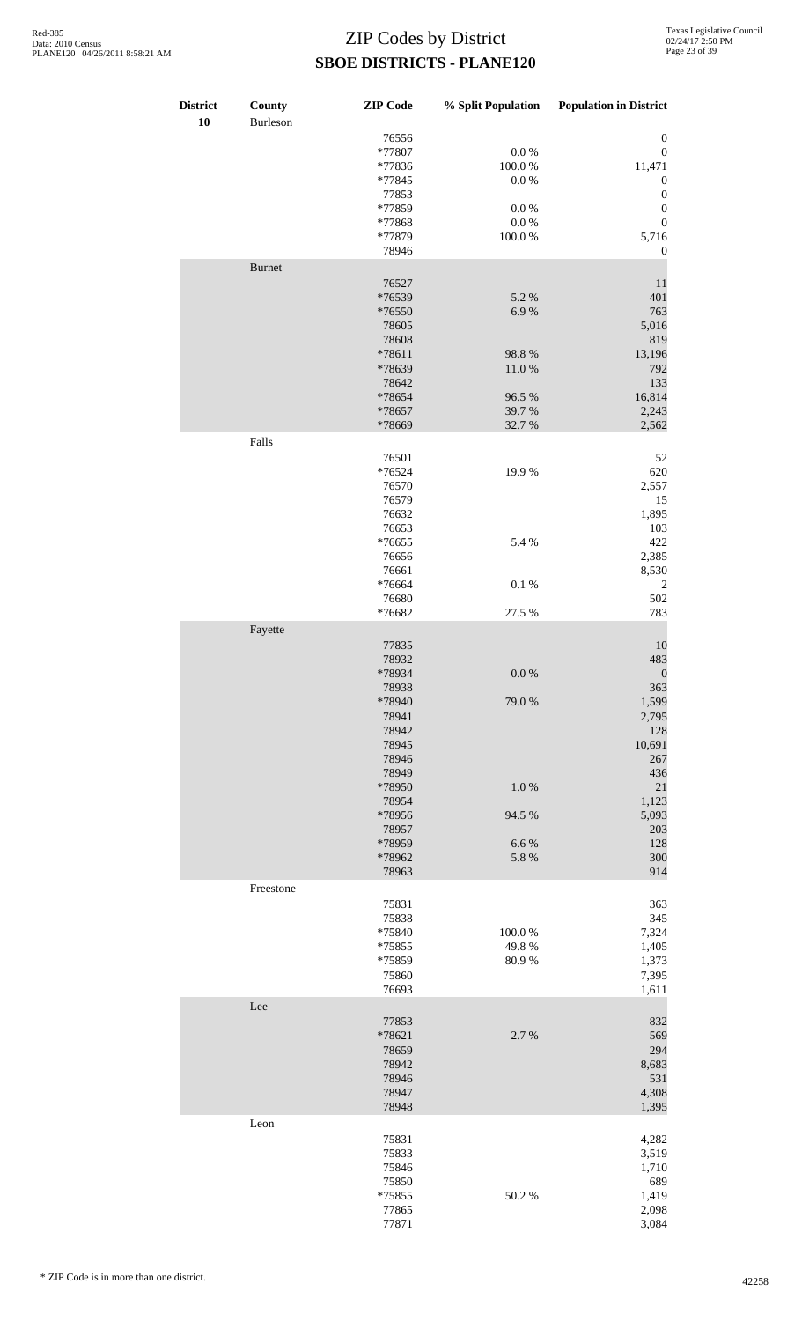| <b>District</b><br>10 | County<br>Burleson | <b>ZIP</b> Code | % Split Population | <b>Population in District</b> |
|-----------------------|--------------------|-----------------|--------------------|-------------------------------|
|                       |                    | 76556           |                    | $\boldsymbol{0}$              |
|                       |                    | *77807          | $0.0\ \%$          | $\boldsymbol{0}$              |
|                       |                    | *77836          | $100.0~\%$         | 11,471                        |
|                       |                    | *77845          | 0.0 %              | $\boldsymbol{0}$              |
|                       |                    | 77853           |                    | $\boldsymbol{0}$              |
|                       |                    | *77859          | $0.0\ \%$          | $\boldsymbol{0}$              |
|                       |                    | *77868          | $0.0\ \%$          | $\boldsymbol{0}$              |
|                       |                    | *77879          | $100.0~\%$         | 5,716                         |
|                       |                    | 78946           |                    | $\boldsymbol{0}$              |
|                       | <b>Burnet</b>      |                 |                    |                               |
|                       |                    | 76527           |                    | 11                            |
|                       |                    | *76539          | 5.2 %              | 401                           |
|                       |                    | *76550          | 6.9%               | 763                           |
|                       |                    | 78605           |                    | 5,016                         |
|                       |                    | 78608           |                    | 819                           |
|                       |                    | *78611          | 98.8%              | 13,196                        |
|                       |                    | *78639          | 11.0%              | 792                           |
|                       |                    | 78642           |                    | 133                           |
|                       |                    | *78654          | 96.5 %             | 16,814                        |
|                       |                    | *78657          | 39.7%              | 2,243                         |
|                       |                    | *78669          | 32.7 %             | 2,562                         |
|                       | Falls              |                 |                    |                               |
|                       |                    | 76501           |                    | 52                            |
|                       |                    | *76524          | 19.9%              | 620                           |
|                       |                    |                 |                    |                               |
|                       |                    | 76570           |                    | 2,557                         |
|                       |                    | 76579           |                    | 15                            |
|                       |                    | 76632           |                    | 1,895                         |
|                       |                    | 76653           |                    | 103                           |
|                       |                    | *76655          | 5.4 %              | 422                           |
|                       |                    | 76656           |                    | 2,385                         |
|                       |                    | 76661           |                    | 8,530                         |
|                       |                    | *76664          | $0.1~\%$           | $\sqrt{2}$                    |
|                       |                    | 76680           |                    | 502                           |
|                       |                    | *76682          | 27.5 %             | 783                           |
|                       | Fayette            |                 |                    |                               |
|                       |                    | 77835           |                    | 10                            |
|                       |                    | 78932           |                    | 483                           |
|                       |                    | *78934          | $0.0\ \%$          | $\boldsymbol{0}$              |
|                       |                    | 78938           |                    | 363                           |
|                       |                    | *78940          | 79.0%              | 1,599                         |
|                       |                    | 78941           |                    | 2,795                         |
|                       |                    | 78942           |                    | 128                           |
|                       |                    | 78945           |                    | 10,691                        |
|                       |                    | 78946           |                    | 267                           |
|                       |                    |                 |                    |                               |
|                       |                    | 78949           |                    | 436                           |
|                       |                    | *78950          | 1.0%               | 21                            |
|                       |                    | 78954           |                    | 1,123                         |
|                       |                    | *78956          | 94.5 %             | 5,093                         |
|                       |                    | 78957           |                    | 203                           |
|                       |                    | *78959          | 6.6%               | 128                           |
|                       |                    | *78962          | 5.8 %              | 300                           |
|                       |                    | 78963           |                    | 914                           |
|                       | Freestone          |                 |                    |                               |
|                       |                    | 75831           |                    | 363                           |
|                       |                    | 75838           |                    | 345                           |
|                       |                    | *75840          | 100.0%             | 7,324                         |
|                       |                    | *75855          | 49.8%              | 1,405                         |
|                       |                    | *75859          | 80.9%              | 1,373                         |
|                       |                    | 75860           |                    | 7,395                         |
|                       |                    | 76693           |                    | 1,611                         |
|                       | Lee                |                 |                    |                               |
|                       |                    | 77853           |                    | 832                           |
|                       |                    | *78621          | 2.7 %              | 569                           |
|                       |                    | 78659           |                    | 294                           |
|                       |                    | 78942           |                    | 8,683                         |
|                       |                    | 78946           |                    | 531                           |
|                       |                    | 78947           |                    | 4,308                         |
|                       |                    | 78948           |                    | 1,395                         |
|                       | Leon               |                 |                    |                               |
|                       |                    | 75831           |                    | 4,282                         |
|                       |                    | 75833           |                    | 3,519                         |
|                       |                    | 75846           |                    | 1,710                         |
|                       |                    |                 |                    | 689                           |
|                       |                    | 75850           |                    |                               |
|                       |                    | *75855<br>77865 | 50.2%              | 1,419                         |
|                       |                    |                 |                    | 2,098                         |
|                       |                    | 77871           |                    | 3,084                         |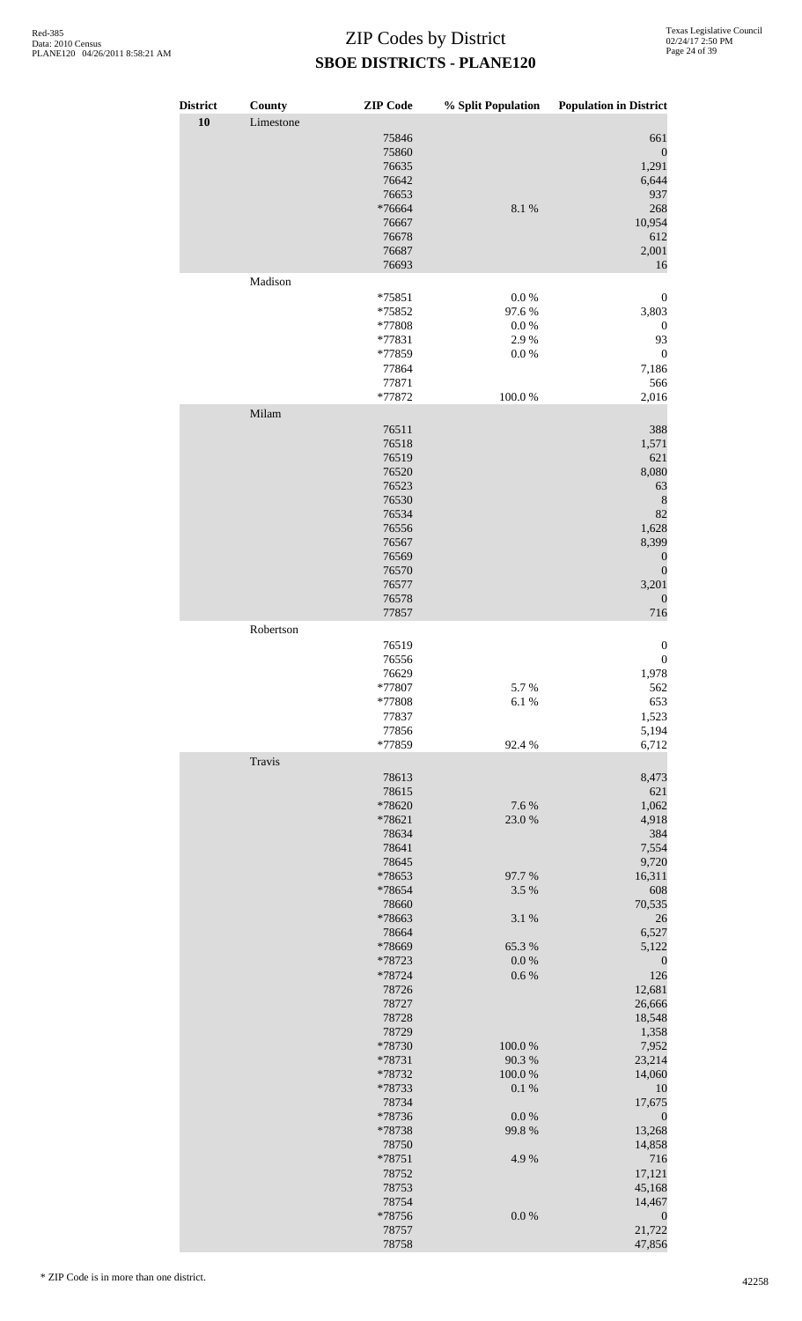| <b>District</b><br>10 | <b>County</b><br>Limestone | <b>ZIP</b> Code                                                                                                            | % Split Population                                     | <b>Population in District</b>                                                                                                                     |
|-----------------------|----------------------------|----------------------------------------------------------------------------------------------------------------------------|--------------------------------------------------------|---------------------------------------------------------------------------------------------------------------------------------------------------|
|                       |                            | 75846<br>75860<br>76635<br>76642<br>76653<br>*76664<br>76667<br>76678<br>76687<br>76693                                    | 8.1 %                                                  | 661<br>$\boldsymbol{0}$<br>1,291<br>6,644<br>937<br>268<br>10,954<br>612<br>2,001<br>16                                                           |
|                       | Madison                    |                                                                                                                            |                                                        |                                                                                                                                                   |
|                       |                            | *75851<br>*75852<br>*77808<br>*77831<br>*77859<br>77864<br>77871<br>*77872                                                 | 0.0 %<br>97.6%<br>0.0 %<br>2.9%<br>$0.0\ \%$<br>100.0% | $\boldsymbol{0}$<br>3,803<br>$\boldsymbol{0}$<br>93<br>$\boldsymbol{0}$<br>7,186<br>566<br>2,016                                                  |
|                       | Milam                      |                                                                                                                            |                                                        |                                                                                                                                                   |
|                       |                            | 76511<br>76518<br>76519<br>76520<br>76523<br>76530<br>76534<br>76556<br>76567<br>76569<br>76570<br>76577<br>76578<br>77857 |                                                        | 388<br>1,571<br>621<br>8,080<br>63<br>$\,8\,$<br>82<br>1,628<br>8,399<br>$\boldsymbol{0}$<br>$\boldsymbol{0}$<br>3,201<br>$\boldsymbol{0}$<br>716 |
|                       | Robertson                  |                                                                                                                            |                                                        |                                                                                                                                                   |
|                       |                            | 76519<br>76556<br>76629<br>*77807<br>$*77808$<br>77837<br>77856<br>*77859                                                  | 5.7%<br>6.1%<br>92.4 %                                 | $\boldsymbol{0}$<br>$\boldsymbol{0}$<br>1,978<br>562<br>653<br>1,523<br>5,194<br>6,712                                                            |
|                       | Travis                     |                                                                                                                            |                                                        |                                                                                                                                                   |
|                       |                            | 78613<br>78615<br>*78620<br>*78621<br>78634<br>78641<br>78645<br>*78653                                                    | 7.6%<br>23.0%<br>97.7%                                 | 8,473<br>621<br>1,062<br>4,918<br>384<br>7,554<br>9,720<br>16,311                                                                                 |
|                       |                            | *78654<br>78660                                                                                                            | 3.5 %                                                  | 608<br>70,535                                                                                                                                     |
|                       |                            | *78663<br>78664                                                                                                            | 3.1 %                                                  | 26<br>6,527                                                                                                                                       |
|                       |                            | *78669                                                                                                                     | 65.3%                                                  | 5,122                                                                                                                                             |
|                       |                            | *78723<br>*78724<br>78726<br>78727<br>78728<br>78729                                                                       | $0.0\ \%$<br>$0.6\ \%$                                 | $\boldsymbol{0}$<br>126<br>12,681<br>26,666<br>18,548<br>1,358                                                                                    |
|                       |                            | *78730                                                                                                                     | 100.0%                                                 | 7,952                                                                                                                                             |
|                       |                            | *78731<br>*78732                                                                                                           | 90.3%<br>100.0%                                        | 23,214<br>14,060                                                                                                                                  |
|                       |                            | *78733<br>78734                                                                                                            | $0.1~\%$                                               | 10<br>17,675                                                                                                                                      |
|                       |                            | *78736<br>*78738                                                                                                           | $0.0\ \%$<br>99.8%                                     | $\boldsymbol{0}$<br>13,268                                                                                                                        |
|                       |                            | 78750<br>*78751                                                                                                            | 4.9%                                                   | 14,858<br>716                                                                                                                                     |
|                       |                            | 78752                                                                                                                      |                                                        | 17,121                                                                                                                                            |
|                       |                            | 78753<br>78754                                                                                                             |                                                        | 45,168<br>14,467                                                                                                                                  |
|                       |                            | *78756<br>78757                                                                                                            | $0.0\ \%$                                              | $\boldsymbol{0}$<br>21,722                                                                                                                        |
|                       |                            | 78758                                                                                                                      |                                                        | 47,856                                                                                                                                            |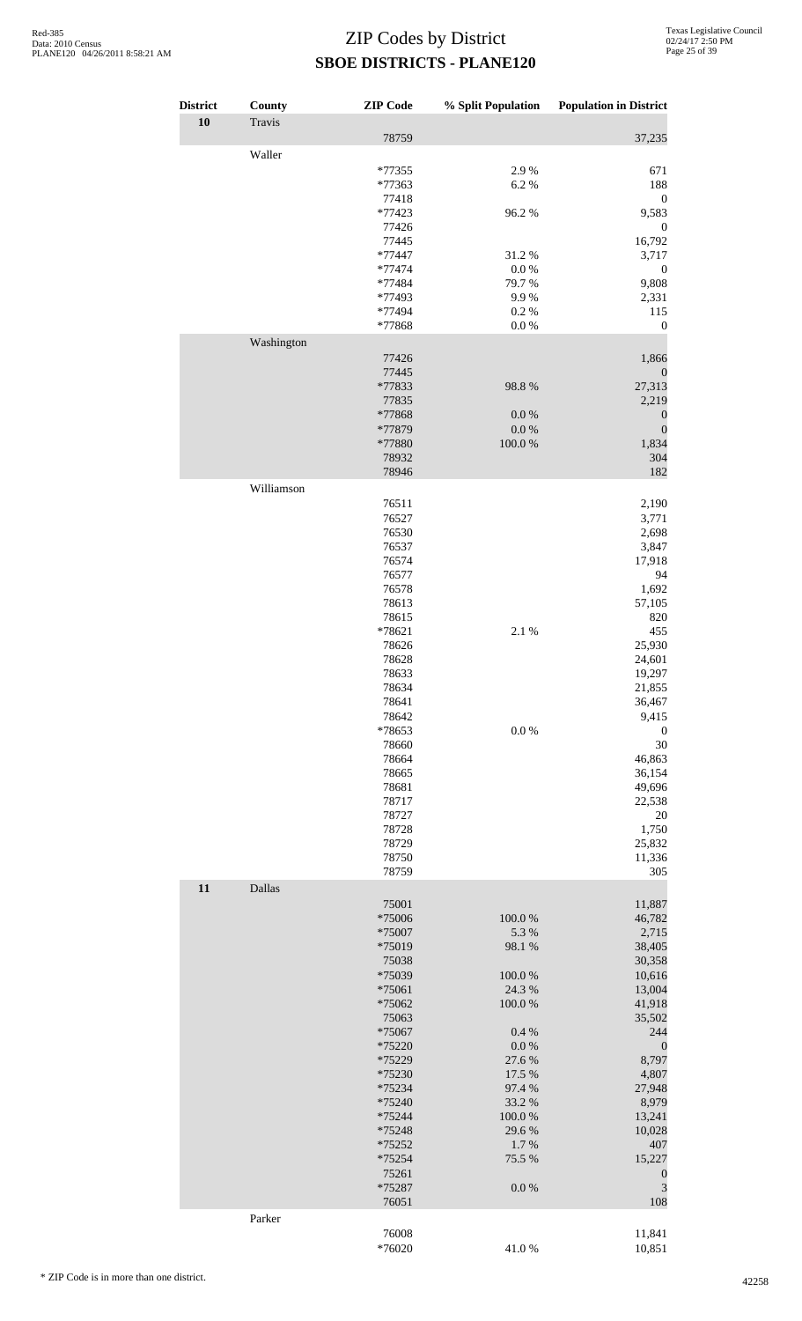| <b>District</b> | County     | <b>ZIP</b> Code  | % Split Population | <b>Population in District</b> |
|-----------------|------------|------------------|--------------------|-------------------------------|
| 10              | Travis     |                  |                    |                               |
|                 | Waller     | 78759            |                    | 37,235                        |
|                 |            | *77355           | 2.9%               | 671                           |
|                 |            | *77363           | 6.2%               | 188                           |
|                 |            | 77418            |                    | $\boldsymbol{0}$              |
|                 |            | *77423<br>77426  | 96.2%              | 9,583<br>$\boldsymbol{0}$     |
|                 |            | 77445            |                    | 16,792                        |
|                 |            | *77447           | 31.2%              | 3,717                         |
|                 |            | *77474<br>*77484 | 0.0 %<br>79.7%     | $\boldsymbol{0}$<br>9,808     |
|                 |            | *77493           | 9.9%               | 2,331                         |
|                 |            | *77494           | 0.2%               | 115                           |
|                 | Washington | *77868           | $0.0\ \%$          | $\boldsymbol{0}$              |
|                 |            | 77426            |                    | 1,866                         |
|                 |            | 77445            |                    | $\boldsymbol{0}$              |
|                 |            | *77833           | 98.8%              | 27,313                        |
|                 |            | 77835<br>*77868  | $0.0\ \%$          | 2,219<br>$\boldsymbol{0}$     |
|                 |            | *77879           | $0.0\ \%$          | $\boldsymbol{0}$              |
|                 |            | *77880           | $100.0~\%$         | 1,834                         |
|                 |            | 78932<br>78946   |                    | 304<br>182                    |
|                 | Williamson |                  |                    |                               |
|                 |            | 76511            |                    | 2,190                         |
|                 |            | 76527            |                    | 3,771                         |
|                 |            | 76530<br>76537   |                    | 2,698<br>3,847                |
|                 |            | 76574            |                    | 17,918                        |
|                 |            | 76577            |                    | 94                            |
|                 |            | 76578<br>78613   |                    | 1,692<br>57,105               |
|                 |            | 78615            |                    | 820                           |
|                 |            | *78621           | 2.1 %              | 455                           |
|                 |            | 78626<br>78628   |                    | 25,930<br>24,601              |
|                 |            | 78633            |                    | 19,297                        |
|                 |            | 78634            |                    | 21,855                        |
|                 |            | 78641<br>78642   |                    | 36,467<br>9,415               |
|                 |            | *78653           | $0.0\ \%$          | $\boldsymbol{0}$              |
|                 |            | 78660            |                    | 30                            |
|                 |            | 78664<br>78665   |                    | 46,863<br>36,154              |
|                 |            | 78681            |                    | 49,696                        |
|                 |            | 78717            |                    | 22,538                        |
|                 |            | 78727<br>78728   |                    | 20<br>1,750                   |
|                 |            | 78729            |                    | 25,832                        |
|                 |            | 78750            |                    | 11,336                        |
|                 |            | 78759            |                    | 305                           |
| 11              | Dallas     | 75001            |                    | 11,887                        |
|                 |            | *75006           | 100.0%             | 46,782                        |
|                 |            | *75007           | 5.3 %              | 2,715                         |
|                 |            | *75019<br>75038  | 98.1%              | 38,405<br>30,358              |
|                 |            | *75039           | 100.0%             | 10,616                        |
|                 |            | *75061           | 24.3 %             | 13,004                        |
|                 |            | *75062<br>75063  | 100.0%             | 41,918<br>35,502              |
|                 |            | *75067           | 0.4%               | 244                           |
|                 |            | *75220           | 0.0 %              | $\boldsymbol{0}$              |
|                 |            | *75229<br>*75230 | 27.6 %<br>17.5 %   | 8,797<br>4,807                |
|                 |            | *75234           | 97.4 %             | 27,948                        |
|                 |            | *75240           | 33.2 %             | 8,979                         |
|                 |            | *75244<br>*75248 | 100.0%<br>29.6%    | 13,241<br>10,028              |
|                 |            | *75252           | 1.7%               | 407                           |
|                 |            | *75254           | 75.5 %             | 15,227                        |
|                 |            | 75261<br>*75287  | $0.0\ \%$          | $\boldsymbol{0}$<br>3         |
|                 |            | 76051            |                    | 108                           |
|                 | Parker     |                  |                    |                               |
|                 |            | 76008<br>*76020  | 41.0%              | 11,841<br>10,851              |
|                 |            |                  |                    |                               |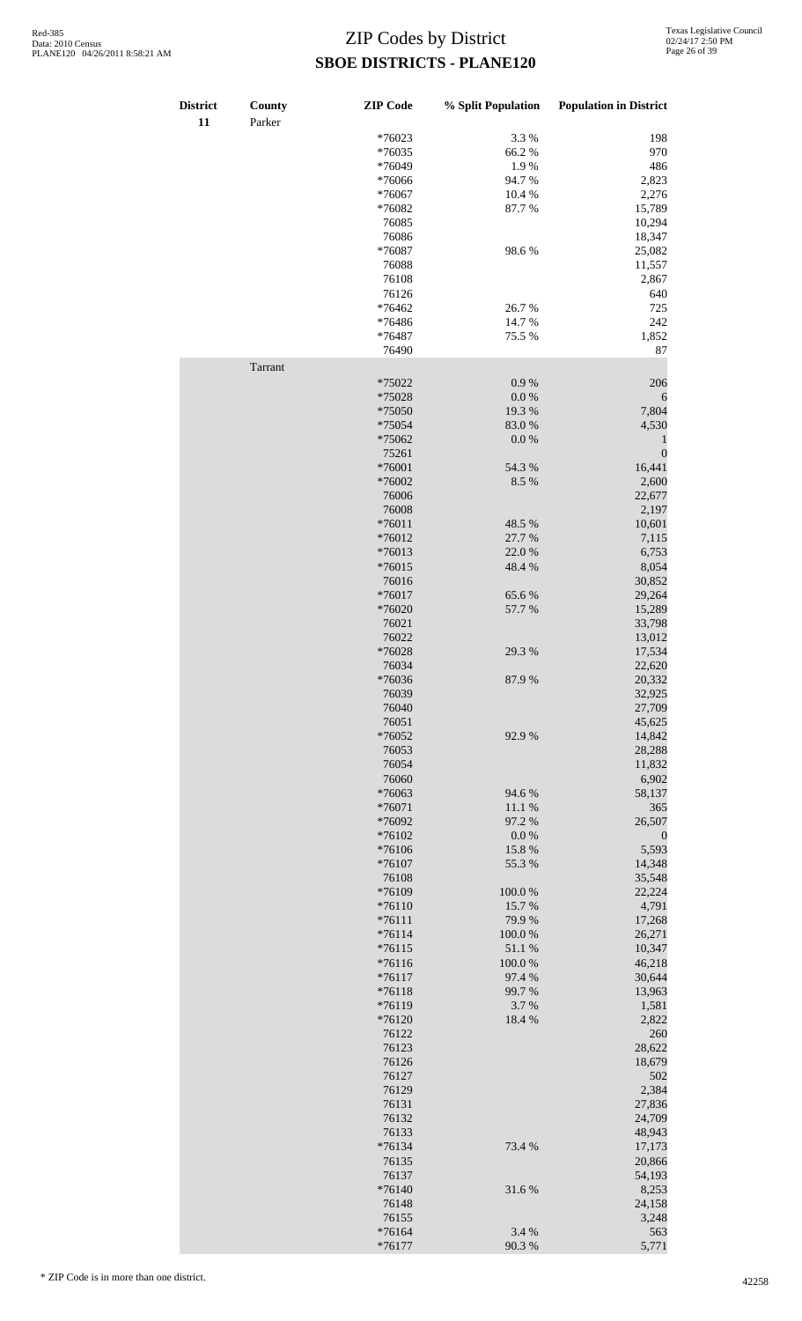| <b>District</b><br>11 | County<br>Parker | <b>ZIP</b> Code | % Split Population | <b>Population in District</b> |
|-----------------------|------------------|-----------------|--------------------|-------------------------------|
|                       |                  | *76023          | 3.3%               | 198                           |
|                       |                  | *76035          | 66.2%              | 970                           |
|                       |                  | *76049          | 1.9%               | 486                           |
|                       |                  | *76066          | 94.7%              | 2,823                         |
|                       |                  |                 |                    |                               |
|                       |                  | *76067          | 10.4 %             | 2,276                         |
|                       |                  | *76082          | 87.7%              | 15,789                        |
|                       |                  | 76085           |                    | 10,294                        |
|                       |                  | 76086           |                    | 18,347                        |
|                       |                  | *76087          | 98.6%              | 25,082                        |
|                       |                  | 76088           |                    | 11,557                        |
|                       |                  | 76108           |                    | 2,867                         |
|                       |                  | 76126           |                    | 640                           |
|                       |                  | *76462          | 26.7%              | 725                           |
|                       |                  | *76486          | 14.7%              | 242                           |
|                       |                  |                 |                    |                               |
|                       |                  | *76487          | 75.5 %             | 1,852                         |
|                       | Tarrant          | 76490           |                    | 87                            |
|                       |                  | *75022          | 0.9 %              | 206                           |
|                       |                  | *75028          | 0.0 %              | 6                             |
|                       |                  | *75050          | 19.3 %             | 7,804                         |
|                       |                  | *75054          | 83.0%              | 4,530                         |
|                       |                  |                 |                    |                               |
|                       |                  | *75062          | 0.0 %              | $\mathbf{1}$                  |
|                       |                  | 75261           |                    | $\overline{0}$                |
|                       |                  | *76001          | 54.3 %             | 16,441                        |
|                       |                  | *76002          | 8.5 %              | 2,600                         |
|                       |                  | 76006           |                    | 22,677                        |
|                       |                  | 76008           |                    | 2,197                         |
|                       |                  | $*76011$        | 48.5 %             | 10,601                        |
|                       |                  | *76012          | 27.7 %             | 7,115                         |
|                       |                  | *76013          | 22.0%              | 6,753                         |
|                       |                  | $*76015$        | 48.4%              | 8,054                         |
|                       |                  |                 |                    |                               |
|                       |                  | 76016           |                    | 30,852                        |
|                       |                  | $*76017$        | 65.6%              | 29,264                        |
|                       |                  | *76020          | 57.7 %             | 15,289                        |
|                       |                  | 76021           |                    | 33,798                        |
|                       |                  | 76022           |                    | 13,012                        |
|                       |                  | *76028          | 29.3 %             | 17,534                        |
|                       |                  | 76034           |                    | 22,620                        |
|                       |                  | $*76036$        | 87.9%              | 20,332                        |
|                       |                  | 76039           |                    | 32,925                        |
|                       |                  | 76040           |                    | 27,709                        |
|                       |                  |                 |                    |                               |
|                       |                  | 76051           |                    | 45,625                        |
|                       |                  | *76052          | 92.9%              | 14,842                        |
|                       |                  | 76053           |                    | 28,288                        |
|                       |                  | 76054           |                    | 11,832                        |
|                       |                  | 76060           |                    | 6,902                         |
|                       |                  | *76063          | 94.6%              | 58,137                        |
|                       |                  | *76071          | 11.1 %             | 365                           |
|                       |                  | *76092          | 97.2 %             | 26,507                        |
|                       |                  | *76102          | $0.0\ \%$          | $\boldsymbol{0}$              |
|                       |                  |                 |                    |                               |
|                       |                  | *76106          | 15.8%              | 5,593                         |
|                       |                  | *76107          | 55.3 %             | 14,348                        |
|                       |                  | 76108           |                    | 35,548                        |
|                       |                  | *76109          | 100.0%             | 22,224                        |
|                       |                  | $*76110$        | 15.7 %             | 4,791                         |
|                       |                  | $*76111$        | 79.9%              | 17,268                        |
|                       |                  | $*76114$        | 100.0%             | 26,271                        |
|                       |                  | $*76115$        | 51.1 %             | 10,347                        |
|                       |                  | $*76116$        | 100.0%             | 46,218                        |
|                       |                  | $*76117$        | 97.4 %             | 30,644                        |
|                       |                  |                 |                    |                               |
|                       |                  | $*76118$        | 99.7%              | 13,963                        |
|                       |                  | *76119          | 3.7%               | 1,581                         |
|                       |                  | *76120          | 18.4%              | 2,822                         |
|                       |                  | 76122           |                    | 260                           |
|                       |                  | 76123           |                    | 28,622                        |
|                       |                  | 76126           |                    | 18,679                        |
|                       |                  | 76127           |                    | 502                           |
|                       |                  | 76129           |                    | 2,384                         |
|                       |                  | 76131           |                    | 27,836                        |
|                       |                  | 76132           |                    | 24,709                        |
|                       |                  |                 |                    |                               |
|                       |                  | 76133           |                    | 48,943                        |
|                       |                  | *76134          | 73.4 %             | 17,173                        |
|                       |                  | 76135           |                    | 20,866                        |
|                       |                  | 76137           |                    | 54,193                        |
|                       |                  | *76140          | 31.6%              | 8,253                         |
|                       |                  | 76148           |                    | 24,158                        |
|                       |                  | 76155           |                    | 3,248                         |
|                       |                  | *76164          | 3.4 %              | 563                           |
|                       |                  |                 |                    |                               |
|                       |                  | $*76177$        | 90.3%              | 5,771                         |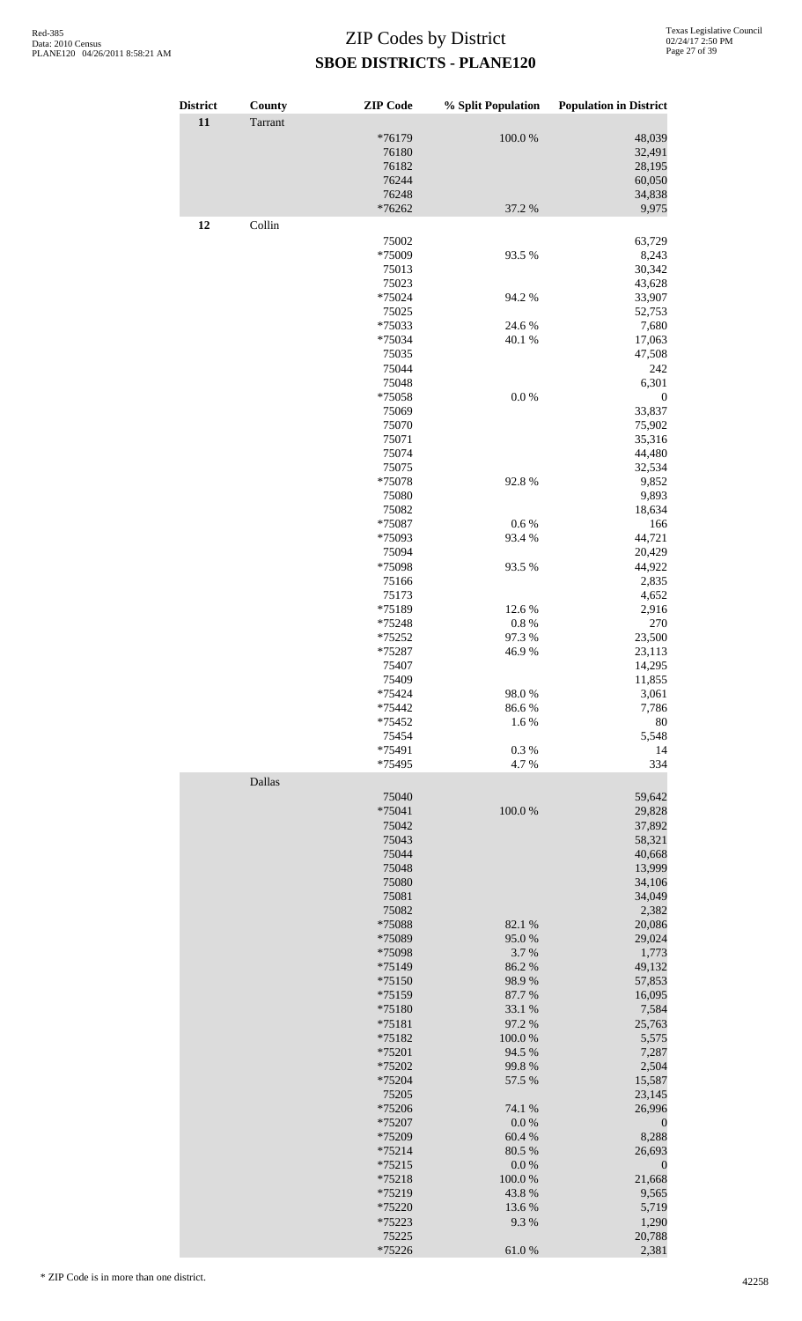| <b>District</b> | County  | <b>ZIP</b> Code      | % Split Population  | <b>Population in District</b> |
|-----------------|---------|----------------------|---------------------|-------------------------------|
| 11              | Tarrant |                      |                     |                               |
|                 |         | *76179               | 100.0%              | 48,039                        |
|                 |         | 76180                |                     | 32,491                        |
|                 |         | 76182<br>76244       |                     | 28,195<br>60,050              |
|                 |         | 76248                |                     | 34,838                        |
|                 |         | *76262               | 37.2 %              | 9,975                         |
| 12              | Collin  |                      |                     |                               |
|                 |         | 75002                |                     | 63,729                        |
|                 |         | *75009<br>75013      | 93.5 %              | 8,243<br>30,342               |
|                 |         | 75023                |                     | 43,628                        |
|                 |         | *75024               | 94.2 %              | 33,907                        |
|                 |         | 75025                |                     | 52,753<br>7,680               |
|                 |         | *75033<br>*75034     | 24.6 %<br>40.1 %    | 17,063                        |
|                 |         | 75035                |                     | 47,508                        |
|                 |         | 75044                |                     | 242                           |
|                 |         | 75048                | $0.0\ \%$           | 6,301                         |
|                 |         | *75058<br>75069      |                     | $\boldsymbol{0}$<br>33,837    |
|                 |         | 75070                |                     | 75,902                        |
|                 |         | 75071                |                     | 35,316                        |
|                 |         | 75074                |                     | 44,480                        |
|                 |         | 75075<br>*75078      | 92.8%               | 32,534<br>9,852               |
|                 |         | 75080                |                     | 9,893                         |
|                 |         | 75082                |                     | 18,634                        |
|                 |         | *75087               | 0.6 %               | 166                           |
|                 |         | *75093<br>75094      | 93.4%               | 44,721<br>20,429              |
|                 |         | *75098               | 93.5 %              | 44,922                        |
|                 |         | 75166                |                     | 2,835                         |
|                 |         | 75173                |                     | 4,652                         |
|                 |         | *75189<br>*75248     | 12.6 %<br>0.8%      | 2,916<br>270                  |
|                 |         | *75252               | 97.3%               | 23,500                        |
|                 |         | *75287               | 46.9%               | 23,113                        |
|                 |         | 75407                |                     | 14,295                        |
|                 |         | 75409                |                     | 11,855                        |
|                 |         | *75424<br>*75442     | 98.0%<br>86.6%      | 3,061<br>7,786                |
|                 |         | *75452               | 1.6%                | 80                            |
|                 |         | 75454                |                     | 5,548                         |
|                 |         | *75491               | 0.3%                | 14                            |
|                 | Dallas  | *75495               | 4.7%                | 334                           |
|                 |         | 75040                |                     | 59,642                        |
|                 |         | *75041               | 100.0%              | 29,828                        |
|                 |         | 75042                |                     | 37,892                        |
|                 |         | 75043                |                     | 58,321                        |
|                 |         | 75044<br>75048       |                     | 40,668<br>13,999              |
|                 |         | 75080                |                     | 34,106                        |
|                 |         | 75081                |                     | 34,049                        |
|                 |         | 75082                |                     | 2,382                         |
|                 |         | *75088<br>*75089     | 82.1 %<br>95.0%     | 20,086<br>29,024              |
|                 |         | *75098               | 3.7%                | 1,773                         |
|                 |         | *75149               | 86.2%               | 49,132                        |
|                 |         | $*75150$             | 98.9%               | 57,853                        |
|                 |         | *75159<br>*75180     | 87.7%<br>33.1 %     | 16,095<br>7,584               |
|                 |         | *75181               | 97.2 %              | 25,763                        |
|                 |         | *75182               | 100.0%              | 5,575                         |
|                 |         | *75201               | 94.5 %              | 7,287                         |
|                 |         | *75202<br>*75204     | 99.8%<br>57.5 %     | 2,504                         |
|                 |         | 75205                |                     | 15,587<br>23,145              |
|                 |         | *75206               | 74.1 %              | 26,996                        |
|                 |         | *75207               | $0.0\ \%$           | $\boldsymbol{0}$              |
|                 |         | *75209               | 60.4%               | 8,288                         |
|                 |         | $*75214$<br>$*75215$ | 80.5 %<br>$0.0\ \%$ | 26,693<br>$\boldsymbol{0}$    |
|                 |         | *75218               | 100.0%              | 21,668                        |
|                 |         | *75219               | 43.8%               | 9,565                         |
|                 |         | *75220               | 13.6 %              | 5,719                         |
|                 |         | *75223<br>75225      | 9.3%                | 1,290<br>20,788               |
|                 |         | *75226               | 61.0%               | 2,381                         |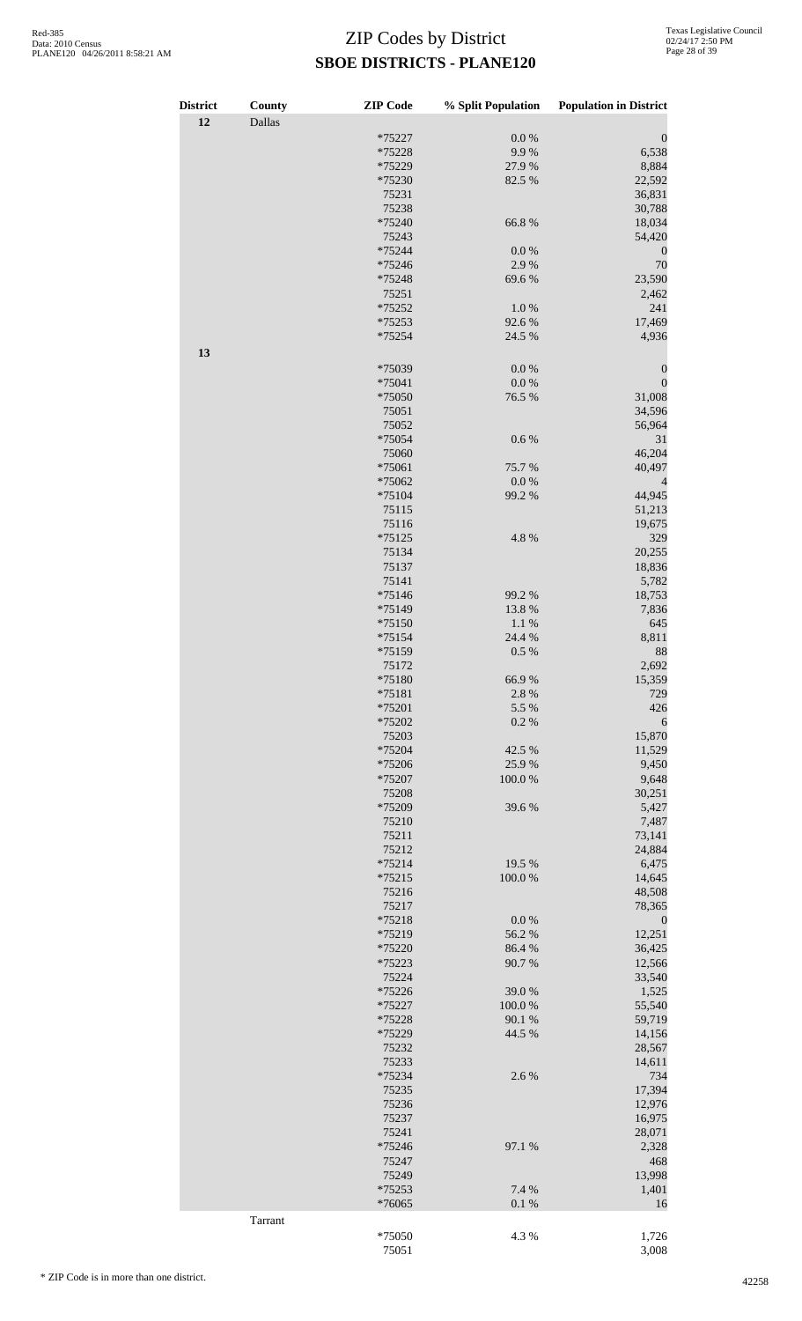| <b>District</b> | County  | <b>ZIP</b> Code  | % Split Population | <b>Population in District</b> |
|-----------------|---------|------------------|--------------------|-------------------------------|
| 12              | Dallas  |                  |                    |                               |
|                 |         | *75227           | $0.0\ \%$          | $\boldsymbol{0}$              |
|                 |         | *75228           | 9.9%               | 6,538                         |
|                 |         | *75229           | 27.9%              | 8,884                         |
|                 |         | *75230<br>75231  | 82.5 %             | 22,592<br>36,831              |
|                 |         | 75238            |                    | 30,788                        |
|                 |         | *75240           | 66.8%              | 18,034                        |
|                 |         | 75243            |                    | 54,420                        |
|                 |         | *75244           | 0.0 %              | $\boldsymbol{0}$              |
|                 |         | *75246           | 2.9%               | 70                            |
|                 |         | *75248           | 69.6%              | 23,590                        |
|                 |         | 75251<br>*75252  |                    | 2,462                         |
|                 |         | *75253           | 1.0%<br>92.6%      | 241<br>17,469                 |
|                 |         | *75254           | 24.5 %             | 4,936                         |
| 13              |         |                  |                    |                               |
|                 |         | *75039           | 0.0 %              | $\boldsymbol{0}$              |
|                 |         | *75041           | 0.0 %              | $\boldsymbol{0}$              |
|                 |         | *75050           | 76.5 %             | 31,008                        |
|                 |         | 75051            |                    | 34,596                        |
|                 |         | 75052            |                    | 56,964                        |
|                 |         | *75054           | 0.6 %              | 31                            |
|                 |         | 75060<br>*75061  | 75.7%              | 46,204<br>40,497              |
|                 |         | *75062           | $0.0\ \%$          | 4                             |
|                 |         | *75104           | 99.2 %             | 44,945                        |
|                 |         | 75115            |                    | 51,213                        |
|                 |         | 75116            |                    | 19,675                        |
|                 |         | $*75125$         | 4.8%               | 329                           |
|                 |         | 75134            |                    | 20,255                        |
|                 |         | 75137<br>75141   |                    | 18,836<br>5,782               |
|                 |         | *75146           | 99.2 %             | 18,753                        |
|                 |         | *75149           | 13.8%              | 7,836                         |
|                 |         | *75150           | 1.1 %              | 645                           |
|                 |         | *75154           | 24.4 %             | 8,811                         |
|                 |         | *75159           | 0.5 %              | 88                            |
|                 |         | 75172            |                    | 2,692                         |
|                 |         | *75180           | 66.9%              | 15,359<br>729                 |
|                 |         | *75181<br>*75201 | 2.8%<br>5.5 %      | 426                           |
|                 |         | *75202           | 0.2 %              | 6                             |
|                 |         | 75203            |                    | 15,870                        |
|                 |         | *75204           | 42.5 %             | 11,529                        |
|                 |         | *75206           | 25.9%              | 9,450                         |
|                 |         | *75207           | 100.0%             | 9,648                         |
|                 |         | 75208<br>*75209  | 39.6%              | 30,251<br>5,427               |
|                 |         | 75210            |                    | 7,487                         |
|                 |         | 75211            |                    | 73,141                        |
|                 |         | 75212            |                    | 24,884                        |
|                 |         | $*75214$         | 19.5 %             | 6,475                         |
|                 |         | $*75215$         | 100.0%             | 14,645                        |
|                 |         | 75216            |                    | 48,508                        |
|                 |         | 75217            |                    | 78,365                        |
|                 |         | *75218<br>*75219 | $0.0\ \%$<br>56.2% | $\boldsymbol{0}$<br>12,251    |
|                 |         | *75220           | 86.4 %             | 36,425                        |
|                 |         | *75223           | 90.7%              | 12,566                        |
|                 |         | 75224            |                    | 33,540                        |
|                 |         | *75226           | 39.0%              | 1,525                         |
|                 |         | *75227           | 100.0%             | 55,540                        |
|                 |         | *75228           | 90.1 %             | 59,719                        |
|                 |         | *75229<br>75232  | 44.5 %             | 14,156<br>28,567              |
|                 |         | 75233            |                    | 14,611                        |
|                 |         | *75234           | 2.6%               | 734                           |
|                 |         | 75235            |                    | 17,394                        |
|                 |         | 75236            |                    | 12,976                        |
|                 |         | 75237            |                    | 16,975                        |
|                 |         | 75241            |                    | 28,071                        |
|                 |         | *75246           | 97.1 %             | 2,328                         |
|                 |         | 75247<br>75249   |                    | 468<br>13,998                 |
|                 |         | *75253           | 7.4 %              | 1,401                         |
|                 |         | *76065           | 0.1 %              | 16                            |
|                 | Tarrant |                  |                    |                               |
|                 |         | *75050           | 4.3 %              | 1,726                         |
|                 |         | 75051            |                    | 3,008                         |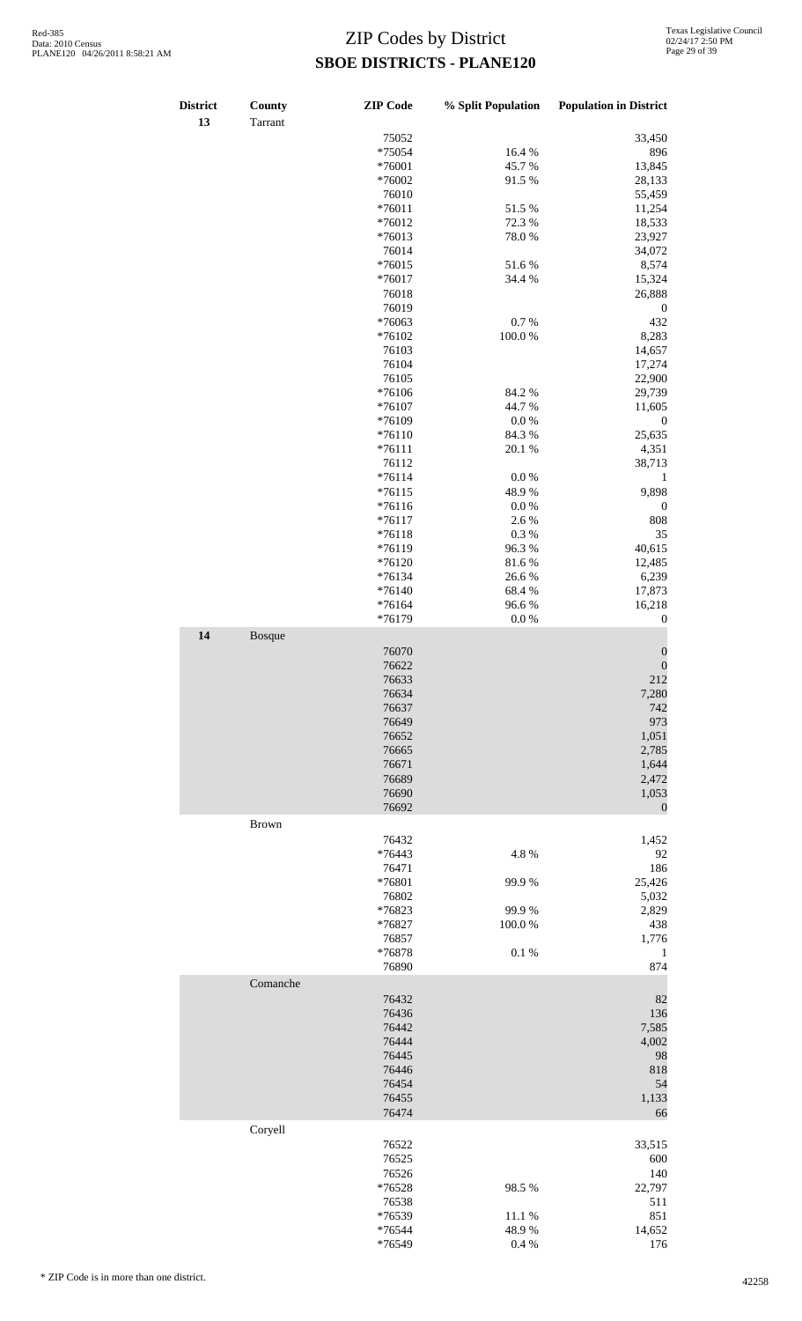| District<br>13 | County<br>Tarrant | <b>ZIP</b> Code | % Split Population | <b>Population in District</b> |
|----------------|-------------------|-----------------|--------------------|-------------------------------|
|                |                   | 75052           |                    | 33,450                        |
|                |                   | *75054          | 16.4%              | 896                           |
|                |                   |                 |                    |                               |
|                |                   | *76001          | 45.7%              | 13,845                        |
|                |                   | *76002          | 91.5%              | 28,133                        |
|                |                   | 76010           |                    | 55,459                        |
|                |                   | $*76011$        | 51.5 %             | 11,254                        |
|                |                   | $*76012$        | 72.3 %             | 18,533                        |
|                |                   | $*76013$        | 78.0%              | 23,927                        |
|                |                   |                 |                    |                               |
|                |                   | 76014           |                    | 34,072                        |
|                |                   | $*76015$        | 51.6%              | 8,574                         |
|                |                   | $*76017$        | 34.4 %             | 15,324                        |
|                |                   | 76018           |                    | 26,888                        |
|                |                   | 76019           |                    | $\boldsymbol{0}$              |
|                |                   | *76063          | $0.7~\%$           | 432                           |
|                |                   | *76102          | 100.0%             |                               |
|                |                   |                 |                    | 8,283                         |
|                |                   | 76103           |                    | 14,657                        |
|                |                   | 76104           |                    | 17,274                        |
|                |                   | 76105           |                    | 22,900                        |
|                |                   | *76106          | 84.2%              | 29,739                        |
|                |                   | $*76107$        | 44.7%              | 11,605                        |
|                |                   | *76109          | $0.0\ \%$          | $\boldsymbol{0}$              |
|                |                   | $*76110$        | 84.3 %             | 25,635                        |
|                |                   |                 |                    |                               |
|                |                   | $*76111$        | 20.1 %             | 4,351                         |
|                |                   | 76112           |                    | 38,713                        |
|                |                   | $*76114$        | $0.0\%$            | $\mathbf{1}$                  |
|                |                   | $*76115$        | 48.9%              | 9,898                         |
|                |                   | $*76116$        | $0.0\ \%$          | $\boldsymbol{0}$              |
|                |                   | $*76117$        | 2.6%               | 808                           |
|                |                   |                 |                    |                               |
|                |                   | $*76118$        | $0.3~\%$           | 35                            |
|                |                   | *76119          | 96.3%              | 40,615                        |
|                |                   | $*76120$        | 81.6%              | 12,485                        |
|                |                   | $*76134$        | 26.6%              | 6,239                         |
|                |                   | $*76140$        | 68.4%              | 17,873                        |
|                |                   | $*76164$        | 96.6%              | 16,218                        |
|                |                   | *76179          | $0.0\ \%$          | $\boldsymbol{0}$              |
|                |                   |                 |                    |                               |
| 14             | Bosque            | 76070           |                    | $\boldsymbol{0}$              |
|                |                   | 76622           |                    | $\overline{0}$                |
|                |                   | 76633           |                    | 212                           |
|                |                   | 76634           |                    | 7,280                         |
|                |                   | 76637           |                    | 742                           |
|                |                   |                 |                    |                               |
|                |                   | 76649           |                    | 973                           |
|                |                   | 76652           |                    | 1,051                         |
|                |                   | 76665           |                    | 2,785                         |
|                |                   | 76671           |                    | 1,644                         |
|                |                   | 76689           |                    | 2,472                         |
|                |                   | 76690           |                    | 1,053                         |
|                |                   |                 |                    |                               |
|                |                   | 76692           |                    | $\boldsymbol{0}$              |
|                | <b>Brown</b>      |                 |                    |                               |
|                |                   | 76432           |                    | 1,452                         |
|                |                   | *76443          | 4.8%               | 92                            |
|                |                   | 76471           |                    | 186                           |
|                |                   | *76801          | 99.9%              | 25,426                        |
|                |                   |                 |                    |                               |
|                |                   | 76802           |                    | 5,032                         |
|                |                   | *76823          | 99.9%              | 2,829                         |
|                |                   | *76827          | 100.0%             | 438                           |
|                |                   | 76857           |                    | 1,776                         |
|                |                   | *76878          | 0.1 %              | $\mathbf{1}$                  |
|                |                   | 76890           |                    | 874                           |
|                | Comanche          |                 |                    |                               |
|                |                   |                 |                    |                               |
|                |                   | 76432           |                    | 82                            |
|                |                   | 76436           |                    | 136                           |
|                |                   | 76442           |                    | 7,585                         |
|                |                   | 76444           |                    | 4,002                         |
|                |                   | 76445           |                    | 98                            |
|                |                   | 76446           |                    | 818                           |
|                |                   |                 |                    |                               |
|                |                   | 76454           |                    | 54                            |
|                |                   | 76455           |                    | 1,133                         |
|                |                   | 76474           |                    | 66                            |
|                | Coryell           |                 |                    |                               |
|                |                   | 76522           |                    | 33,515                        |
|                |                   | 76525           |                    | 600                           |
|                |                   | 76526           |                    | 140                           |
|                |                   |                 |                    |                               |
|                |                   | *76528          | 98.5%              | 22,797                        |
|                |                   | 76538           |                    | 511                           |
|                |                   | *76539          | 11.1 %             | 851                           |
|                |                   | *76544          | 48.9%              | 14,652                        |
|                |                   | *76549          | 0.4 %              | 176                           |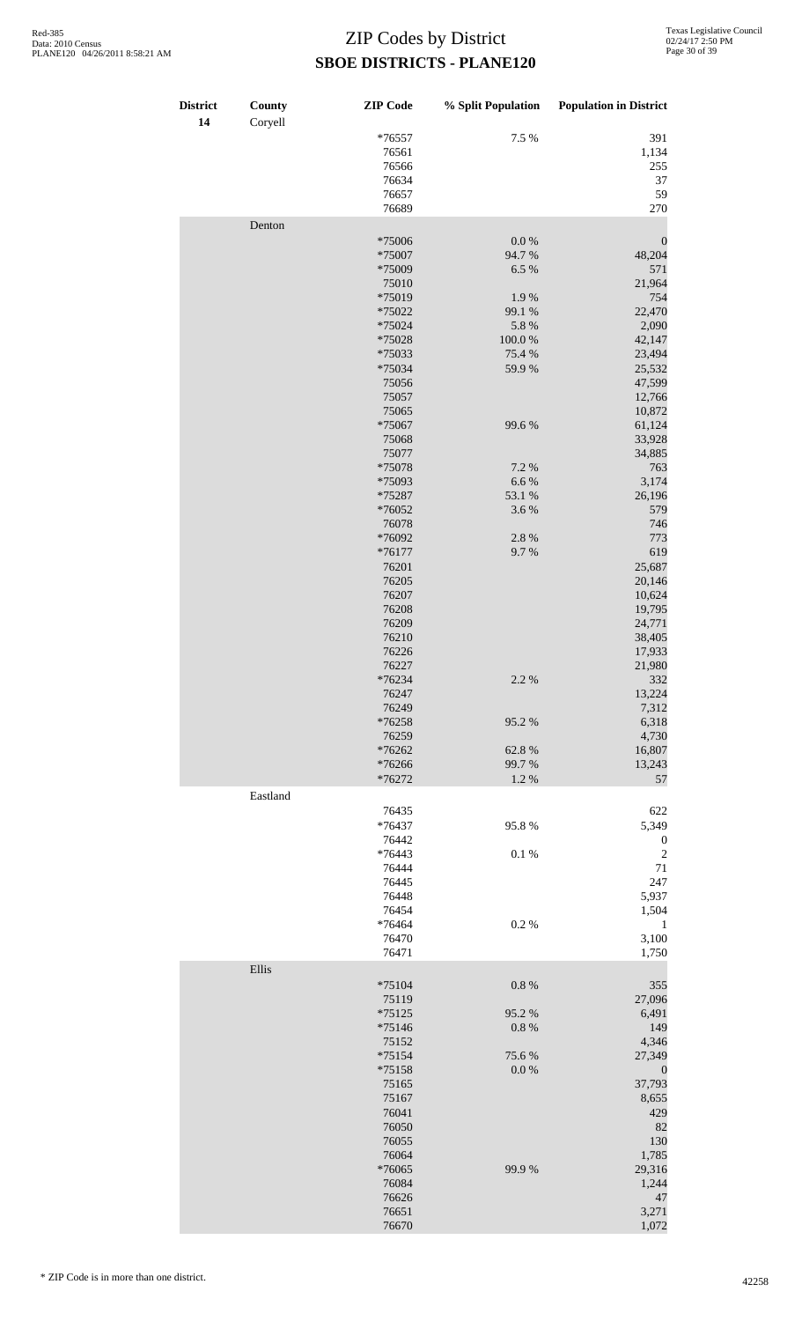| <b>District</b><br>14 | County<br>Coryell | <b>ZIP</b> Code  | % Split Population | <b>Population in District</b> |
|-----------------------|-------------------|------------------|--------------------|-------------------------------|
|                       |                   | $*76557$         | 7.5 %              | 391                           |
|                       |                   | 76561            |                    | 1,134                         |
|                       |                   | 76566            |                    | 255                           |
|                       |                   | 76634<br>76657   |                    | 37<br>59                      |
|                       |                   | 76689            |                    | 270                           |
|                       | Denton            |                  |                    |                               |
|                       |                   | *75006           | $0.0\ \%$          | $\boldsymbol{0}$              |
|                       |                   | *75007           | 94.7%              | 48,204                        |
|                       |                   | *75009           | 6.5 %              | 571                           |
|                       |                   | 75010            |                    | 21,964                        |
|                       |                   | *75019           | 1.9%               | 754                           |
|                       |                   | *75022           | 99.1 %             | 22,470                        |
|                       |                   | *75024<br>*75028 | 5.8 %<br>100.0%    | 2,090<br>42,147               |
|                       |                   | *75033           | 75.4 %             | 23,494                        |
|                       |                   | *75034           | 59.9%              | 25,532                        |
|                       |                   | 75056            |                    | 47,599                        |
|                       |                   | 75057            |                    | 12,766                        |
|                       |                   | 75065            |                    | 10,872                        |
|                       |                   | *75067           | 99.6%              | 61,124                        |
|                       |                   | 75068            |                    | 33,928                        |
|                       |                   | 75077            |                    | 34,885                        |
|                       |                   | *75078<br>*75093 | 7.2 %<br>6.6%      | 763<br>3,174                  |
|                       |                   | *75287           | 53.1 %             | 26,196                        |
|                       |                   | *76052           | 3.6%               | 579                           |
|                       |                   | 76078            |                    | 746                           |
|                       |                   | *76092           | 2.8%               | 773                           |
|                       |                   | $*76177$         | 9.7%               | 619                           |
|                       |                   | 76201            |                    | 25,687                        |
|                       |                   | 76205            |                    | 20,146                        |
|                       |                   | 76207<br>76208   |                    | 10,624                        |
|                       |                   | 76209            |                    | 19,795<br>24,771              |
|                       |                   | 76210            |                    | 38,405                        |
|                       |                   | 76226            |                    | 17,933                        |
|                       |                   | 76227            |                    | 21,980                        |
|                       |                   | *76234           | $2.2~\%$           | 332                           |
|                       |                   | 76247            |                    | 13,224                        |
|                       |                   | 76249            |                    | 7,312                         |
|                       |                   | *76258           | 95.2%              | 6,318                         |
|                       |                   | 76259<br>*76262  | 62.8%              | 4,730<br>16,807               |
|                       |                   | *76266           | 99.7%              | 13,243                        |
|                       |                   | *76272           | 1.2%               | 57                            |
|                       | Eastland          |                  |                    |                               |
|                       |                   | 76435            |                    | 622                           |
|                       |                   | *76437           | 95.8%              | 5,349                         |
|                       |                   | 76442            |                    | $\boldsymbol{0}$              |
|                       |                   | *76443           | 0.1 %              | $\overline{c}$                |
|                       |                   | 76444            |                    | $71\,$                        |
|                       |                   | 76445            |                    | 247                           |
|                       |                   | 76448<br>76454   |                    | 5,937<br>1,504                |
|                       |                   | *76464           | 0.2 %              | $\mathbf{1}$                  |
|                       |                   | 76470            |                    | 3,100                         |
|                       |                   | 76471            |                    | 1,750                         |
|                       | Ellis             |                  |                    |                               |
|                       |                   | $*75104$         | 0.8 %              | 355                           |
|                       |                   | 75119            |                    | 27,096                        |
|                       |                   | $*75125$         | 95.2%              | 6,491                         |
|                       |                   | *75146           | 0.8 %              | 149                           |
|                       |                   | 75152<br>*75154  | 75.6%              | 4,346<br>27,349               |
|                       |                   | *75158           | 0.0 %              | $\boldsymbol{0}$              |
|                       |                   | 75165            |                    | 37,793                        |
|                       |                   | 75167            |                    | 8,655                         |
|                       |                   | 76041            |                    | 429                           |
|                       |                   | 76050            |                    | 82                            |
|                       |                   | 76055            |                    | 130                           |
|                       |                   | 76064            |                    | 1,785                         |
|                       |                   | *76065           | 99.9%              | 29,316                        |
|                       |                   | 76084<br>76626   |                    | 1,244<br>47                   |
|                       |                   | 76651            |                    | 3,271                         |
|                       |                   | 76670            |                    | 1,072                         |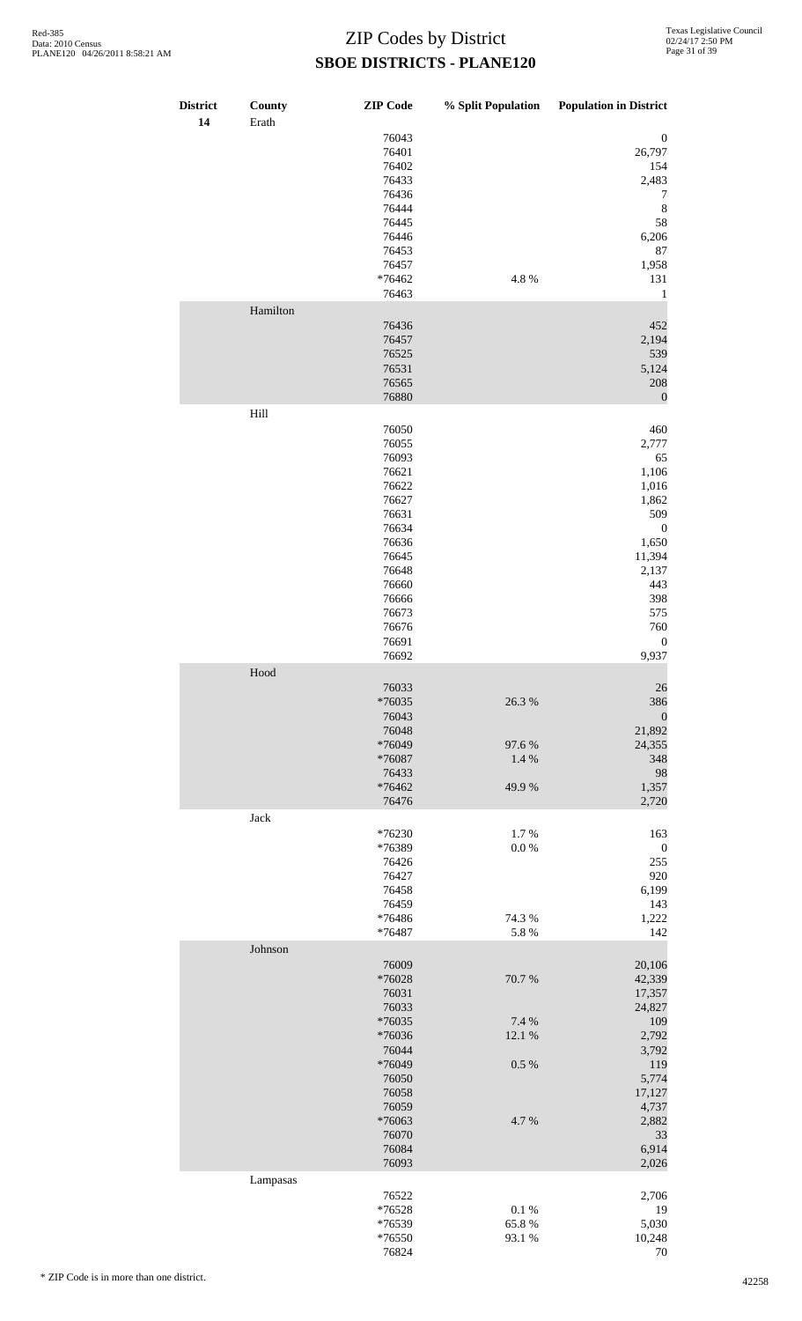| <b>District</b><br>14 | County<br>Erath | <b>ZIP</b> Code                                                                                                                                       |                                           | % Split Population Population in District                                                                                                                     |
|-----------------------|-----------------|-------------------------------------------------------------------------------------------------------------------------------------------------------|-------------------------------------------|---------------------------------------------------------------------------------------------------------------------------------------------------------------|
|                       |                 | 76043<br>76401<br>76402<br>76433<br>76436<br>76444<br>76445<br>76446<br>76453<br>76457<br>*76462                                                      | 4.8%                                      | $\boldsymbol{0}$<br>26,797<br>154<br>2,483<br>7<br>$\,8\,$<br>58<br>6,206<br>87<br>1,958<br>131                                                               |
|                       |                 | 76463                                                                                                                                                 |                                           | 1                                                                                                                                                             |
|                       | Hamilton        | 76436<br>76457<br>76525<br>76531<br>76565<br>76880                                                                                                    |                                           | 452<br>2,194<br>539<br>5,124<br>208<br>$\boldsymbol{0}$                                                                                                       |
|                       | Hill            |                                                                                                                                                       |                                           |                                                                                                                                                               |
|                       |                 | 76050<br>76055<br>76093<br>76621<br>76622<br>76627<br>76631<br>76634<br>76636<br>76645<br>76648<br>76660<br>76666<br>76673<br>76676<br>76691<br>76692 |                                           | 460<br>2,777<br>65<br>1,106<br>1,016<br>1,862<br>509<br>$\boldsymbol{0}$<br>1,650<br>11,394<br>2,137<br>443<br>398<br>575<br>760<br>$\boldsymbol{0}$<br>9,937 |
|                       | Hood            |                                                                                                                                                       |                                           |                                                                                                                                                               |
|                       |                 | 76033<br>*76035<br>76043<br>76048<br>*76049<br>*76087<br>76433<br>$*76462$<br>76476                                                                   | 26.3%<br>97.6%<br>1.4 %<br>49.9%          | 26<br>386<br>$\boldsymbol{0}$<br>21,892<br>24,355<br>348<br>98<br>1,357<br>2,720                                                                              |
|                       | Jack            |                                                                                                                                                       |                                           |                                                                                                                                                               |
|                       |                 | *76230<br>*76389<br>76426<br>76427<br>76458<br>76459<br>*76486<br>*76487                                                                              | 1.7%<br>$0.0\ \%$<br>74.3 %<br>5.8%       | 163<br>$\boldsymbol{0}$<br>255<br>920<br>6,199<br>143<br>1,222<br>142                                                                                         |
|                       | Johnson         |                                                                                                                                                       |                                           |                                                                                                                                                               |
|                       |                 | 76009<br>*76028<br>76031<br>76033<br>*76035<br>*76036<br>76044<br>*76049<br>76050<br>76058<br>76059<br>$*76063$<br>76070<br>76084<br>76093            | 70.7%<br>7.4 %<br>12.1 %<br>0.5 %<br>4.7% | 20,106<br>42,339<br>17,357<br>24,827<br>109<br>2,792<br>3,792<br>119<br>5,774<br>17,127<br>4,737<br>2,882<br>33<br>6,914<br>2,026                             |
|                       | Lampasas        |                                                                                                                                                       |                                           |                                                                                                                                                               |
|                       |                 | 76522<br>*76528<br>*76539<br>*76550<br>76824                                                                                                          | $0.1~\%$<br>65.8%<br>93.1%                | 2,706<br>19<br>5,030<br>10,248<br>$70\,$                                                                                                                      |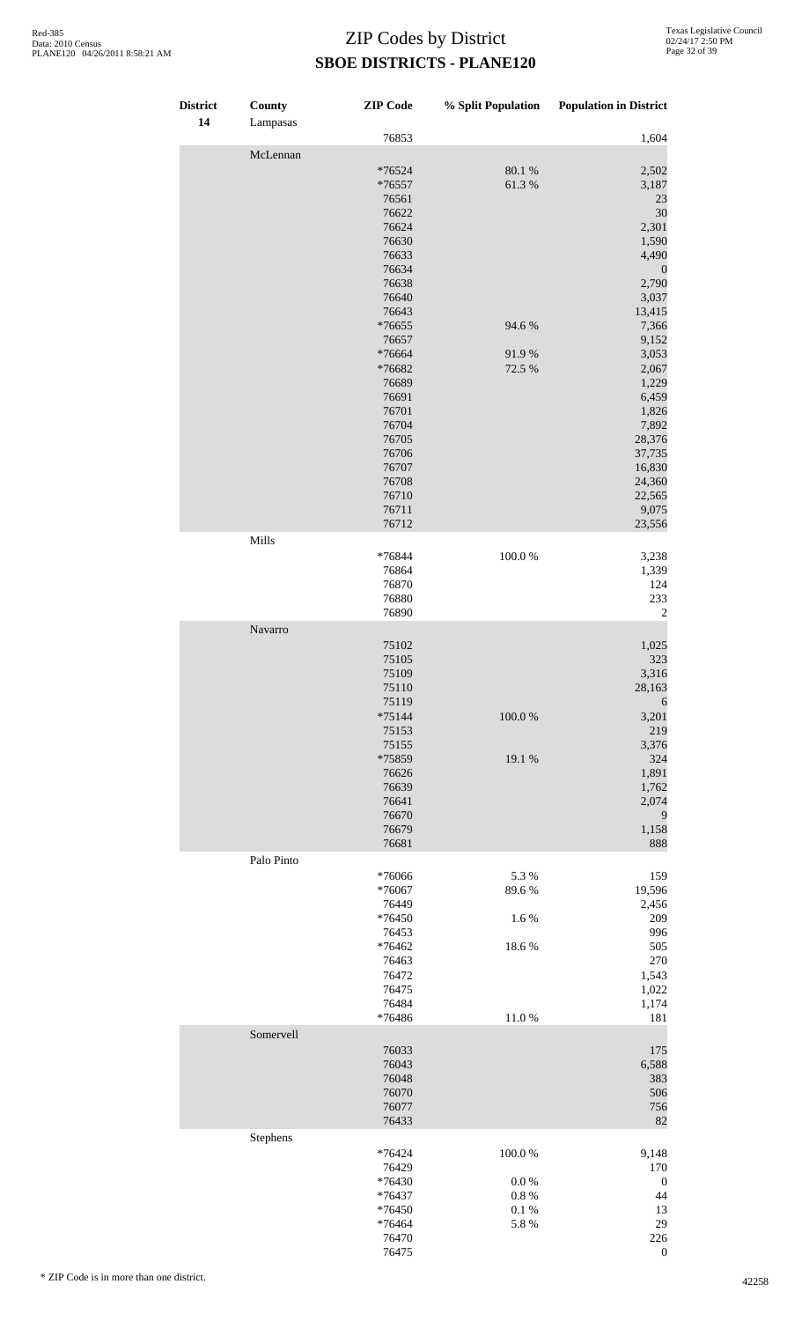| District<br>14 | County<br>Lampasas | <b>ZIP</b> Code                                                                                                                                                                                                                             | % Split Population                                    | <b>Population in District</b>                                                                                                                                                                                                                  |
|----------------|--------------------|---------------------------------------------------------------------------------------------------------------------------------------------------------------------------------------------------------------------------------------------|-------------------------------------------------------|------------------------------------------------------------------------------------------------------------------------------------------------------------------------------------------------------------------------------------------------|
|                |                    | 76853                                                                                                                                                                                                                                       |                                                       | 1,604                                                                                                                                                                                                                                          |
|                | McLennan           | *76524<br>*76557<br>76561<br>76622<br>76624<br>76630<br>76633<br>76634<br>76638<br>76640<br>76643<br>*76655<br>76657<br>*76664<br>*76682<br>76689<br>76691<br>76701<br>76704<br>76705<br>76706<br>76707<br>76708<br>76710<br>76711<br>76712 | 80.1 %<br>61.3%<br>94.6%<br>91.9%<br>72.5 %           | 2,502<br>3,187<br>23<br>30<br>2,301<br>1,590<br>4,490<br>$\mathbf{0}$<br>2,790<br>3,037<br>13,415<br>7,366<br>9,152<br>3,053<br>2,067<br>1,229<br>6,459<br>1,826<br>7,892<br>28,376<br>37,735<br>16,830<br>24,360<br>22,565<br>9,075<br>23,556 |
|                | Mills              | *76844<br>76864<br>76870<br>76880<br>76890                                                                                                                                                                                                  | 100.0%                                                | 3,238<br>1,339<br>124<br>233<br>$\mathbf{2}$                                                                                                                                                                                                   |
|                | Navarro            | 75102                                                                                                                                                                                                                                       |                                                       | 1,025                                                                                                                                                                                                                                          |
|                |                    | 75105<br>75109<br>75110<br>75119<br>$*75144$<br>75153<br>75155<br>*75859<br>76626<br>76639<br>76641<br>76670<br>76679<br>76681                                                                                                              | 100.0%<br>19.1 %                                      | 323<br>3,316<br>28,163<br>6<br>3,201<br>219<br>3,376<br>324<br>1,891<br>1,762<br>2,074<br>9<br>1,158<br>888                                                                                                                                    |
|                | Palo Pinto         | *76066<br>$*76067$<br>76449<br>*76450<br>76453<br>*76462<br>76463<br>76472<br>76475<br>76484<br>*76486                                                                                                                                      | 5.3%<br>89.6%<br>1.6%<br>$18.6\;\%$<br>11.0%          | 159<br>19,596<br>2,456<br>209<br>996<br>505<br>270<br>1,543<br>1,022<br>1,174<br>181                                                                                                                                                           |
|                | Somervell          | 76033<br>76043<br>76048<br>76070<br>76077<br>76433                                                                                                                                                                                          |                                                       | 175<br>6,588<br>383<br>506<br>756<br>82                                                                                                                                                                                                        |
|                | Stephens           | *76424<br>76429<br>*76430<br>*76437<br>*76450<br>*76464<br>76470<br>76475                                                                                                                                                                   | 100.0%<br>$0.0\ \%$<br>$0.8~\%$<br>$0.1\ \%$<br>5.8 % | 9,148<br>170<br>$\boldsymbol{0}$<br>44<br>13<br>29<br>226<br>$\mathbf{0}$                                                                                                                                                                      |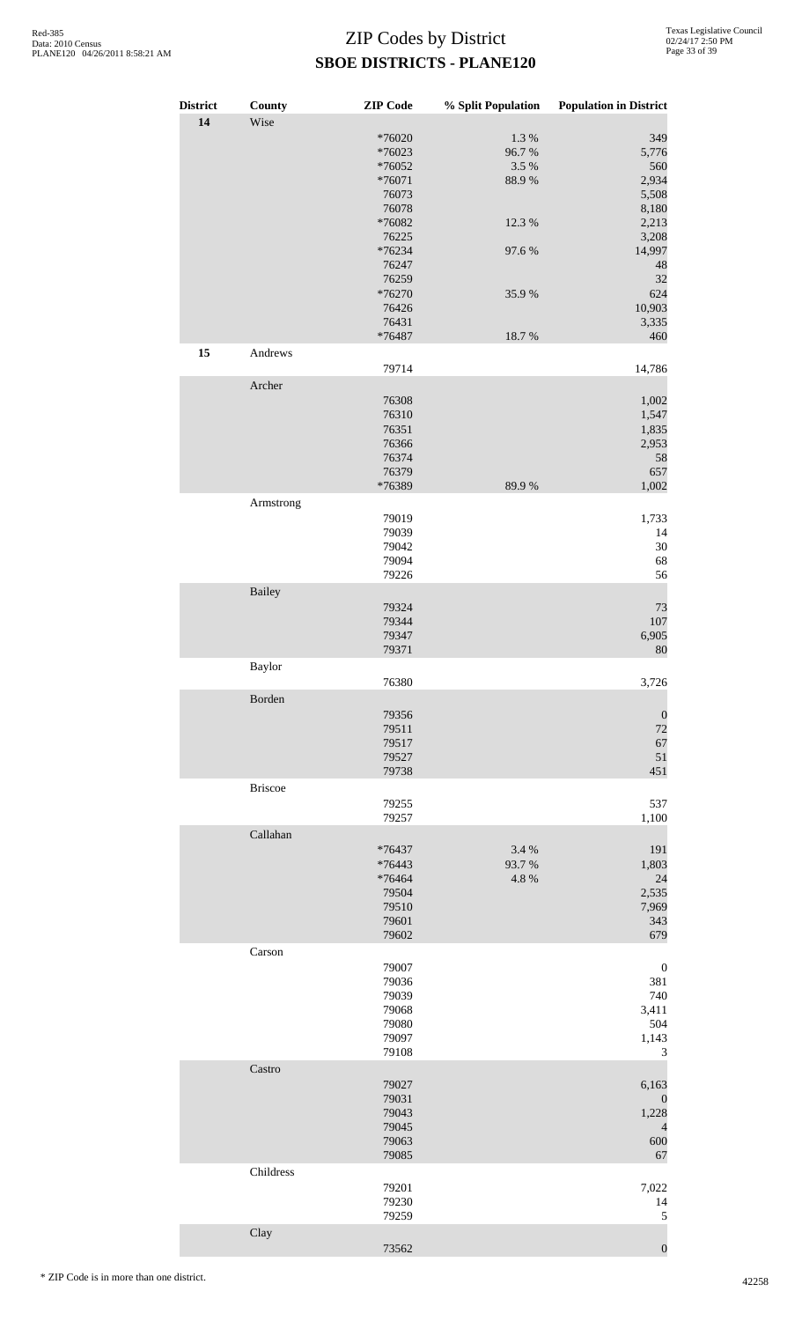| <b>District</b> | County         | <b>ZIP</b> Code    | % Split Population | <b>Population in District</b> |
|-----------------|----------------|--------------------|--------------------|-------------------------------|
| 14              | Wise           |                    |                    |                               |
|                 |                | *76020             | 1.3%               | 349                           |
|                 |                | *76023             | 96.7%              | 5,776                         |
|                 |                | *76052<br>$*76071$ | 3.5 %<br>88.9%     | 560<br>2,934                  |
|                 |                | 76073              |                    | 5,508                         |
|                 |                | 76078              |                    | 8,180                         |
|                 |                | *76082             | 12.3 %             | 2,213                         |
|                 |                | 76225<br>*76234    | 97.6%              | 3,208<br>14,997               |
|                 |                | 76247              |                    | 48                            |
|                 |                | 76259              |                    | 32                            |
|                 |                | *76270             | 35.9%              | 624                           |
|                 |                | 76426              |                    | 10,903                        |
|                 |                | 76431<br>*76487    | 18.7%              | 3,335<br>460                  |
| 15              | Andrews        |                    |                    |                               |
|                 |                | 79714              |                    | 14,786                        |
|                 | Archer         |                    |                    |                               |
|                 |                | 76308              |                    | 1,002                         |
|                 |                | 76310              |                    | 1,547                         |
|                 |                | 76351              |                    | 1,835                         |
|                 |                | 76366<br>76374     |                    | 2,953<br>58                   |
|                 |                | 76379              |                    | 657                           |
|                 |                | *76389             | 89.9%              | 1,002                         |
|                 | Armstrong      |                    |                    |                               |
|                 |                | 79019              |                    | 1,733                         |
|                 |                | 79039              |                    | 14                            |
|                 |                | 79042<br>79094     |                    | $30\,$<br>68                  |
|                 |                | 79226              |                    | 56                            |
|                 | <b>Bailey</b>  |                    |                    |                               |
|                 |                | 79324              |                    | 73                            |
|                 |                | 79344              |                    | $107\,$                       |
|                 |                | 79347              |                    | 6,905                         |
|                 |                | 79371              |                    | 80                            |
|                 | Baylor         |                    |                    |                               |
|                 | Borden         | 76380              |                    | 3,726                         |
|                 |                | 79356              |                    | $\boldsymbol{0}$              |
|                 |                | 79511              |                    | 72                            |
|                 |                | 79517              |                    | 67                            |
|                 |                | 79527              |                    | $51\,$                        |
|                 |                | 79738              |                    | 451                           |
|                 | <b>Briscoe</b> |                    |                    |                               |
|                 |                | 79255<br>79257     |                    | 537<br>1,100                  |
|                 | Callahan       |                    |                    |                               |
|                 |                | *76437             | 3.4 %              | 191                           |
|                 |                | *76443             | 93.7%              | 1,803                         |
|                 |                | *76464             | 4.8 %              | 24                            |
|                 |                | 79504              |                    | 2,535                         |
|                 |                | 79510<br>79601     |                    | 7,969<br>343                  |
|                 |                | 79602              |                    | 679                           |
|                 | Carson         |                    |                    |                               |
|                 |                | 79007              |                    | $\boldsymbol{0}$              |
|                 |                | 79036              |                    | 381                           |
|                 |                | 79039              |                    | 740                           |
|                 |                | 79068<br>79080     |                    | 3,411<br>504                  |
|                 |                | 79097              |                    | 1,143                         |
|                 |                | 79108              |                    | 3                             |
|                 | Castro         |                    |                    |                               |
|                 |                | 79027              |                    | 6,163                         |
|                 |                | 79031              |                    | $\mathbf{0}$                  |
|                 |                | 79043<br>79045     |                    | 1,228<br>$\overline{4}$       |
|                 |                | 79063              |                    | 600                           |
|                 |                | 79085              |                    | 67                            |
|                 | Childress      |                    |                    |                               |
|                 |                | 79201              |                    | 7,022                         |
|                 |                | 79230              |                    | 14                            |
|                 |                | 79259              |                    | 5                             |
|                 | Clay           | 73562              |                    | $\boldsymbol{0}$              |
|                 |                |                    |                    |                               |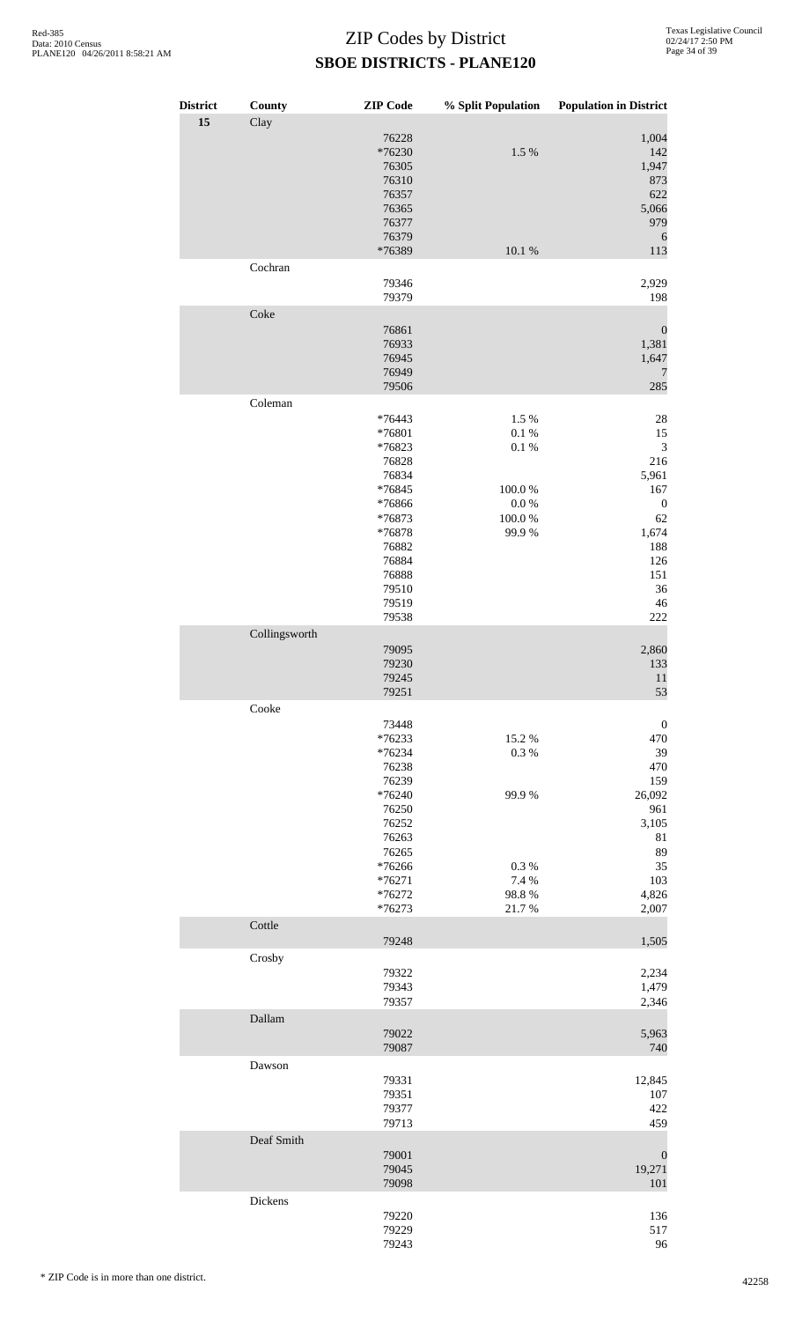| <b>District</b><br>15 | County<br>Clay       | <b>ZIP</b> Code                                                                                                                              | % Split Population                                                           | <b>Population in District</b>                                                                                                |
|-----------------------|----------------------|----------------------------------------------------------------------------------------------------------------------------------------------|------------------------------------------------------------------------------|------------------------------------------------------------------------------------------------------------------------------|
|                       |                      | 76228<br>*76230<br>76305<br>76310<br>76357<br>76365<br>76377<br>76379<br>*76389                                                              | 1.5 %<br>10.1 %                                                              | 1,004<br>142<br>1,947<br>873<br>622<br>5,066<br>979<br>6<br>113                                                              |
|                       | Cochran              | 79346<br>79379                                                                                                                               |                                                                              | 2,929<br>198                                                                                                                 |
|                       | Coke                 | 76861<br>76933<br>76945<br>76949<br>79506                                                                                                    |                                                                              | $\boldsymbol{0}$<br>1,381<br>1,647<br>7<br>285                                                                               |
|                       | Coleman              | $*76443$<br>*76801<br>*76823<br>76828<br>76834<br>*76845<br>*76866<br>*76873<br>*76878<br>76882<br>76884<br>76888<br>79510<br>79519<br>79538 | 1.5 %<br>$0.1\ \%$<br>$0.1~\%$<br>$100.0~\%$<br>$0.0\ \%$<br>100.0%<br>99.9% | $28\,$<br>15<br>$\sqrt{3}$<br>216<br>5,961<br>167<br>$\boldsymbol{0}$<br>62<br>1,674<br>188<br>126<br>151<br>36<br>46<br>222 |
|                       | Collingsworth        | 79095<br>79230<br>79245<br>79251                                                                                                             |                                                                              | 2,860<br>133<br>11<br>53                                                                                                     |
|                       | Cooke                | 73448<br>$*76233$<br>*76234<br>76238<br>76239<br>*76240<br>76250<br>76252<br>76263<br>76265<br>*76266<br>$*76271$<br>*76272<br>$*76273$      | 15.2%<br>0.3%<br>99.9%<br>0.3%<br>7.4 %<br>98.8%<br>21.7%                    | $\boldsymbol{0}$<br>470<br>39<br>470<br>159<br>26,092<br>961<br>3,105<br>81<br>89<br>35<br>103<br>4,826<br>2,007             |
|                       | Cottle               | 79248                                                                                                                                        |                                                                              | 1,505                                                                                                                        |
|                       | Crosby               | 79322<br>79343<br>79357                                                                                                                      |                                                                              | 2,234<br>1,479<br>2,346                                                                                                      |
|                       | Dallam               | 79022<br>79087                                                                                                                               |                                                                              | 5,963<br>740                                                                                                                 |
|                       | Dawson<br>Deaf Smith | 79331<br>79351<br>79377<br>79713<br>79001                                                                                                    |                                                                              | 12,845<br>107<br>422<br>459<br>$\boldsymbol{0}$                                                                              |
|                       | Dickens              | 79045<br>79098                                                                                                                               |                                                                              | 19,271<br>101                                                                                                                |
|                       |                      | 79220<br>79229<br>79243                                                                                                                      |                                                                              | 136<br>517<br>96                                                                                                             |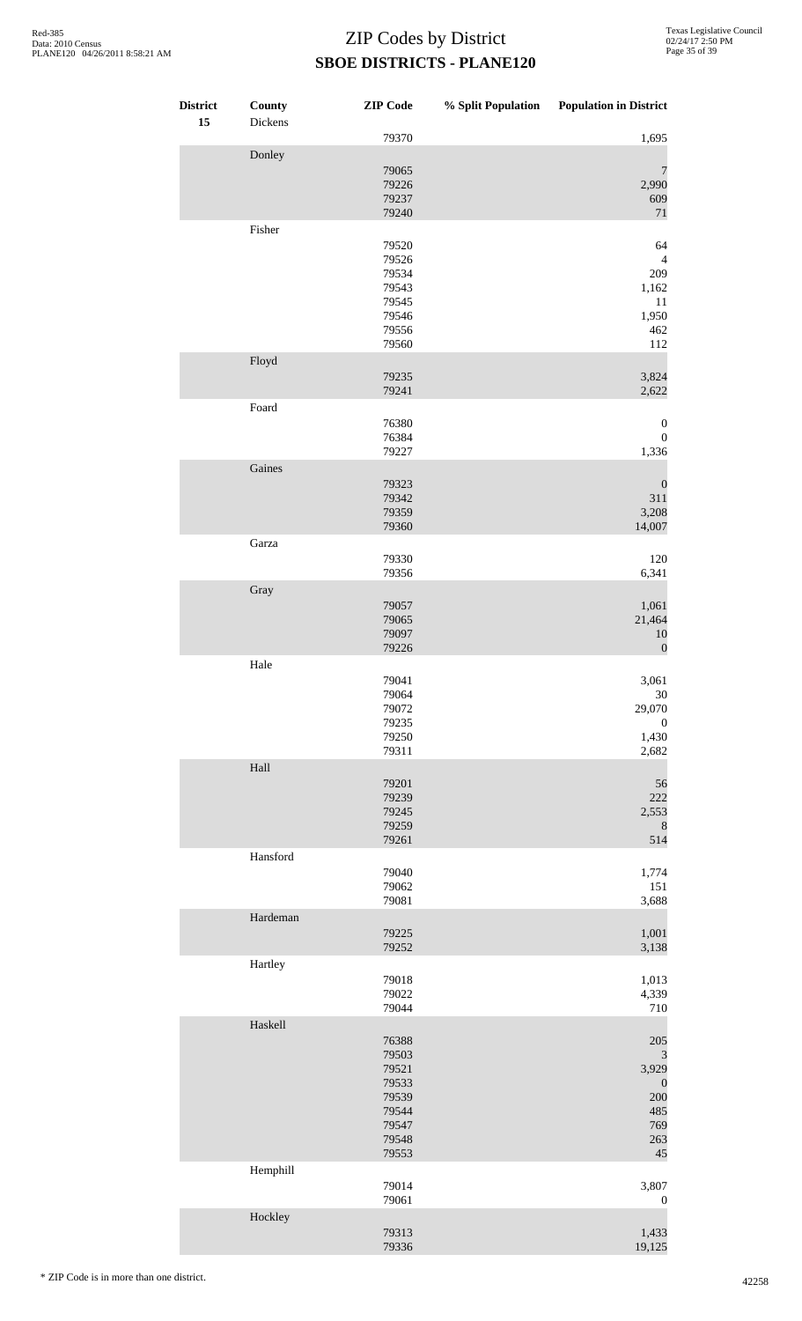| <b>District</b><br>15 | <b>County</b><br>Dickens | <b>ZIP</b> Code | % Split Population | <b>Population in District</b> |
|-----------------------|--------------------------|-----------------|--------------------|-------------------------------|
|                       |                          | 79370           |                    | 1,695                         |
|                       | Donley                   |                 |                    |                               |
|                       |                          | 79065<br>79226  |                    | $\overline{7}$<br>2,990       |
|                       |                          | 79237           |                    | 609                           |
|                       |                          | 79240           |                    | 71                            |
|                       | Fisher                   |                 |                    |                               |
|                       |                          | 79520<br>79526  |                    | 64<br>$\overline{4}$          |
|                       |                          | 79534           |                    | 209                           |
|                       |                          | 79543           |                    | 1,162                         |
|                       |                          | 79545           |                    | 11                            |
|                       |                          | 79546<br>79556  |                    | 1,950<br>462                  |
|                       |                          | 79560           |                    | 112                           |
|                       | Floyd                    |                 |                    |                               |
|                       |                          | 79235<br>79241  |                    | 3,824<br>2,622                |
|                       | Foard                    |                 |                    |                               |
|                       |                          | 76380           |                    | $\boldsymbol{0}$              |
|                       |                          | 76384           |                    | $\boldsymbol{0}$              |
|                       | Gaines                   | 79227           |                    | 1,336                         |
|                       |                          | 79323           |                    | $\boldsymbol{0}$              |
|                       |                          | 79342           |                    | 311                           |
|                       |                          | 79359           |                    | 3,208                         |
|                       | Garza                    | 79360           |                    | 14,007                        |
|                       |                          | 79330           |                    | 120                           |
|                       |                          | 79356           |                    | 6,341                         |
|                       | Gray                     |                 |                    |                               |
|                       |                          | 79057<br>79065  |                    | 1,061<br>21,464               |
|                       |                          | 79097           |                    | 10                            |
|                       |                          | 79226           |                    | $\boldsymbol{0}$              |
|                       | Hale                     |                 |                    |                               |
|                       |                          | 79041<br>79064  |                    | 3,061<br>$30\,$               |
|                       |                          | 79072           |                    | 29,070                        |
|                       |                          | 79235           |                    | $\boldsymbol{0}$              |
|                       |                          | 79250<br>79311  |                    | 1,430<br>2,682                |
|                       | Hall                     |                 |                    |                               |
|                       |                          | 79201           |                    | 56                            |
|                       |                          | 79239           |                    | 222                           |
|                       |                          | 79245<br>79259  |                    | 2,553<br>8                    |
|                       |                          | 79261           |                    | 514                           |
|                       | Hansford                 |                 |                    |                               |
|                       |                          | 79040<br>79062  |                    | 1,774<br>151                  |
|                       |                          | 79081           |                    | 3,688                         |
|                       | Hardeman                 |                 |                    |                               |
|                       |                          | 79225<br>79252  |                    | 1,001<br>3,138                |
|                       | Hartley                  |                 |                    |                               |
|                       |                          | 79018           |                    | 1,013                         |
|                       |                          | 79022<br>79044  |                    | 4,339                         |
|                       | Haskell                  |                 |                    | 710                           |
|                       |                          | 76388           |                    | 205                           |
|                       |                          | 79503           |                    | 3                             |
|                       |                          | 79521<br>79533  |                    | 3,929                         |
|                       |                          | 79539           |                    | $\boldsymbol{0}$<br>200       |
|                       |                          | 79544           |                    | 485                           |
|                       |                          | 79547           |                    | 769                           |
|                       |                          | 79548<br>79553  |                    | 263<br>45                     |
|                       | Hemphill                 |                 |                    |                               |
|                       |                          | 79014           |                    | 3,807                         |
|                       | Hockley                  | 79061           |                    | $\boldsymbol{0}$              |
|                       |                          | 79313           |                    | 1,433                         |
|                       |                          | 79336           |                    | 19,125                        |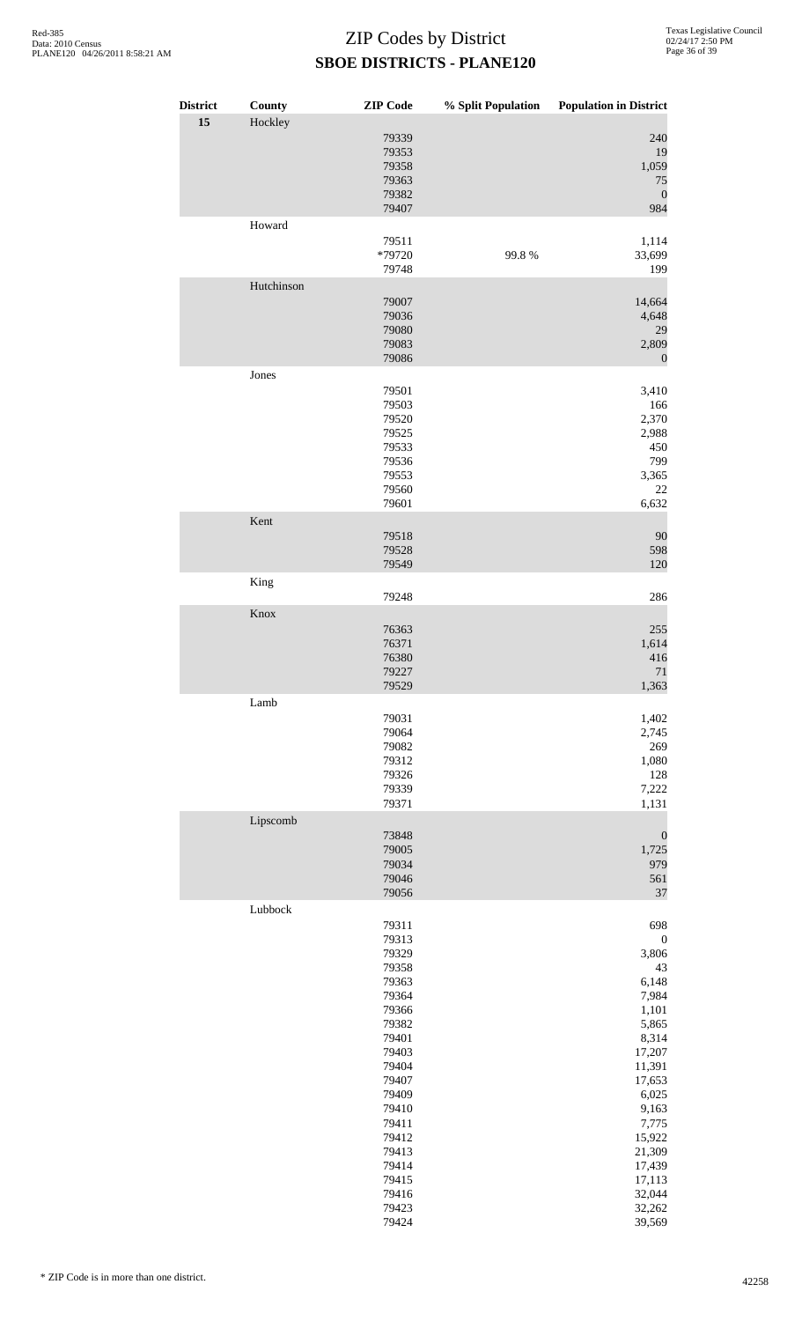| <b>District</b> | County     | <b>ZIP</b> Code                                                                                                                                                                                    | % Split Population | <b>Population in District</b>                                                                                                                                                                                      |
|-----------------|------------|----------------------------------------------------------------------------------------------------------------------------------------------------------------------------------------------------|--------------------|--------------------------------------------------------------------------------------------------------------------------------------------------------------------------------------------------------------------|
| 15              | Hockley    | 79339<br>79353<br>79358<br>79363<br>79382<br>79407                                                                                                                                                 |                    | 240<br>19<br>1,059<br>75<br>$\boldsymbol{0}$<br>984                                                                                                                                                                |
|                 | Howard     | 79511<br>*79720<br>79748                                                                                                                                                                           | 99.8%              | 1,114<br>33,699<br>199                                                                                                                                                                                             |
|                 | Hutchinson | 79007<br>79036<br>79080<br>79083<br>79086                                                                                                                                                          |                    | 14,664<br>4,648<br>29<br>2,809<br>$\mathbf{0}$                                                                                                                                                                     |
|                 | Jones      | 79501<br>79503<br>79520<br>79525<br>79533<br>79536<br>79553<br>79560<br>79601                                                                                                                      |                    | 3,410<br>166<br>2,370<br>2,988<br>450<br>799<br>3,365<br>22<br>6,632                                                                                                                                               |
|                 | Kent       | 79518<br>79528<br>79549                                                                                                                                                                            |                    | 90<br>598<br>120                                                                                                                                                                                                   |
|                 | King       | 79248                                                                                                                                                                                              |                    | 286                                                                                                                                                                                                                |
|                 | Knox       | 76363<br>76371<br>76380<br>79227<br>79529                                                                                                                                                          |                    | 255<br>1,614<br>416<br>$71\,$<br>1,363                                                                                                                                                                             |
|                 | Lamb       | 79031<br>79064<br>79082<br>79312<br>79326<br>79339<br>79371                                                                                                                                        |                    | 1,402<br>2,745<br>269<br>1,080<br>128<br>7,222<br>1,131                                                                                                                                                            |
|                 | Lipscomb   | 73848<br>79005<br>79034<br>79046<br>79056                                                                                                                                                          |                    | $\boldsymbol{0}$<br>1,725<br>979<br>561<br>37                                                                                                                                                                      |
|                 | Lubbock    | 79311<br>79313<br>79329<br>79358<br>79363<br>79364<br>79366<br>79382<br>79401<br>79403<br>79404<br>79407<br>79409<br>79410<br>79411<br>79412<br>79413<br>79414<br>79415<br>79416<br>79423<br>79424 |                    | 698<br>$\boldsymbol{0}$<br>3,806<br>43<br>6,148<br>7,984<br>1,101<br>5,865<br>8,314<br>17,207<br>11,391<br>17,653<br>6,025<br>9,163<br>7,775<br>15,922<br>21,309<br>17,439<br>17,113<br>32,044<br>32,262<br>39,569 |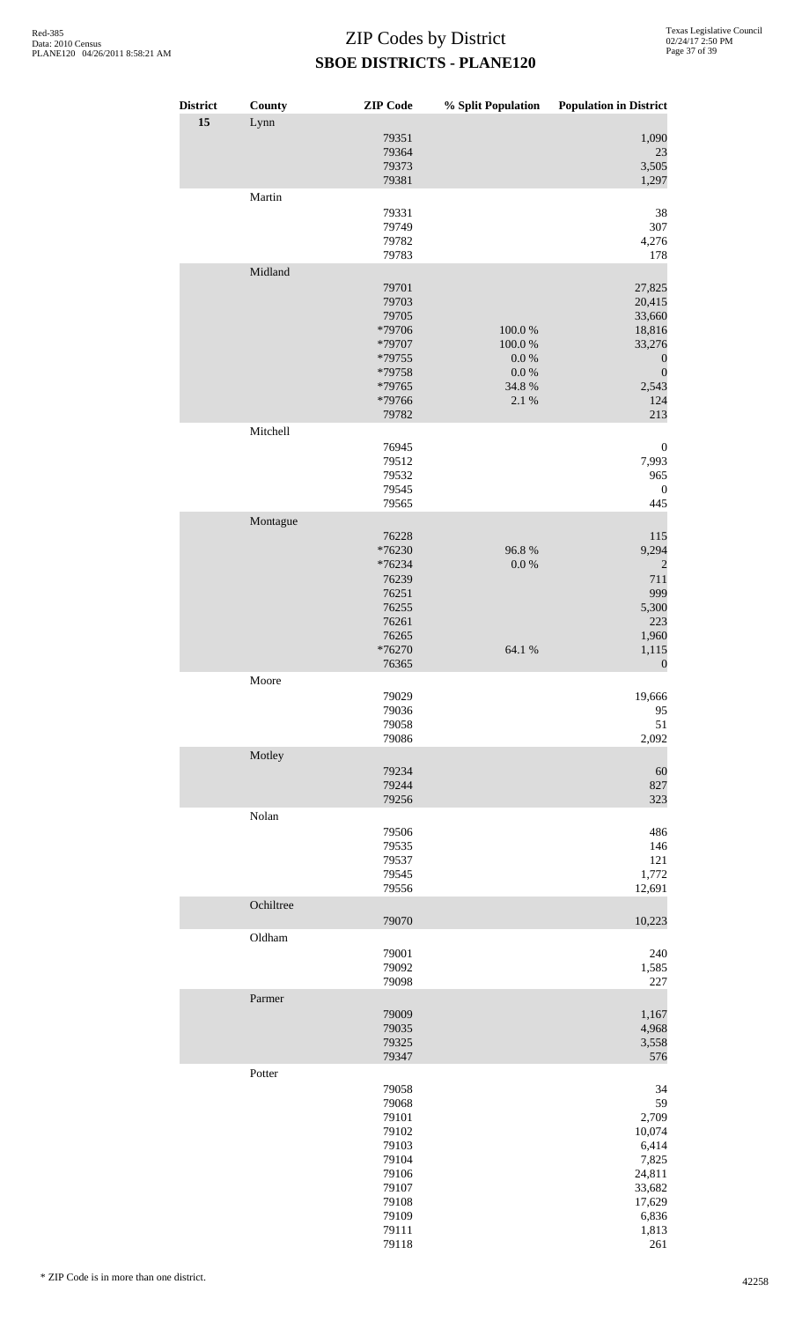| <b>District</b> | County    | <b>ZIP</b> Code                                                                                          | % Split Population                                            | <b>Population in District</b>                                                                                 |
|-----------------|-----------|----------------------------------------------------------------------------------------------------------|---------------------------------------------------------------|---------------------------------------------------------------------------------------------------------------|
| 15              | Lynn      | 79351<br>79364<br>79373<br>79381                                                                         |                                                               | 1,090<br>23<br>3,505<br>1,297                                                                                 |
|                 | Martin    | 79331<br>79749<br>79782<br>79783                                                                         |                                                               | 38<br>307<br>4,276<br>178                                                                                     |
|                 | Midland   | 79701<br>79703<br>79705<br>*79706<br>*79707<br>*79755<br>*79758<br>*79765<br>*79766<br>79782             | $100.0~\%$<br>100.0%<br>0.0 %<br>$0.0\ \%$<br>34.8 %<br>2.1 % | 27,825<br>20,415<br>33,660<br>18,816<br>33,276<br>$\boldsymbol{0}$<br>$\boldsymbol{0}$<br>2,543<br>124<br>213 |
|                 | Mitchell  |                                                                                                          |                                                               |                                                                                                               |
|                 |           | 76945<br>79512<br>79532<br>79545<br>79565                                                                |                                                               | $\boldsymbol{0}$<br>7,993<br>965<br>$\boldsymbol{0}$<br>445                                                   |
|                 | Montague  | 76228<br>*76230<br>*76234<br>76239<br>76251<br>76255<br>76261<br>76265<br>*76270<br>76365                | 96.8%<br>$0.0\ \%$<br>64.1 %                                  | 115<br>9,294<br>$\overline{c}$<br>711<br>999<br>5,300<br>223<br>1,960<br>1,115<br>$\boldsymbol{0}$            |
|                 | Moore     | 79029<br>79036<br>79058<br>79086                                                                         |                                                               | 19,666<br>95<br>51<br>2,092                                                                                   |
|                 | Motley    | 79234<br>79244<br>79256                                                                                  |                                                               | 60<br>827<br>323                                                                                              |
|                 | Nolan     | 79506<br>79535<br>79537<br>79545<br>79556                                                                |                                                               | 486<br>146<br>121<br>1,772                                                                                    |
|                 | Ochiltree |                                                                                                          |                                                               | 12,691                                                                                                        |
|                 | Oldham    | 79070<br>79001<br>79092<br>79098                                                                         |                                                               | 10,223<br>240<br>1,585<br>227                                                                                 |
|                 | Parmer    | 79009<br>79035<br>79325<br>79347                                                                         |                                                               | 1,167<br>4,968<br>3,558<br>576                                                                                |
|                 | Potter    | 79058<br>79068<br>79101<br>79102<br>79103<br>79104<br>79106<br>79107<br>79108<br>79109<br>79111<br>79118 |                                                               | 34<br>59<br>2,709<br>10,074<br>6,414<br>7,825<br>24,811<br>33,682<br>17,629<br>6,836<br>1,813<br>261          |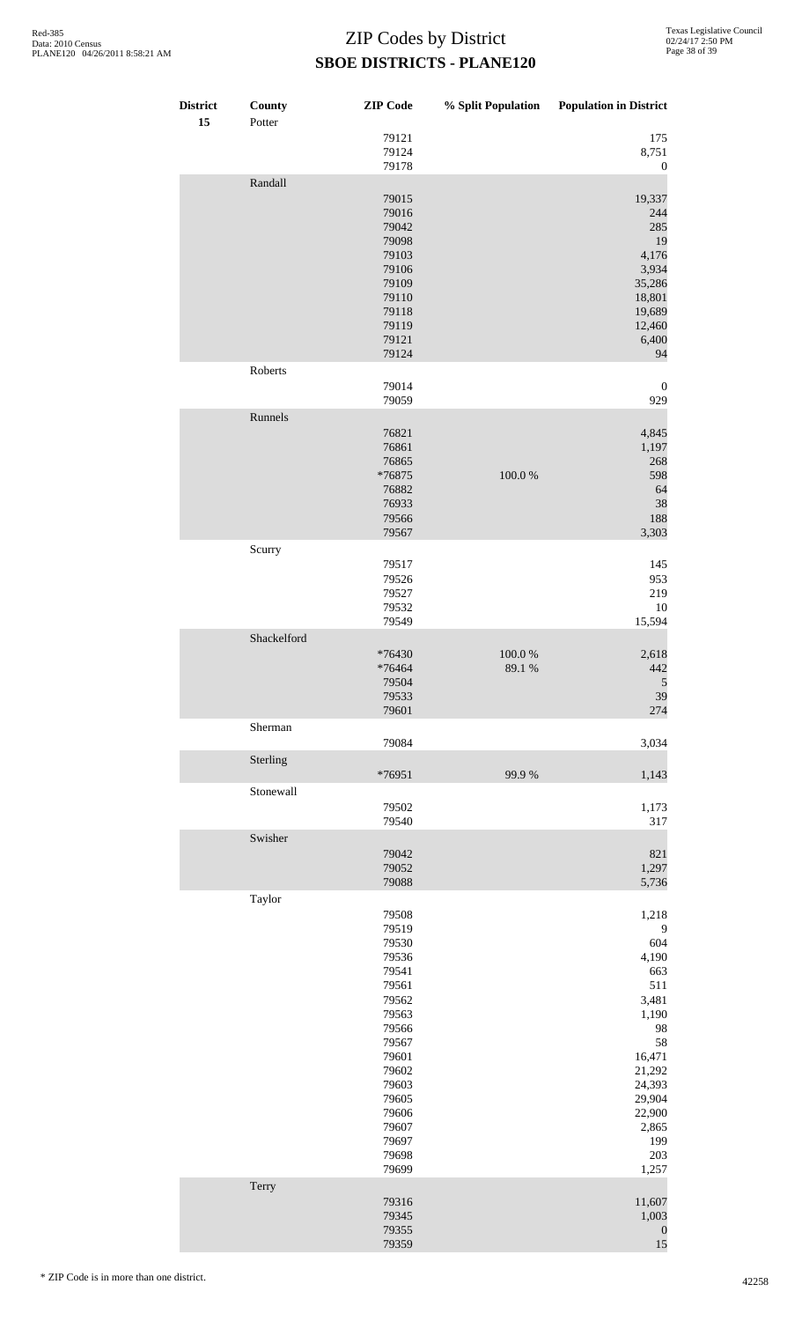| <b>District</b><br>15 | County<br>Potter | <b>ZIP</b> Code                                                                                                                                                         | % Split Population   | <b>Population in District</b>                                                                                                                            |
|-----------------------|------------------|-------------------------------------------------------------------------------------------------------------------------------------------------------------------------|----------------------|----------------------------------------------------------------------------------------------------------------------------------------------------------|
|                       |                  | 79121<br>79124<br>79178                                                                                                                                                 |                      | 175<br>8,751<br>$\boldsymbol{0}$                                                                                                                         |
|                       | Randall          | 79015<br>79016<br>79042<br>79098<br>79103<br>79106<br>79109<br>79110<br>79118<br>79119<br>79121<br>79124                                                                |                      | 19,337<br>244<br>285<br>19<br>4,176<br>3,934<br>35,286<br>18,801<br>19,689<br>12,460<br>6,400<br>94                                                      |
|                       | Roberts          | 79014<br>79059                                                                                                                                                          |                      | $\boldsymbol{0}$<br>929                                                                                                                                  |
|                       | Runnels          | 76821<br>76861<br>76865<br>*76875<br>76882<br>76933<br>79566<br>79567                                                                                                   | 100.0%               | 4,845<br>1,197<br>268<br>598<br>64<br>38<br>188<br>3,303                                                                                                 |
|                       | Scurry           | 79517<br>79526<br>79527<br>79532<br>79549                                                                                                                               |                      | 145<br>953<br>219<br>10<br>15,594                                                                                                                        |
|                       | Shackelford      | *76430<br>*76464<br>79504<br>79533<br>79601                                                                                                                             | $100.0~\%$<br>89.1 % | 2,618<br>442<br>5<br>39<br>274                                                                                                                           |
|                       | Sherman          |                                                                                                                                                                         |                      |                                                                                                                                                          |
|                       | Sterling         | 79084<br>*76951                                                                                                                                                         | 99.9%                | 3,034<br>1,143                                                                                                                                           |
|                       | Stonewall        | 79502<br>79540                                                                                                                                                          |                      | 1,173<br>317                                                                                                                                             |
|                       | Swisher          | 79042<br>79052<br>79088                                                                                                                                                 |                      | 821<br>1,297<br>5,736                                                                                                                                    |
|                       | Taylor           | 79508<br>79519<br>79530<br>79536<br>79541<br>79561<br>79562<br>79563<br>79566<br>79567<br>79601<br>79602<br>79603<br>79605<br>79606<br>79607<br>79697<br>79698<br>79699 |                      | 1,218<br>9<br>604<br>4,190<br>663<br>511<br>3,481<br>1,190<br>98<br>58<br>16,471<br>21,292<br>24,393<br>29,904<br>22,900<br>2,865<br>199<br>203<br>1,257 |
|                       | Terry            | 79316<br>79345<br>79355<br>79359                                                                                                                                        |                      | 11,607<br>1,003<br>$\boldsymbol{0}$<br>15                                                                                                                |